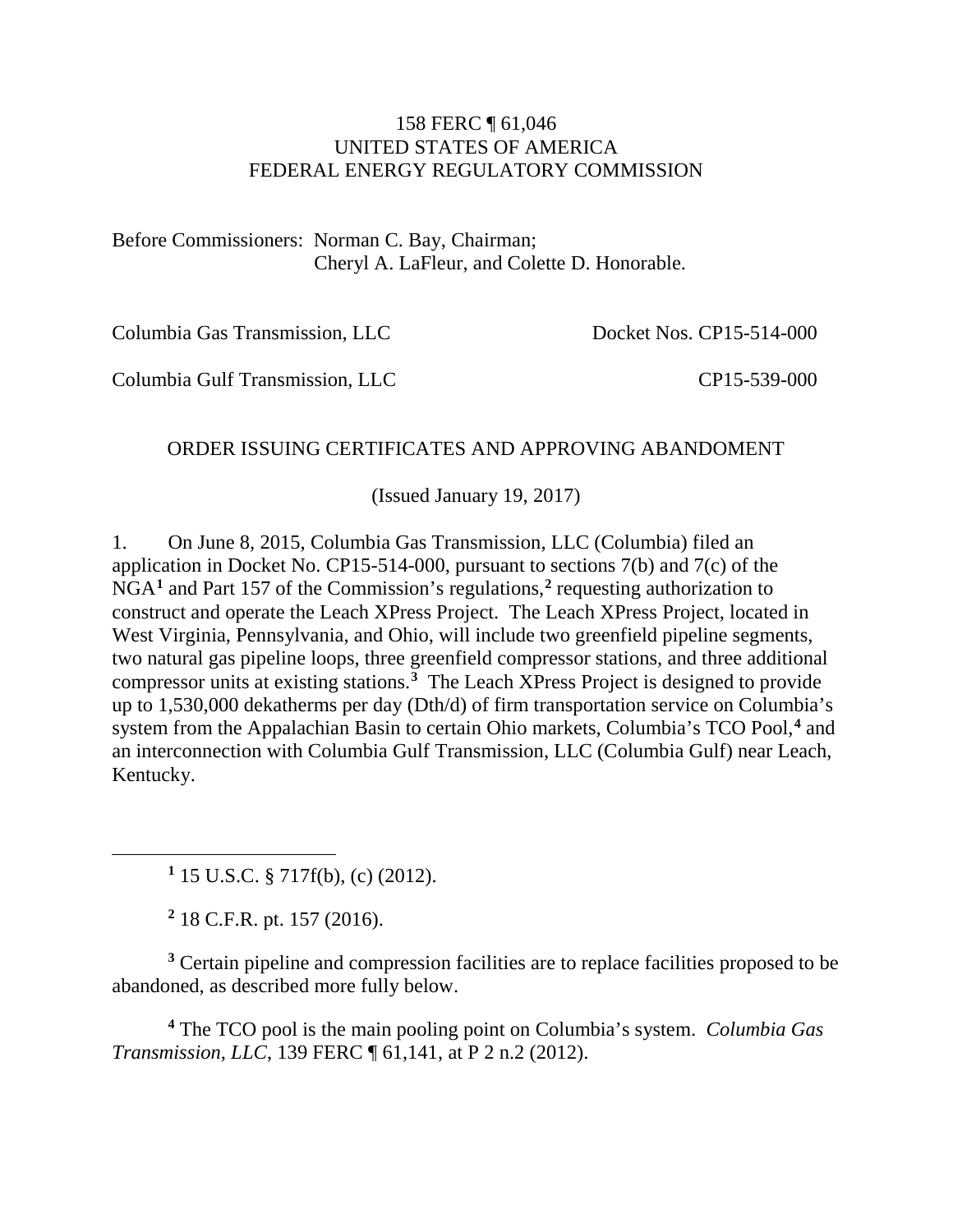#### 158 FERC ¶ 61,046 UNITED STATES OF AMERICA FEDERAL ENERGY REGULATORY COMMISSION

Before Commissioners: Norman C. Bay, Chairman; Cheryl A. LaFleur, and Colette D. Honorable.

Columbia Gas Transmission, LLC

Docket Nos. CP15-514-000

Columbia Gulf Transmission, LLC

CP15-539-000

#### ORDER ISSUING CERTIFICATES AND APPROVING ABANDOMENT

(Issued January 19, 2017)

1. On June 8, 2015, Columbia Gas Transmission, LLC (Columbia) filed an application in Docket No. CP15-514-000, pursuant to sections 7(b) and 7(c) of the NGA**[1](#page-0-0)** and Part 157 of the Commission's regulations,**[2](#page-0-1)** requesting authorization to construct and operate the Leach XPress Project. The Leach XPress Project, located in West Virginia, Pennsylvania, and Ohio, will include two greenfield pipeline segments, two natural gas pipeline loops, three greenfield compressor stations, and three additional compressor units at existing stations.**[3](#page-0-2)** The Leach XPress Project is designed to provide up to 1,530,000 dekatherms per day (Dth/d) of firm transportation service on Columbia's system from the Appalachian Basin to certain Ohio markets, Columbia's TCO Pool,**[4](#page-0-3)** and an interconnection with Columbia Gulf Transmission, LLC (Columbia Gulf) near Leach, Kentucky.

**<sup>1</sup>** 15 U.S.C. § 717f(b), (c) (2012).

**<sup>2</sup>** 18 C.F.R. pt. 157 (2016).

<span id="page-0-0"></span> $\overline{a}$ 

<span id="page-0-2"></span><span id="page-0-1"></span>**<sup>3</sup>** Certain pipeline and compression facilities are to replace facilities proposed to be abandoned, as described more fully below.

<span id="page-0-3"></span>**<sup>4</sup>** The TCO pool is the main pooling point on Columbia's system. *Columbia Gas Transmission, LLC*, 139 FERC ¶ 61,141, at P 2 n.2 (2012).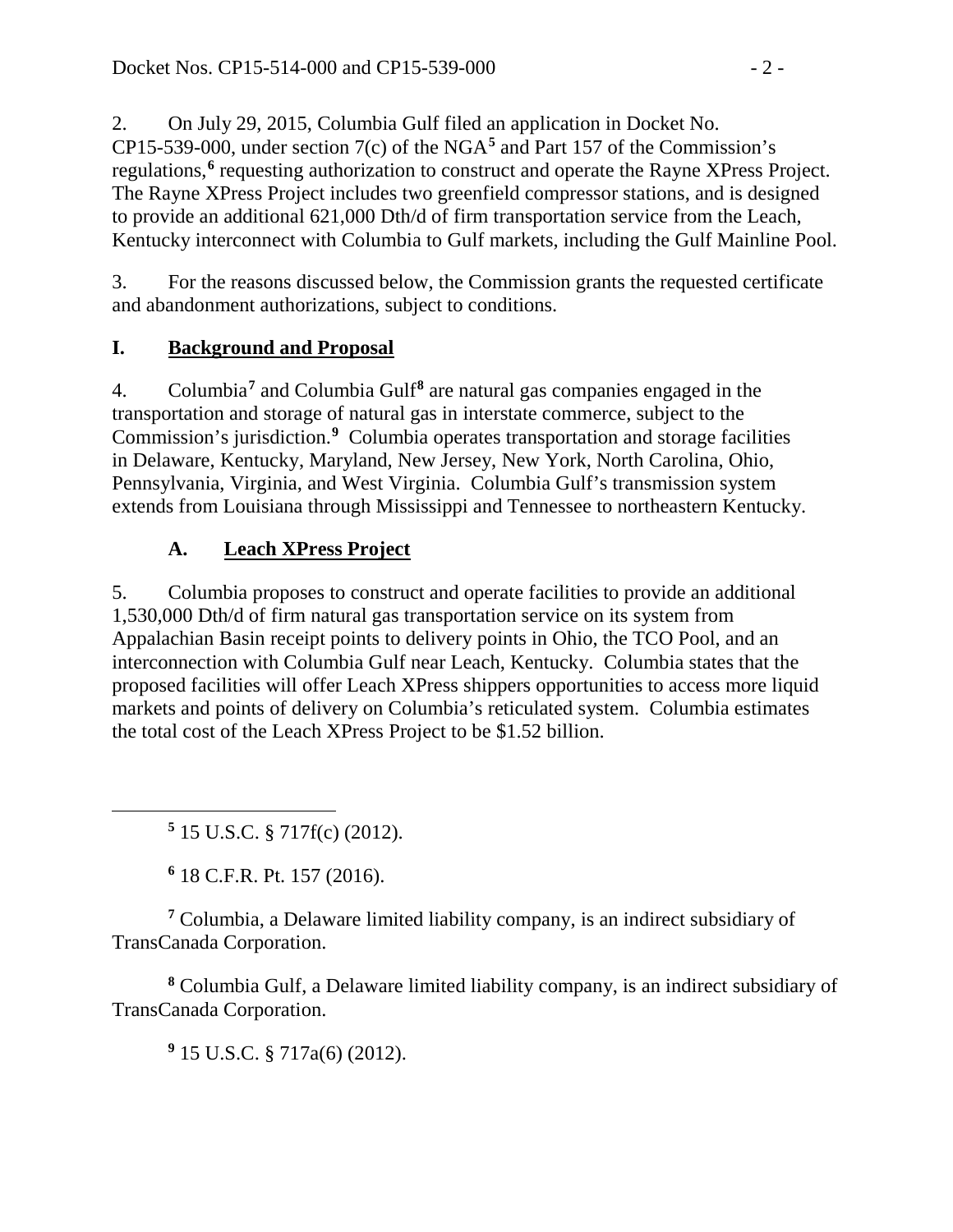2. On July 29, 2015, Columbia Gulf filed an application in Docket No. CP15-539-000, under section 7(c) of the NGA**[5](#page-1-0)** and Part 157 of the Commission's regulations,**[6](#page-1-1)** requesting authorization to construct and operate the Rayne XPress Project. The Rayne XPress Project includes two greenfield compressor stations, and is designed to provide an additional 621,000 Dth/d of firm transportation service from the Leach, Kentucky interconnect with Columbia to Gulf markets, including the Gulf Mainline Pool.

3. For the reasons discussed below, the Commission grants the requested certificate and abandonment authorizations, subject to conditions.

# **I. Background and Proposal**

4. Columbia**[7](#page-1-2)** and Columbia Gulf**[8](#page-1-3)** are natural gas companies engaged in the transportation and storage of natural gas in interstate commerce, subject to the Commission's jurisdiction.**[9](#page-1-4)** Columbia operates transportation and storage facilities in Delaware, Kentucky, Maryland, New Jersey, New York, North Carolina, Ohio, Pennsylvania, Virginia, and West Virginia. Columbia Gulf's transmission system extends from Louisiana through Mississippi and Tennessee to northeastern Kentucky.

# **A. Leach XPress Project**

5. Columbia proposes to construct and operate facilities to provide an additional 1,530,000 Dth/d of firm natural gas transportation service on its system from Appalachian Basin receipt points to delivery points in Ohio, the TCO Pool, and an interconnection with Columbia Gulf near Leach, Kentucky. Columbia states that the proposed facilities will offer Leach XPress shippers opportunities to access more liquid markets and points of delivery on Columbia's reticulated system. Columbia estimates the total cost of the Leach XPress Project to be \$1.52 billion.

**<sup>5</sup>** 15 U.S.C. § 717f(c) (2012).

**<sup>6</sup>** 18 C.F.R. Pt. 157 (2016).

<span id="page-1-0"></span> $\overline{a}$ 

<span id="page-1-2"></span><span id="page-1-1"></span>**<sup>7</sup>** Columbia, a Delaware limited liability company, is an indirect subsidiary of TransCanada Corporation.

<span id="page-1-4"></span><span id="page-1-3"></span>**<sup>8</sup>** Columbia Gulf, a Delaware limited liability company, is an indirect subsidiary of TransCanada Corporation.

**<sup>9</sup>** 15 U.S.C. § 717a(6) (2012).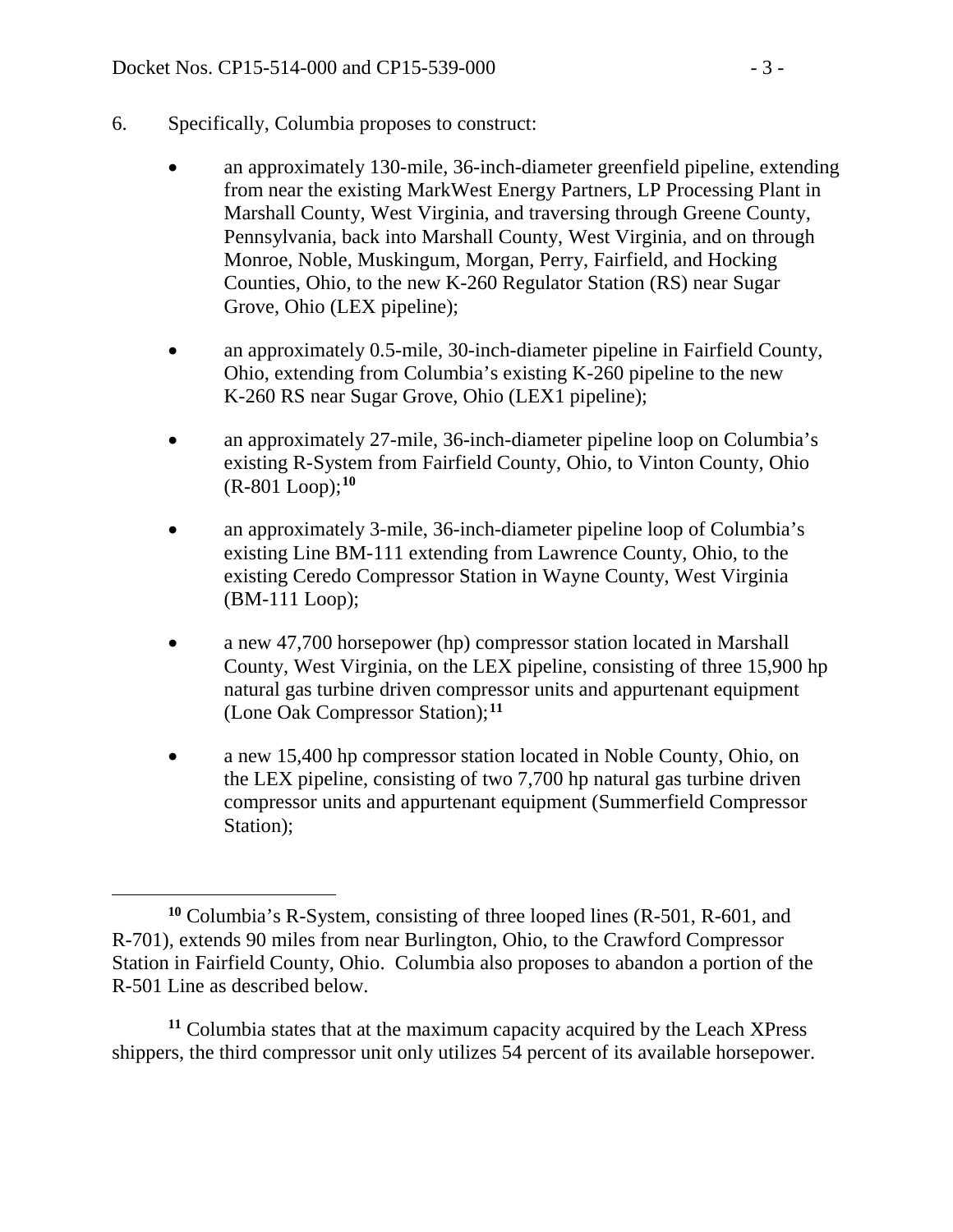- 6. Specifically, Columbia proposes to construct:
	- an approximately 130-mile, 36-inch-diameter greenfield pipeline, extending from near the existing MarkWest Energy Partners, LP Processing Plant in Marshall County, West Virginia, and traversing through Greene County, Pennsylvania, back into Marshall County, West Virginia, and on through Monroe, Noble, Muskingum, Morgan, Perry, Fairfield, and Hocking Counties, Ohio, to the new K-260 Regulator Station (RS) near Sugar Grove, Ohio (LEX pipeline);
	- an approximately 0.5-mile, 30-inch-diameter pipeline in Fairfield County, Ohio, extending from Columbia's existing K-260 pipeline to the new K-260 RS near Sugar Grove, Ohio (LEX1 pipeline);
	- an approximately 27-mile, 36-inch-diameter pipeline loop on Columbia's existing R-System from Fairfield County, Ohio, to Vinton County, Ohio (R-801 Loop); **[10](#page-2-0)**
	- an approximately 3-mile, 36-inch-diameter pipeline loop of Columbia's existing Line BM-111 extending from Lawrence County, Ohio, to the existing Ceredo Compressor Station in Wayne County, West Virginia (BM-111 Loop);
	- a new 47,700 horsepower (hp) compressor station located in Marshall County, West Virginia, on the LEX pipeline, consisting of three 15,900 hp natural gas turbine driven compressor units and appurtenant equipment (Lone Oak Compressor Station);**[11](#page-2-1)**
	- a new 15,400 hp compressor station located in Noble County, Ohio, on the LEX pipeline, consisting of two 7,700 hp natural gas turbine driven compressor units and appurtenant equipment (Summerfield Compressor Station);

<span id="page-2-1"></span>**<sup>11</sup>** Columbia states that at the maximum capacity acquired by the Leach XPress shippers, the third compressor unit only utilizes 54 percent of its available horsepower.

<span id="page-2-0"></span> $\overline{a}$ **<sup>10</sup>** Columbia's R-System, consisting of three looped lines (R-501, R-601, and R-701), extends 90 miles from near Burlington, Ohio, to the Crawford Compressor Station in Fairfield County, Ohio. Columbia also proposes to abandon a portion of the R-501 Line as described below.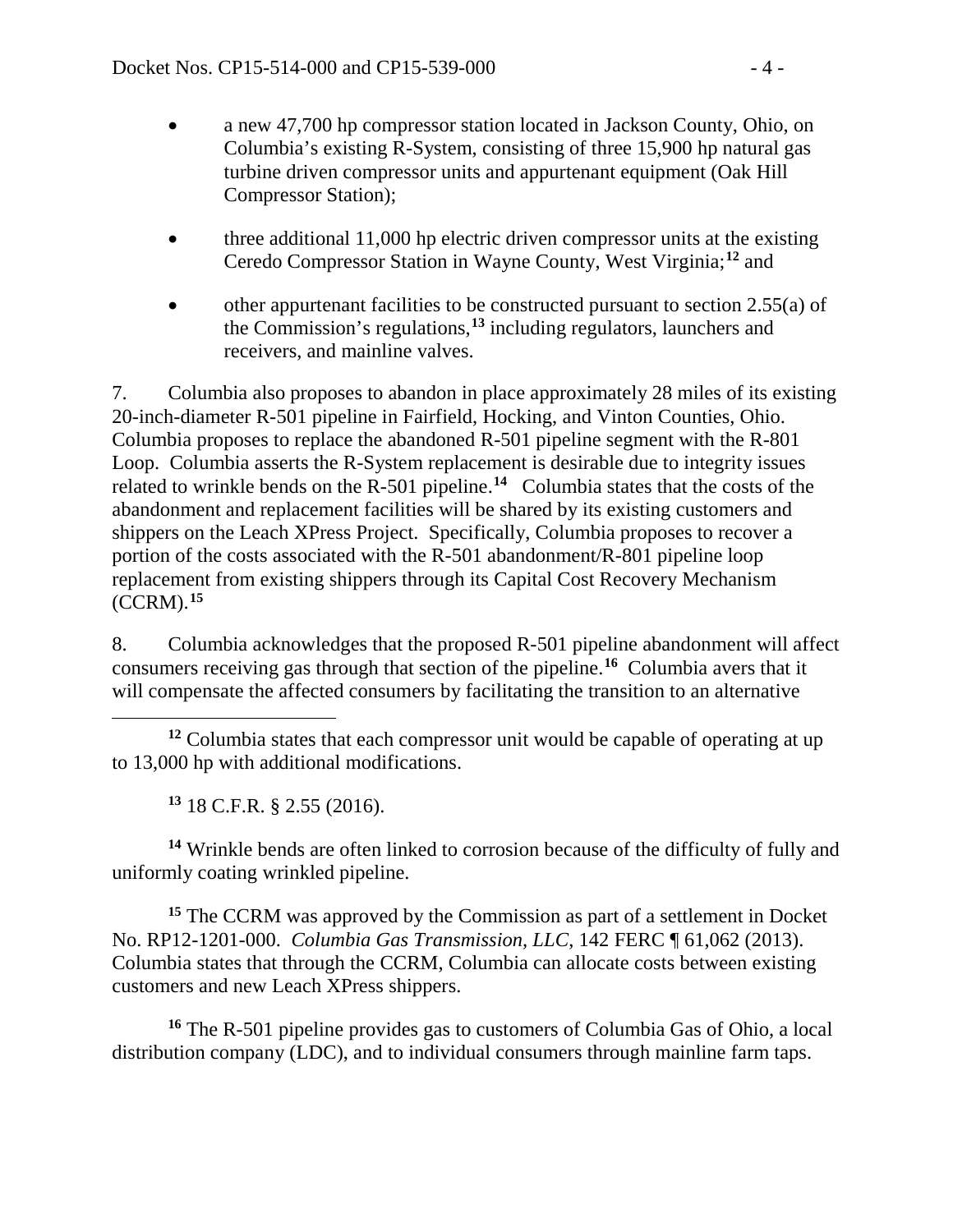- a new 47,700 hp compressor station located in Jackson County, Ohio, on Columbia's existing R-System, consisting of three 15,900 hp natural gas turbine driven compressor units and appurtenant equipment (Oak Hill Compressor Station);
- three additional 11,000 hp electric driven compressor units at the existing Ceredo Compressor Station in Wayne County, West Virginia;**[12](#page-3-0)** and
- other appurtenant facilities to be constructed pursuant to section 2.55(a) of the Commission's regulations,**[13](#page-3-1)** including regulators, launchers and receivers, and mainline valves.

7. Columbia also proposes to abandon in place approximately 28 miles of its existing 20-inch-diameter R-501 pipeline in Fairfield, Hocking, and Vinton Counties, Ohio. Columbia proposes to replace the abandoned R-501 pipeline segment with the R-801 Loop. Columbia asserts the R-System replacement is desirable due to integrity issues related to wrinkle bends on the R-501 pipeline.**[14](#page-3-2)** Columbia states that the costs of the abandonment and replacement facilities will be shared by its existing customers and shippers on the Leach XPress Project. Specifically, Columbia proposes to recover a portion of the costs associated with the R-501 abandonment/R-801 pipeline loop replacement from existing shippers through its Capital Cost Recovery Mechanism (CCRM).**[15](#page-3-3)**

8. Columbia acknowledges that the proposed R-501 pipeline abandonment will affect consumers receiving gas through that section of the pipeline.**[16](#page-3-4)** Columbia avers that it will compensate the affected consumers by facilitating the transition to an alternative

<span id="page-3-0"></span> $\overline{a}$ **<sup>12</sup>** Columbia states that each compressor unit would be capable of operating at up to 13,000 hp with additional modifications.

**<sup>13</sup>** 18 C.F.R. § 2.55 (2016).

<span id="page-3-2"></span><span id="page-3-1"></span>**<sup>14</sup>** Wrinkle bends are often linked to corrosion because of the difficulty of fully and uniformly coating wrinkled pipeline.

<span id="page-3-3"></span>**<sup>15</sup>** The CCRM was approved by the Commission as part of a settlement in Docket No. RP12-1201-000. *Columbia Gas Transmission, LLC*, 142 FERC ¶ 61,062 (2013). Columbia states that through the CCRM, Columbia can allocate costs between existing customers and new Leach XPress shippers.

<span id="page-3-4"></span>**<sup>16</sup>** The R-501 pipeline provides gas to customers of Columbia Gas of Ohio, a local distribution company (LDC), and to individual consumers through mainline farm taps.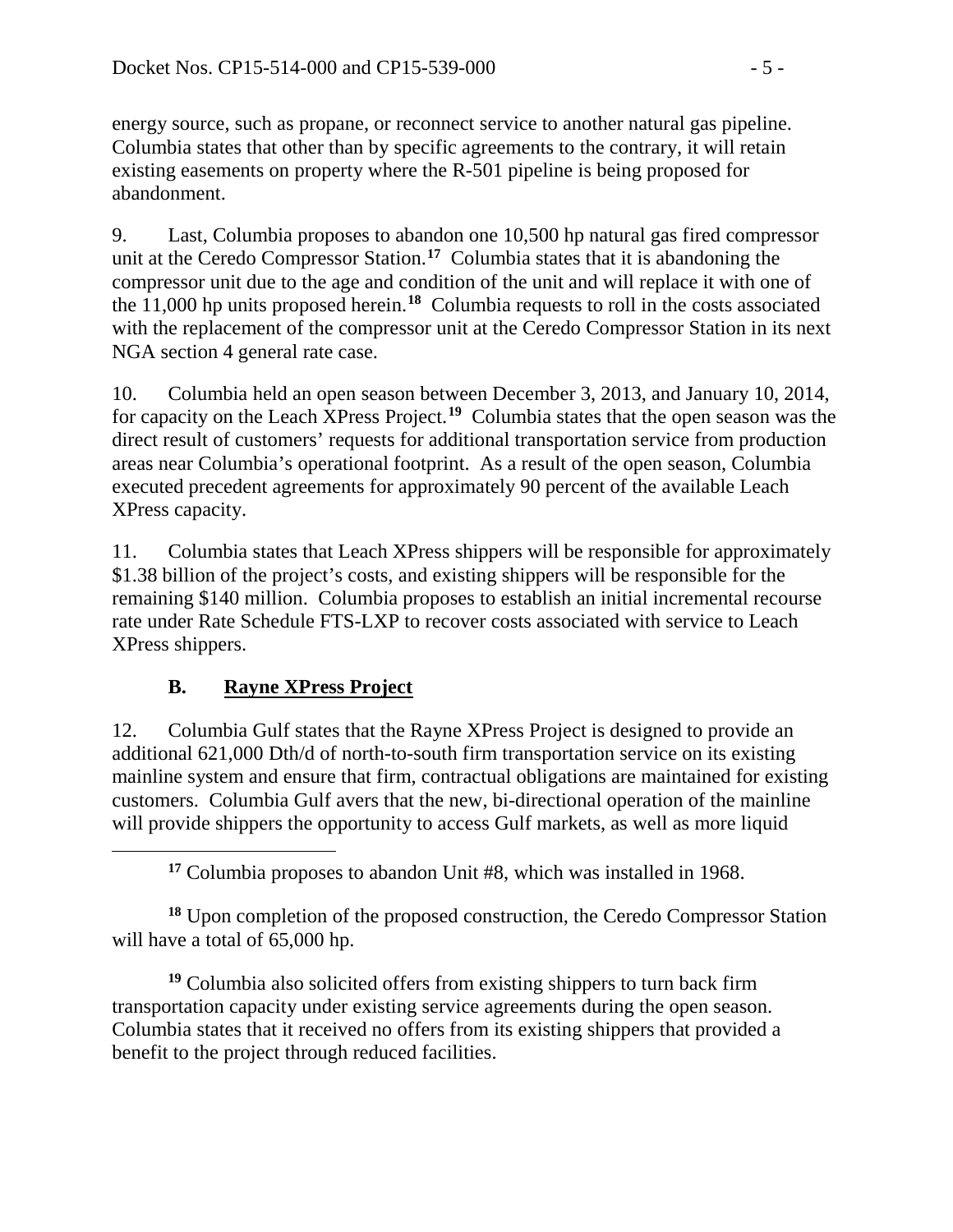energy source, such as propane, or reconnect service to another natural gas pipeline. Columbia states that other than by specific agreements to the contrary, it will retain existing easements on property where the R-501 pipeline is being proposed for abandonment.

9. Last, Columbia proposes to abandon one 10,500 hp natural gas fired compressor unit at the Ceredo Compressor Station.**[17](#page-4-0)** Columbia states that it is abandoning the compressor unit due to the age and condition of the unit and will replace it with one of the 11,000 hp units proposed herein.**[18](#page-4-1)** Columbia requests to roll in the costs associated with the replacement of the compressor unit at the Ceredo Compressor Station in its next NGA section 4 general rate case.

10. Columbia held an open season between December 3, 2013, and January 10, 2014, for capacity on the Leach XPress Project.**[19](#page-4-2)** Columbia states that the open season was the direct result of customers' requests for additional transportation service from production areas near Columbia's operational footprint. As a result of the open season, Columbia executed precedent agreements for approximately 90 percent of the available Leach XPress capacity.

11. Columbia states that Leach XPress shippers will be responsible for approximately \$1.38 billion of the project's costs, and existing shippers will be responsible for the remaining \$140 million. Columbia proposes to establish an initial incremental recourse rate under Rate Schedule FTS-LXP to recover costs associated with service to Leach XPress shippers.

# **B. Rayne XPress Project**

<span id="page-4-0"></span> $\overline{a}$ 

12. Columbia Gulf states that the Rayne XPress Project is designed to provide an additional 621,000 Dth/d of north-to-south firm transportation service on its existing mainline system and ensure that firm, contractual obligations are maintained for existing customers. Columbia Gulf avers that the new, bi-directional operation of the mainline will provide shippers the opportunity to access Gulf markets, as well as more liquid

**<sup>17</sup>** Columbia proposes to abandon Unit #8, which was installed in 1968.

<span id="page-4-1"></span>**<sup>18</sup>** Upon completion of the proposed construction, the Ceredo Compressor Station will have a total of 65,000 hp.

<span id="page-4-2"></span>**<sup>19</sup>** Columbia also solicited offers from existing shippers to turn back firm transportation capacity under existing service agreements during the open season. Columbia states that it received no offers from its existing shippers that provided a benefit to the project through reduced facilities.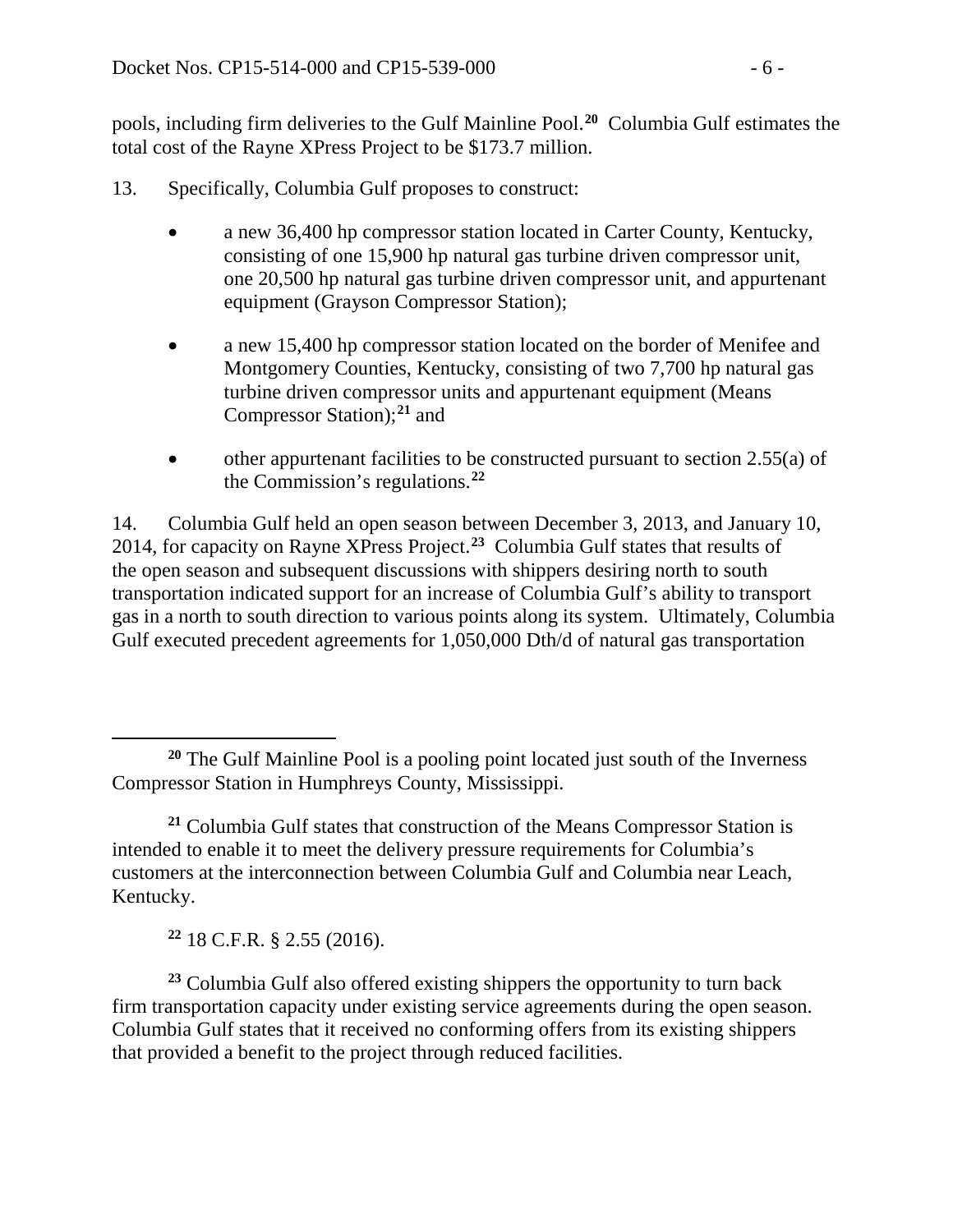pools, including firm deliveries to the Gulf Mainline Pool. **[20](#page-5-0)** Columbia Gulf estimates the total cost of the Rayne XPress Project to be \$173.7 million.

- 13. Specifically, Columbia Gulf proposes to construct:
	- a new 36,400 hp compressor station located in Carter County, Kentucky, consisting of one 15,900 hp natural gas turbine driven compressor unit, one 20,500 hp natural gas turbine driven compressor unit, and appurtenant equipment (Grayson Compressor Station);
	- a new 15,400 hp compressor station located on the border of Menifee and Montgomery Counties, Kentucky, consisting of two 7,700 hp natural gas turbine driven compressor units and appurtenant equipment (Means Compressor Station);**[21](#page-5-1)** and
	- other appurtenant facilities to be constructed pursuant to section 2.55(a) of the Commission's regulations. **[22](#page-5-2)**

14. Columbia Gulf held an open season between December 3, 2013, and January 10, 2014, for capacity on Rayne XPress Project.**[23](#page-5-3)** Columbia Gulf states that results of the open season and subsequent discussions with shippers desiring north to south transportation indicated support for an increase of Columbia Gulf's ability to transport gas in a north to south direction to various points along its system. Ultimately, Columbia Gulf executed precedent agreements for 1,050,000 Dth/d of natural gas transportation

**<sup>22</sup>** 18 C.F.R. § 2.55 (2016).

<span id="page-5-3"></span><span id="page-5-2"></span>**<sup>23</sup>** Columbia Gulf also offered existing shippers the opportunity to turn back firm transportation capacity under existing service agreements during the open season. Columbia Gulf states that it received no conforming offers from its existing shippers that provided a benefit to the project through reduced facilities.

<span id="page-5-0"></span> $\overline{a}$ **<sup>20</sup>** The Gulf Mainline Pool is a pooling point located just south of the Inverness Compressor Station in Humphreys County, Mississippi.

<span id="page-5-1"></span>**<sup>21</sup>** Columbia Gulf states that construction of the Means Compressor Station is intended to enable it to meet the delivery pressure requirements for Columbia's customers at the interconnection between Columbia Gulf and Columbia near Leach, Kentucky.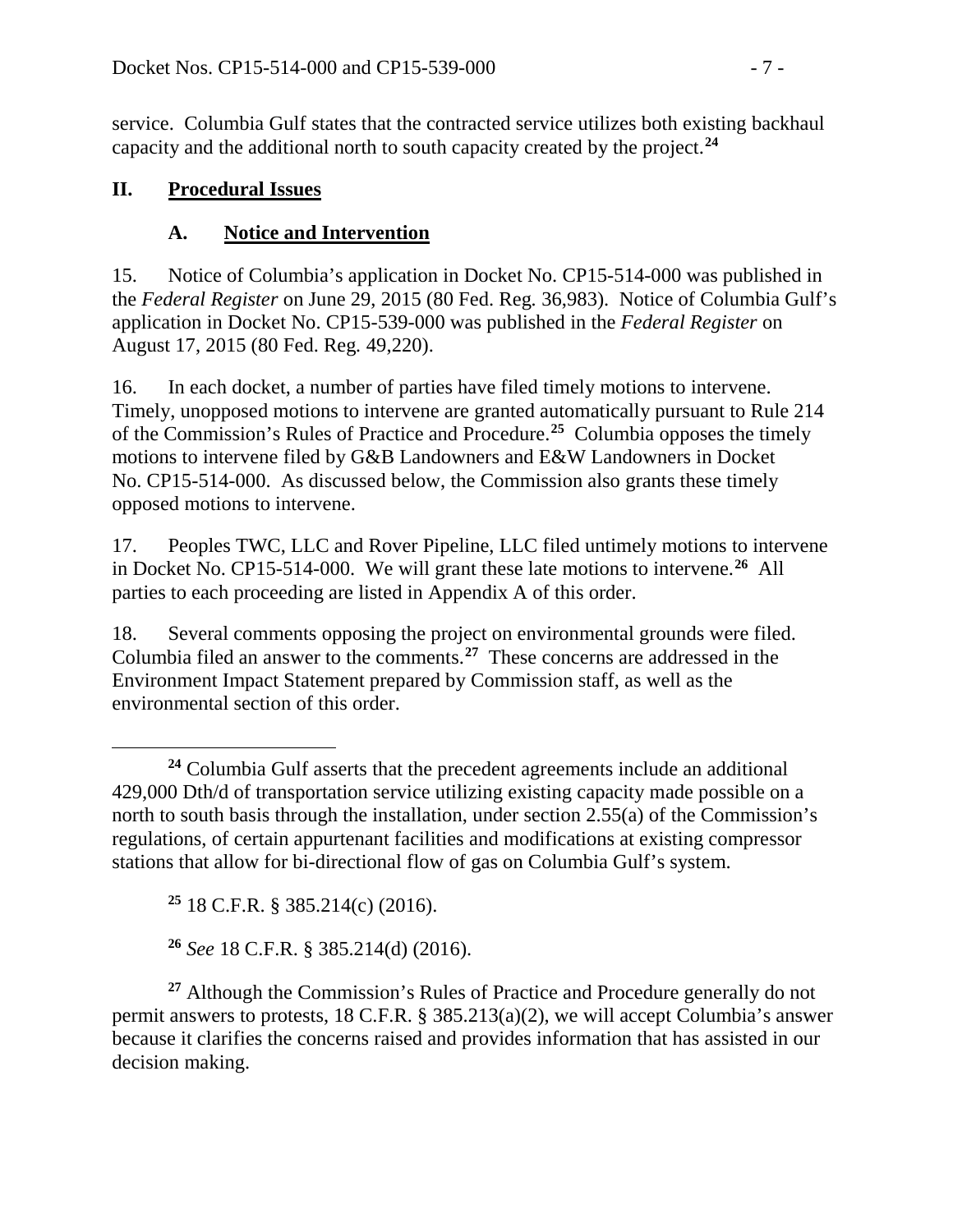service. Columbia Gulf states that the contracted service utilizes both existing backhaul capacity and the additional north to south capacity created by the project.**[24](#page-6-0)**

## **II. Procedural Issues**

## **A. Notice and Intervention**

15. Notice of Columbia's application in Docket No. CP15-514-000 was published in the *Federal Register* on June 29, 2015 (80 Fed. Reg*.* 36,983). Notice of Columbia Gulf's application in Docket No. CP15-539-000 was published in the *Federal Register* on August 17, 2015 (80 Fed. Reg*.* 49,220).

16. In each docket, a number of parties have filed timely motions to intervene. Timely, unopposed motions to intervene are granted automatically pursuant to Rule 214 of the Commission's Rules of Practice and Procedure.**[25](#page-6-1)** Columbia opposes the timely motions to intervene filed by G&B Landowners and E&W Landowners in Docket No. CP15-514-000. As discussed below, the Commission also grants these timely opposed motions to intervene.

17. Peoples TWC, LLC and Rover Pipeline, LLC filed untimely motions to intervene in Docket No. CP15-514-000. We will grant these late motions to intervene.**[26](#page-6-2)** All parties to each proceeding are listed in Appendix A of this order.

18. Several comments opposing the project on environmental grounds were filed. Columbia filed an answer to the comments.**[27](#page-6-3)** These concerns are addressed in the Environment Impact Statement prepared by Commission staff, as well as the environmental section of this order.

**<sup>25</sup>** 18 C.F.R. § 385.214(c) (2016).

**<sup>26</sup>** *See* 18 C.F.R. § 385.214(d) (2016).

<span id="page-6-3"></span><span id="page-6-2"></span><span id="page-6-1"></span>**<sup>27</sup>** Although the Commission's Rules of Practice and Procedure generally do not permit answers to protests, 18 C.F.R. § 385.213(a)(2), we will accept Columbia's answer because it clarifies the concerns raised and provides information that has assisted in our decision making.

<span id="page-6-0"></span> $\overline{a}$ **<sup>24</sup>** Columbia Gulf asserts that the precedent agreements include an additional 429,000 Dth/d of transportation service utilizing existing capacity made possible on a north to south basis through the installation, under section 2.55(a) of the Commission's regulations, of certain appurtenant facilities and modifications at existing compressor stations that allow for bi-directional flow of gas on Columbia Gulf's system.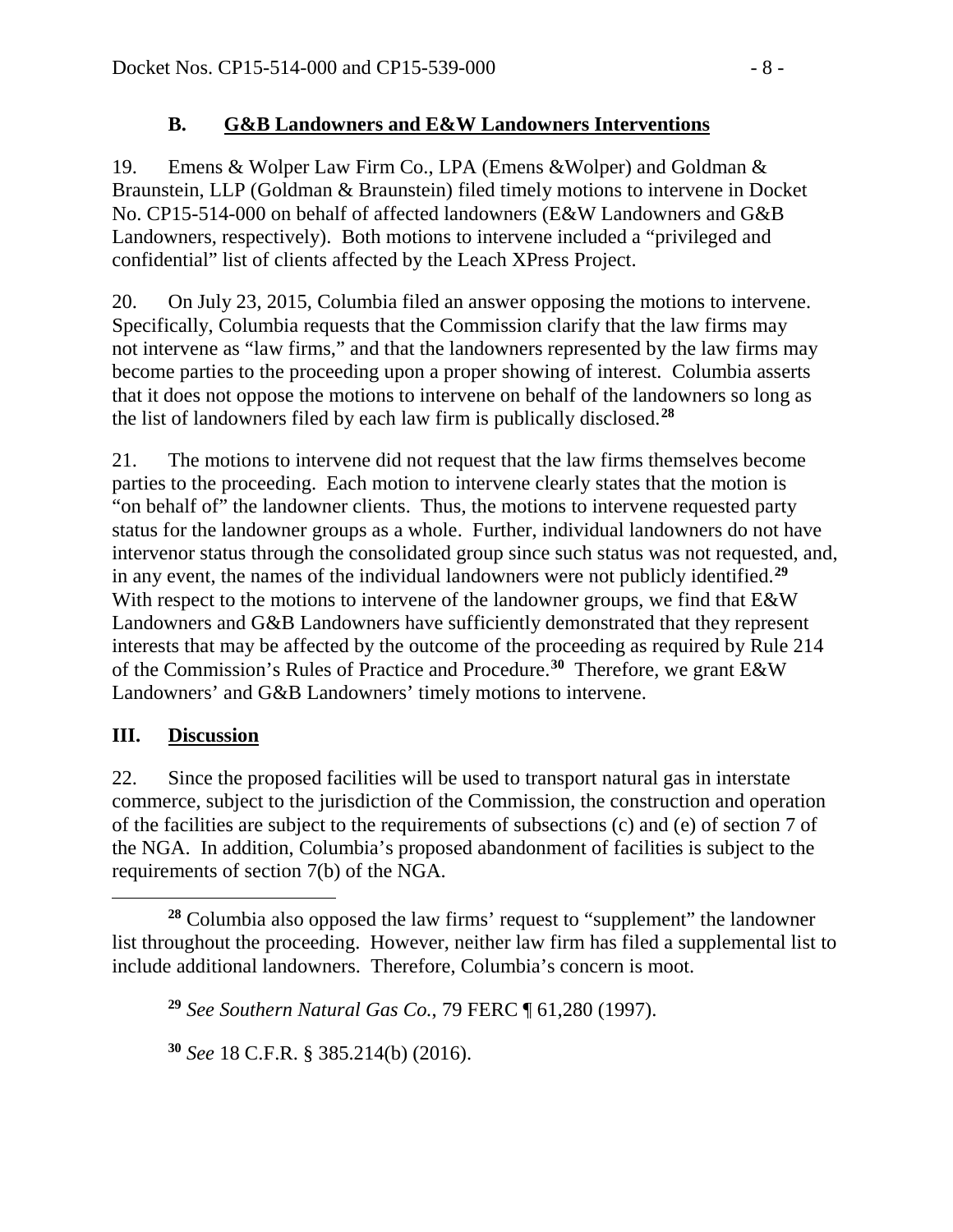## **B. G&B Landowners and E&W Landowners Interventions**

19. Emens & Wolper Law Firm Co., LPA (Emens &Wolper) and Goldman & Braunstein, LLP (Goldman & Braunstein) filed timely motions to intervene in Docket No. CP15-514-000 on behalf of affected landowners (E&W Landowners and G&B Landowners, respectively). Both motions to intervene included a "privileged and confidential" list of clients affected by the Leach XPress Project.

20. On July 23, 2015, Columbia filed an answer opposing the motions to intervene. Specifically, Columbia requests that the Commission clarify that the law firms may not intervene as "law firms," and that the landowners represented by the law firms may become parties to the proceeding upon a proper showing of interest. Columbia asserts that it does not oppose the motions to intervene on behalf of the landowners so long as the list of landowners filed by each law firm is publically disclosed.**[28](#page-7-0)**

21. The motions to intervene did not request that the law firms themselves become parties to the proceeding. Each motion to intervene clearly states that the motion is "on behalf of" the landowner clients. Thus, the motions to intervene requested party status for the landowner groups as a whole. Further, individual landowners do not have intervenor status through the consolidated group since such status was not requested, and, in any event, the names of the individual landowners were not publicly identified. **[29](#page-7-1)** With respect to the motions to intervene of the landowner groups, we find that  $E&W$ Landowners and G&B Landowners have sufficiently demonstrated that they represent interests that may be affected by the outcome of the proceeding as required by Rule 214 of the Commission's Rules of Practice and Procedure.**[30](#page-7-2)** Therefore, we grant E&W Landowners' and G&B Landowners' timely motions to intervene.

## **III. Discussion**

 $\overline{a}$ 

22. Since the proposed facilities will be used to transport natural gas in interstate commerce, subject to the jurisdiction of the Commission, the construction and operation of the facilities are subject to the requirements of subsections (c) and (e) of section 7 of the NGA. In addition, Columbia's proposed abandonment of facilities is subject to the requirements of section 7(b) of the NGA.

<span id="page-7-1"></span><span id="page-7-0"></span>**<sup>28</sup>** Columbia also opposed the law firms' request to "supplement" the landowner list throughout the proceeding. However, neither law firm has filed a supplemental list to include additional landowners. Therefore, Columbia's concern is moot.

**<sup>29</sup>** *See Southern Natural Gas Co.*, 79 FERC ¶ 61,280 (1997).

<span id="page-7-2"></span>**<sup>30</sup>** *See* 18 C.F.R. § 385.214(b) (2016).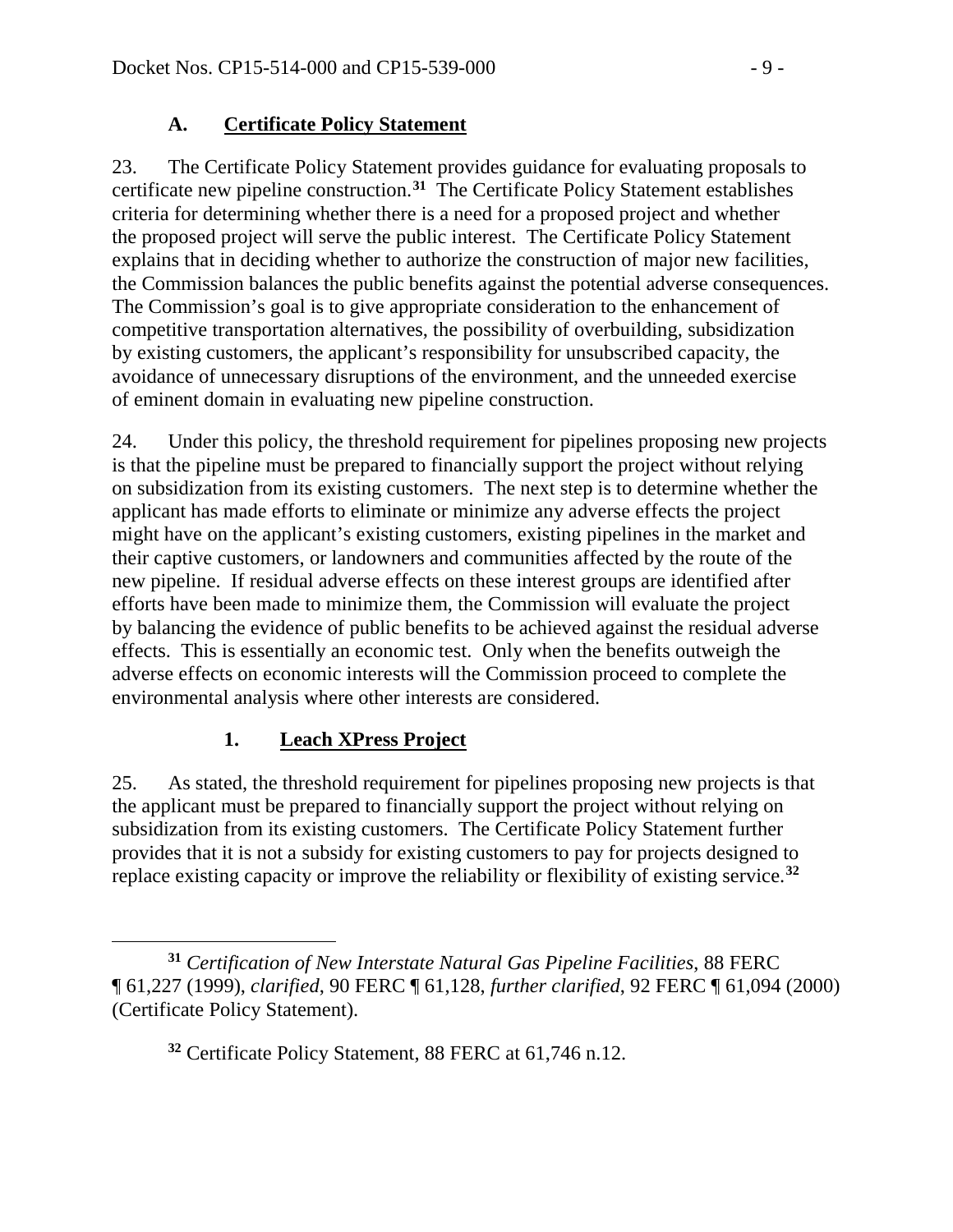## **A. Certificate Policy Statement**

23. The Certificate Policy Statement provides guidance for evaluating proposals to certificate new pipeline construction.**[31](#page-8-0)** The Certificate Policy Statement establishes criteria for determining whether there is a need for a proposed project and whether the proposed project will serve the public interest. The Certificate Policy Statement explains that in deciding whether to authorize the construction of major new facilities, the Commission balances the public benefits against the potential adverse consequences. The Commission's goal is to give appropriate consideration to the enhancement of competitive transportation alternatives, the possibility of overbuilding, subsidization by existing customers, the applicant's responsibility for unsubscribed capacity, the avoidance of unnecessary disruptions of the environment, and the unneeded exercise of eminent domain in evaluating new pipeline construction.

24. Under this policy, the threshold requirement for pipelines proposing new projects is that the pipeline must be prepared to financially support the project without relying on subsidization from its existing customers. The next step is to determine whether the applicant has made efforts to eliminate or minimize any adverse effects the project might have on the applicant's existing customers, existing pipelines in the market and their captive customers, or landowners and communities affected by the route of the new pipeline. If residual adverse effects on these interest groups are identified after efforts have been made to minimize them, the Commission will evaluate the project by balancing the evidence of public benefits to be achieved against the residual adverse effects. This is essentially an economic test. Only when the benefits outweigh the adverse effects on economic interests will the Commission proceed to complete the environmental analysis where other interests are considered.

# **1. Leach XPress Project**

25. As stated, the threshold requirement for pipelines proposing new projects is that the applicant must be prepared to financially support the project without relying on subsidization from its existing customers. The Certificate Policy Statement further provides that it is not a subsidy for existing customers to pay for projects designed to replace existing capacity or improve the reliability or flexibility of existing service.**[32](#page-8-1)**

<span id="page-8-1"></span><span id="page-8-0"></span> $\overline{a}$ **<sup>31</sup>** *Certification of New Interstate Natural Gas Pipeline Facilities*, 88 FERC ¶ 61,227 (1999), *clarified*, 90 FERC ¶ 61,128, *further clarified*, 92 FERC ¶ 61,094 (2000) (Certificate Policy Statement).

**<sup>32</sup>** Certificate Policy Statement, 88 FERC at 61,746 n.12.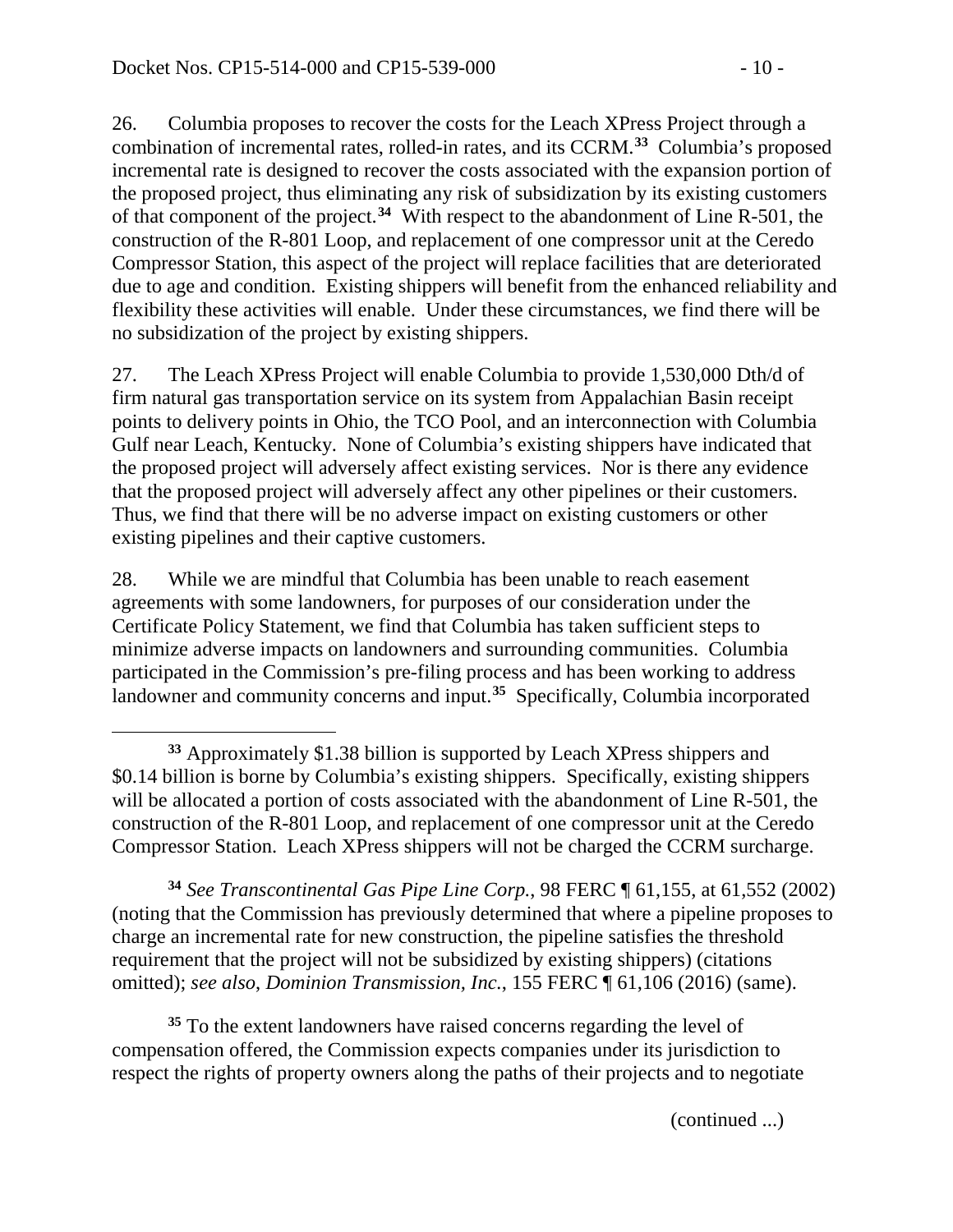$\overline{a}$ 

26. Columbia proposes to recover the costs for the Leach XPress Project through a combination of incremental rates, rolled-in rates, and its CCRM.**[33](#page-9-0)** Columbia's proposed incremental rate is designed to recover the costs associated with the expansion portion of the proposed project, thus eliminating any risk of subsidization by its existing customers of that component of the project.**[34](#page-9-1)** With respect to the abandonment of Line R-501, the construction of the R-801 Loop, and replacement of one compressor unit at the Ceredo Compressor Station, this aspect of the project will replace facilities that are deteriorated due to age and condition. Existing shippers will benefit from the enhanced reliability and flexibility these activities will enable. Under these circumstances, we find there will be no subsidization of the project by existing shippers.

27. The Leach XPress Project will enable Columbia to provide 1,530,000 Dth/d of firm natural gas transportation service on its system from Appalachian Basin receipt points to delivery points in Ohio, the TCO Pool, and an interconnection with Columbia Gulf near Leach, Kentucky. None of Columbia's existing shippers have indicated that the proposed project will adversely affect existing services. Nor is there any evidence that the proposed project will adversely affect any other pipelines or their customers. Thus, we find that there will be no adverse impact on existing customers or other existing pipelines and their captive customers.

28. While we are mindful that Columbia has been unable to reach easement agreements with some landowners, for purposes of our consideration under the Certificate Policy Statement, we find that Columbia has taken sufficient steps to minimize adverse impacts on landowners and surrounding communities. Columbia participated in the Commission's pre-filing process and has been working to address landowner and community concerns and input.**[35](#page-9-2)** Specifically, Columbia incorporated

<span id="page-9-1"></span>**<sup>34</sup>** *See Transcontinental Gas Pipe Line Corp.*, 98 FERC ¶ 61,155, at 61,552 (2002) (noting that the Commission has previously determined that where a pipeline proposes to charge an incremental rate for new construction, the pipeline satisfies the threshold requirement that the project will not be subsidized by existing shippers) (citations omitted); *see also*, *Dominion Transmission, Inc.*, 155 FERC ¶ 61,106 (2016) (same).

<span id="page-9-2"></span>**<sup>35</sup>** To the extent landowners have raised concerns regarding the level of compensation offered, the Commission expects companies under its jurisdiction to respect the rights of property owners along the paths of their projects and to negotiate

(continued ...)

<span id="page-9-0"></span>**<sup>33</sup>** Approximately \$1.38 billion is supported by Leach XPress shippers and \$0.14 billion is borne by Columbia's existing shippers. Specifically, existing shippers will be allocated a portion of costs associated with the abandonment of Line R-501, the construction of the R-801 Loop, and replacement of one compressor unit at the Ceredo Compressor Station. Leach XPress shippers will not be charged the CCRM surcharge.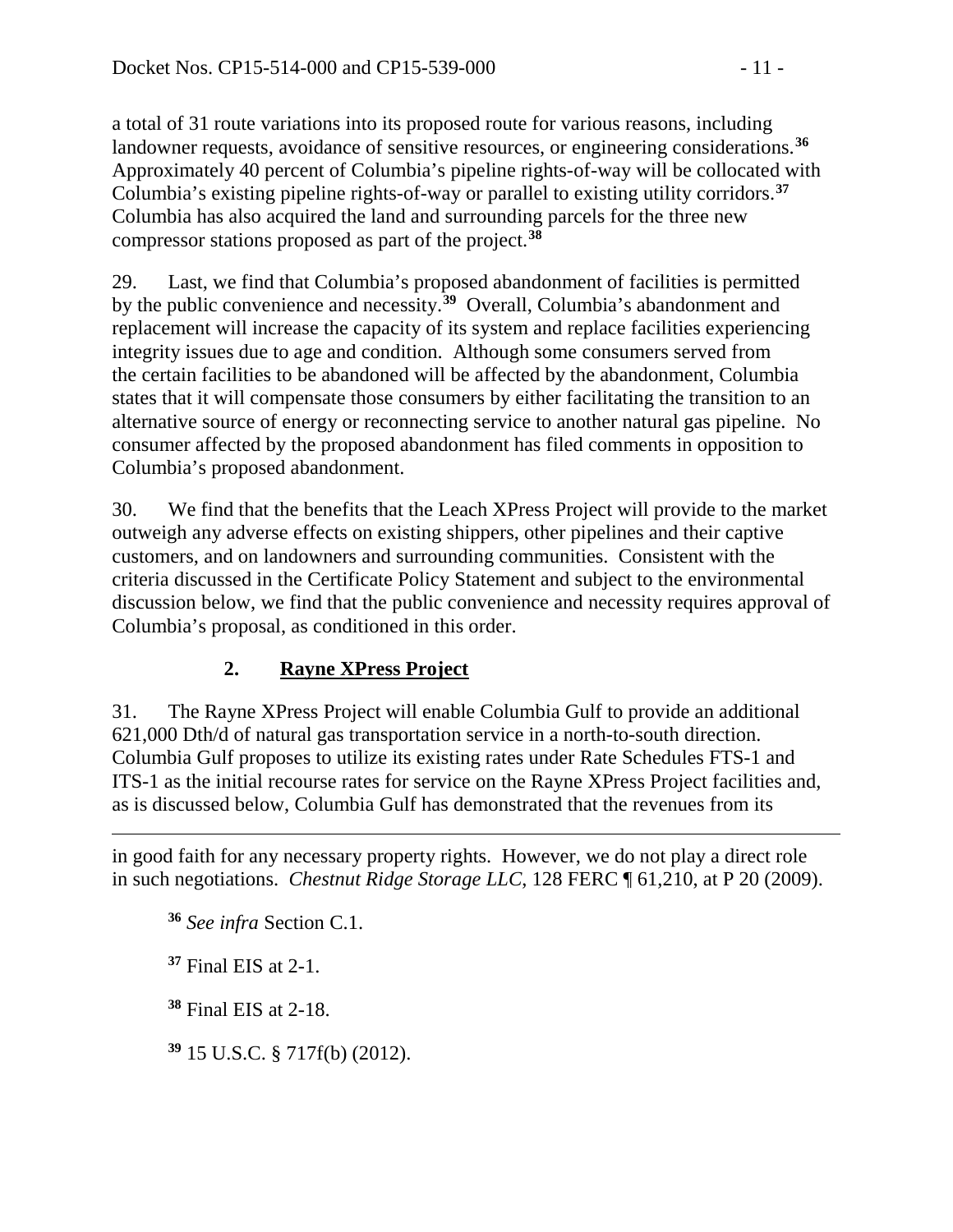a total of 31 route variations into its proposed route for various reasons, including landowner requests, avoidance of sensitive resources, or engineering considerations.**[36](#page-10-0)** Approximately 40 percent of Columbia's pipeline rights-of-way will be collocated with Columbia's existing pipeline rights-of-way or parallel to existing utility corridors.**[37](#page-10-1)** Columbia has also acquired the land and surrounding parcels for the three new compressor stations proposed as part of the project.**[38](#page-10-2)**

29. Last, we find that Columbia's proposed abandonment of facilities is permitted by the public convenience and necessity.**[39](#page-10-3)** Overall, Columbia's abandonment and replacement will increase the capacity of its system and replace facilities experiencing integrity issues due to age and condition. Although some consumers served from the certain facilities to be abandoned will be affected by the abandonment, Columbia states that it will compensate those consumers by either facilitating the transition to an alternative source of energy or reconnecting service to another natural gas pipeline. No consumer affected by the proposed abandonment has filed comments in opposition to Columbia's proposed abandonment.

30. We find that the benefits that the Leach XPress Project will provide to the market outweigh any adverse effects on existing shippers, other pipelines and their captive customers, and on landowners and surrounding communities. Consistent with the criteria discussed in the Certificate Policy Statement and subject to the environmental discussion below, we find that the public convenience and necessity requires approval of Columbia's proposal, as conditioned in this order.

# **2. Rayne XPress Project**

31. The Rayne XPress Project will enable Columbia Gulf to provide an additional 621,000 Dth/d of natural gas transportation service in a north-to-south direction. Columbia Gulf proposes to utilize its existing rates under Rate Schedules FTS-1 and ITS-1 as the initial recourse rates for service on the Rayne XPress Project facilities and, as is discussed below, Columbia Gulf has demonstrated that the revenues from its

<span id="page-10-1"></span><span id="page-10-0"></span>in good faith for any necessary property rights. However, we do not play a direct role in such negotiations. *Chestnut Ridge Storage LLC*, 128 FERC ¶ 61,210, at P 20 (2009).

**<sup>36</sup>** *See infra* Section C.1.

**<sup>37</sup>** Final EIS at 2-1.

 $\overline{a}$ 

<span id="page-10-2"></span>**<sup>38</sup>** Final EIS at 2-18.

<span id="page-10-3"></span>**<sup>39</sup>** 15 U.S.C. § 717f(b) (2012).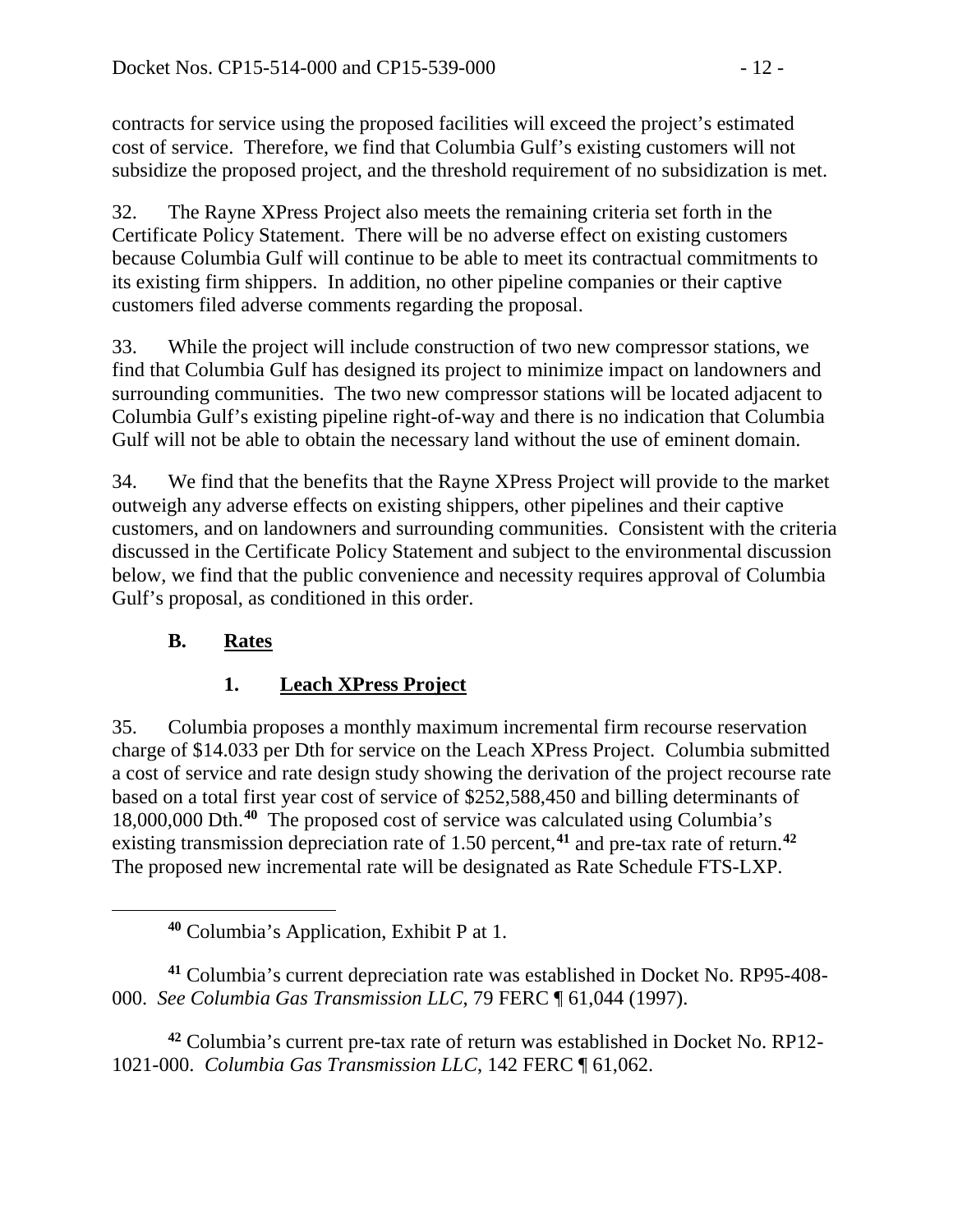contracts for service using the proposed facilities will exceed the project's estimated cost of service. Therefore, we find that Columbia Gulf's existing customers will not subsidize the proposed project, and the threshold requirement of no subsidization is met.

32. The Rayne XPress Project also meets the remaining criteria set forth in the Certificate Policy Statement. There will be no adverse effect on existing customers because Columbia Gulf will continue to be able to meet its contractual commitments to its existing firm shippers. In addition, no other pipeline companies or their captive customers filed adverse comments regarding the proposal.

33. While the project will include construction of two new compressor stations, we find that Columbia Gulf has designed its project to minimize impact on landowners and surrounding communities. The two new compressor stations will be located adjacent to Columbia Gulf's existing pipeline right-of-way and there is no indication that Columbia Gulf will not be able to obtain the necessary land without the use of eminent domain.

34. We find that the benefits that the Rayne XPress Project will provide to the market outweigh any adverse effects on existing shippers, other pipelines and their captive customers, and on landowners and surrounding communities. Consistent with the criteria discussed in the Certificate Policy Statement and subject to the environmental discussion below, we find that the public convenience and necessity requires approval of Columbia Gulf's proposal, as conditioned in this order.

# **B. Rates**

<span id="page-11-0"></span> $\overline{a}$ 

# **1. Leach XPress Project**

35. Columbia proposes a monthly maximum incremental firm recourse reservation charge of \$14.033 per Dth for service on the Leach XPress Project. Columbia submitted a cost of service and rate design study showing the derivation of the project recourse rate based on a total first year cost of service of \$252,588,450 and billing determinants of 18,000,000 Dth. **[40](#page-11-0)** The proposed cost of service was calculated using Columbia's existing transmission depreciation rate of 1.50 percent,**[41](#page-11-1)** and pre-tax rate of return.**[42](#page-11-2)** The proposed new incremental rate will be designated as Rate Schedule FTS-LXP.

<span id="page-11-1"></span>**<sup>41</sup>** Columbia's current depreciation rate was established in Docket No. RP95-408- 000. *See Columbia Gas Transmission LLC*, 79 FERC ¶ 61,044 (1997).

<span id="page-11-2"></span>**<sup>42</sup>** Columbia's current pre-tax rate of return was established in Docket No. RP12- 1021-000. *Columbia Gas Transmission LLC*, 142 FERC ¶ 61,062.

**<sup>40</sup>** Columbia's Application, Exhibit P at 1.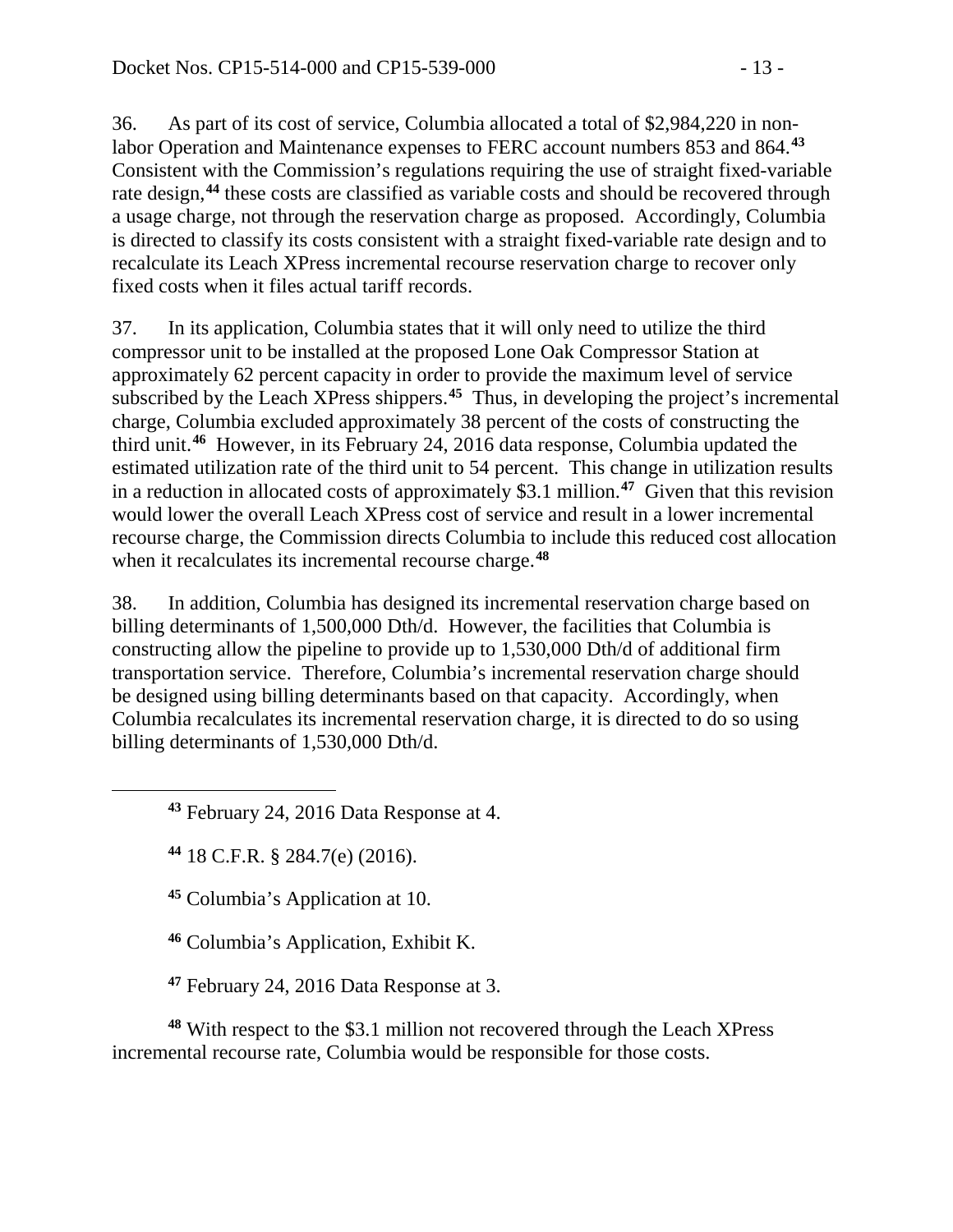36. As part of its cost of service, Columbia allocated a total of \$2,984,220 in nonlabor Operation and Maintenance expenses to FERC account numbers 853 and 864.**[43](#page-12-0)** Consistent with the Commission's regulations requiring the use of straight fixed-variable rate design,**[44](#page-12-1)** these costs are classified as variable costs and should be recovered through a usage charge, not through the reservation charge as proposed. Accordingly, Columbia is directed to classify its costs consistent with a straight fixed-variable rate design and to recalculate its Leach XPress incremental recourse reservation charge to recover only fixed costs when it files actual tariff records.

37. In its application, Columbia states that it will only need to utilize the third compressor unit to be installed at the proposed Lone Oak Compressor Station at approximately 62 percent capacity in order to provide the maximum level of service subscribed by the Leach XPress shippers.**[45](#page-12-2)** Thus, in developing the project's incremental charge, Columbia excluded approximately 38 percent of the costs of constructing the third unit.**[46](#page-12-3)** However, in its February 24, 2016 data response, Columbia updated the estimated utilization rate of the third unit to 54 percent. This change in utilization results in a reduction in allocated costs of approximately \$3.1 million.**[47](#page-12-4)** Given that this revision would lower the overall Leach XPress cost of service and result in a lower incremental recourse charge, the Commission directs Columbia to include this reduced cost allocation when it recalculates its incremental recourse charge. **[48](#page-12-5)**

38. In addition, Columbia has designed its incremental reservation charge based on billing determinants of 1,500,000 Dth/d. However, the facilities that Columbia is constructing allow the pipeline to provide up to 1,530,000 Dth/d of additional firm transportation service. Therefore, Columbia's incremental reservation charge should be designed using billing determinants based on that capacity. Accordingly, when Columbia recalculates its incremental reservation charge, it is directed to do so using billing determinants of 1,530,000 Dth/d.

**<sup>43</sup>** February 24, 2016 Data Response at 4.

**<sup>44</sup>** 18 C.F.R. § 284.7(e) (2016).

<span id="page-12-2"></span><span id="page-12-1"></span><span id="page-12-0"></span> $\overline{a}$ 

**<sup>45</sup>** Columbia's Application at 10.

**<sup>46</sup>** Columbia's Application, Exhibit K.

**<sup>47</sup>** February 24, 2016 Data Response at 3.

<span id="page-12-5"></span><span id="page-12-4"></span><span id="page-12-3"></span>**<sup>48</sup>** With respect to the \$3.1 million not recovered through the Leach XPress incremental recourse rate, Columbia would be responsible for those costs.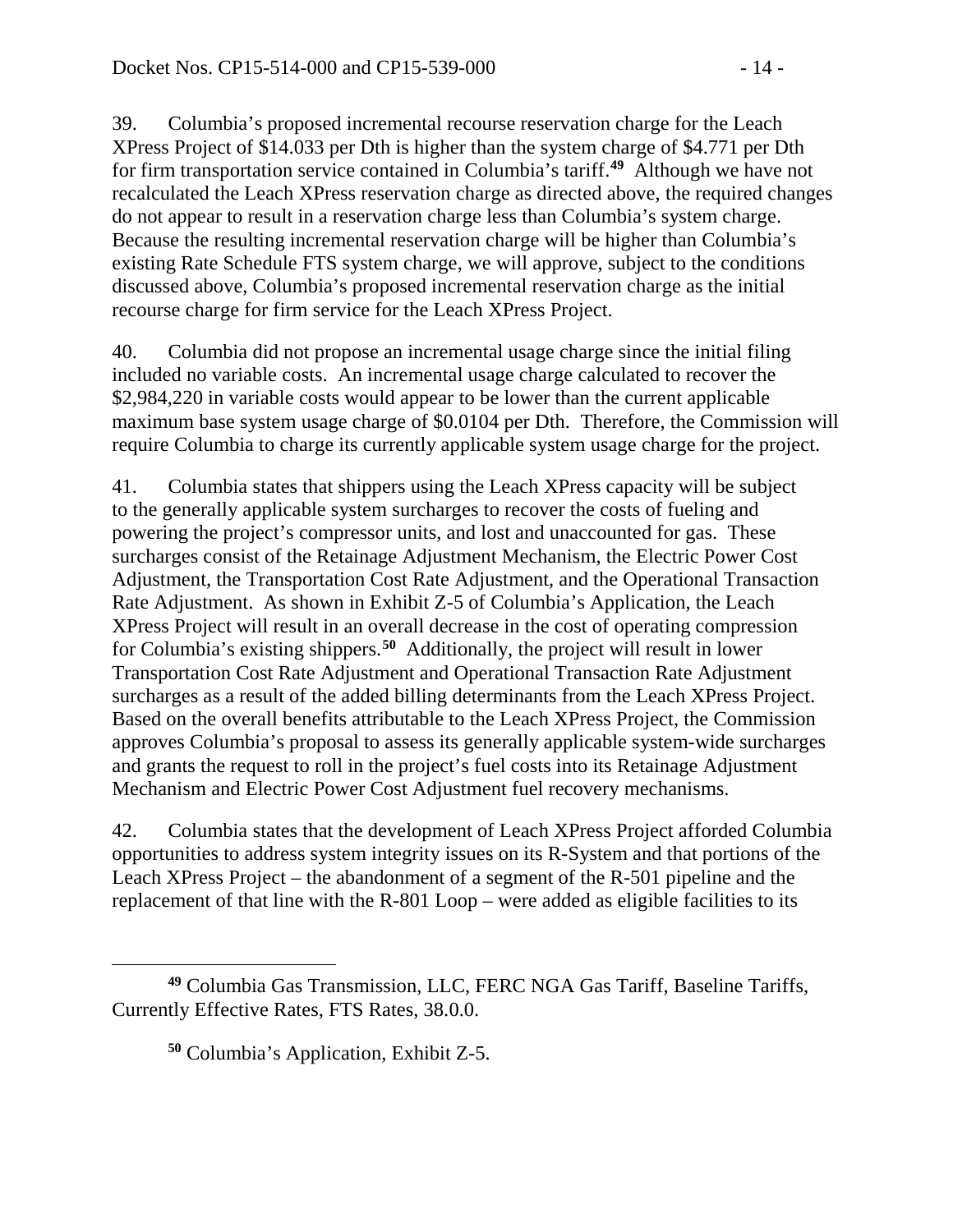39. Columbia's proposed incremental recourse reservation charge for the Leach XPress Project of \$14.033 per Dth is higher than the system charge of \$4.771 per Dth for firm transportation service contained in Columbia's tariff.**[49](#page-13-0)** Although we have not recalculated the Leach XPress reservation charge as directed above, the required changes do not appear to result in a reservation charge less than Columbia's system charge. Because the resulting incremental reservation charge will be higher than Columbia's existing Rate Schedule FTS system charge, we will approve, subject to the conditions discussed above, Columbia's proposed incremental reservation charge as the initial recourse charge for firm service for the Leach XPress Project.

40. Columbia did not propose an incremental usage charge since the initial filing included no variable costs. An incremental usage charge calculated to recover the \$2,984,220 in variable costs would appear to be lower than the current applicable maximum base system usage charge of \$0.0104 per Dth. Therefore, the Commission will require Columbia to charge its currently applicable system usage charge for the project.

41. Columbia states that shippers using the Leach XPress capacity will be subject to the generally applicable system surcharges to recover the costs of fueling and powering the project's compressor units, and lost and unaccounted for gas. These surcharges consist of the Retainage Adjustment Mechanism, the Electric Power Cost Adjustment, the Transportation Cost Rate Adjustment, and the Operational Transaction Rate Adjustment. As shown in Exhibit Z-5 of Columbia's Application, the Leach XPress Project will result in an overall decrease in the cost of operating compression for Columbia's existing shippers.**[50](#page-13-1)** Additionally, the project will result in lower Transportation Cost Rate Adjustment and Operational Transaction Rate Adjustment surcharges as a result of the added billing determinants from the Leach XPress Project. Based on the overall benefits attributable to the Leach XPress Project, the Commission approves Columbia's proposal to assess its generally applicable system-wide surcharges and grants the request to roll in the project's fuel costs into its Retainage Adjustment Mechanism and Electric Power Cost Adjustment fuel recovery mechanisms.

42. Columbia states that the development of Leach XPress Project afforded Columbia opportunities to address system integrity issues on its R-System and that portions of the Leach XPress Project – the abandonment of a segment of the R-501 pipeline and the replacement of that line with the R-801 Loop – were added as eligible facilities to its

<span id="page-13-1"></span><span id="page-13-0"></span> $\overline{a}$ **<sup>49</sup>** Columbia Gas Transmission, LLC, FERC NGA Gas Tariff, Baseline Tariffs, Currently Effective Rates, FTS Rates, 38.0.0.

**<sup>50</sup>** Columbia's Application, Exhibit Z-5.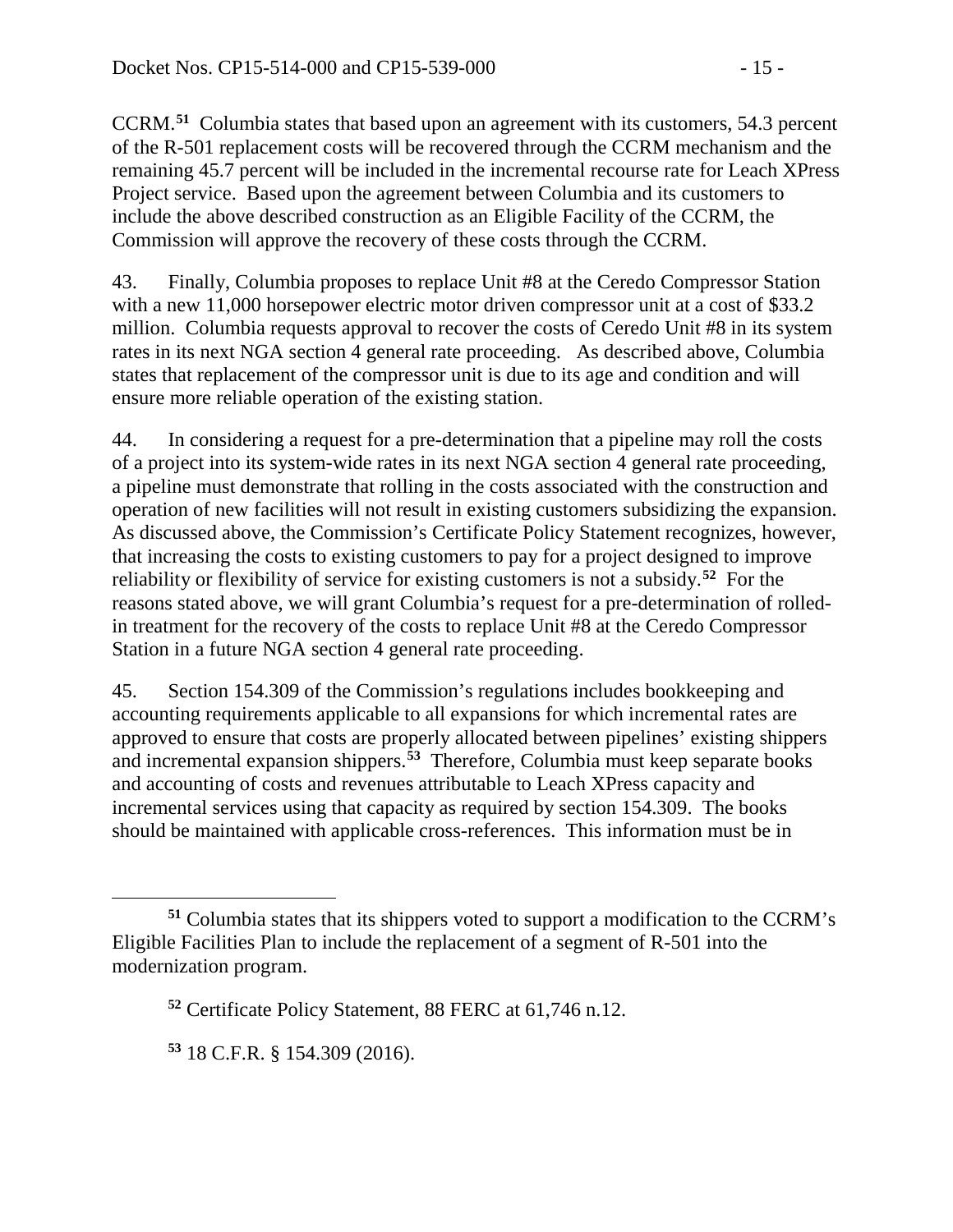CCRM.**[51](#page-14-0)** Columbia states that based upon an agreement with its customers, 54.3 percent of the R-501 replacement costs will be recovered through the CCRM mechanism and the remaining 45.7 percent will be included in the incremental recourse rate for Leach XPress Project service. Based upon the agreement between Columbia and its customers to include the above described construction as an Eligible Facility of the CCRM, the Commission will approve the recovery of these costs through the CCRM.

43. Finally, Columbia proposes to replace Unit #8 at the Ceredo Compressor Station with a new 11,000 horsepower electric motor driven compressor unit at a cost of \$33.2 million. Columbia requests approval to recover the costs of Ceredo Unit #8 in its system rates in its next NGA section 4 general rate proceeding. As described above, Columbia states that replacement of the compressor unit is due to its age and condition and will ensure more reliable operation of the existing station.

44. In considering a request for a pre-determination that a pipeline may roll the costs of a project into its system-wide rates in its next NGA section 4 general rate proceeding, a pipeline must demonstrate that rolling in the costs associated with the construction and operation of new facilities will not result in existing customers subsidizing the expansion. As discussed above, the Commission's Certificate Policy Statement recognizes, however, that increasing the costs to existing customers to pay for a project designed to improve reliability or flexibility of service for existing customers is not a subsidy.**[52](#page-14-1)** For the reasons stated above, we will grant Columbia's request for a pre-determination of rolledin treatment for the recovery of the costs to replace Unit #8 at the Ceredo Compressor Station in a future NGA section 4 general rate proceeding.

45. Section 154.309 of the Commission's regulations includes bookkeeping and accounting requirements applicable to all expansions for which incremental rates are approved to ensure that costs are properly allocated between pipelines' existing shippers and incremental expansion shippers.**[53](#page-14-2)** Therefore, Columbia must keep separate books and accounting of costs and revenues attributable to Leach XPress capacity and incremental services using that capacity as required by section 154.309. The books should be maintained with applicable cross-references. This information must be in

<span id="page-14-1"></span><span id="page-14-0"></span>**<sup>51</sup>** Columbia states that its shippers voted to support a modification to the CCRM's Eligible Facilities Plan to include the replacement of a segment of R-501 into the modernization program.

**<sup>52</sup>** Certificate Policy Statement, 88 FERC at 61,746 n.12.

<span id="page-14-2"></span>**<sup>53</sup>** 18 C.F.R. § 154.309 (2016).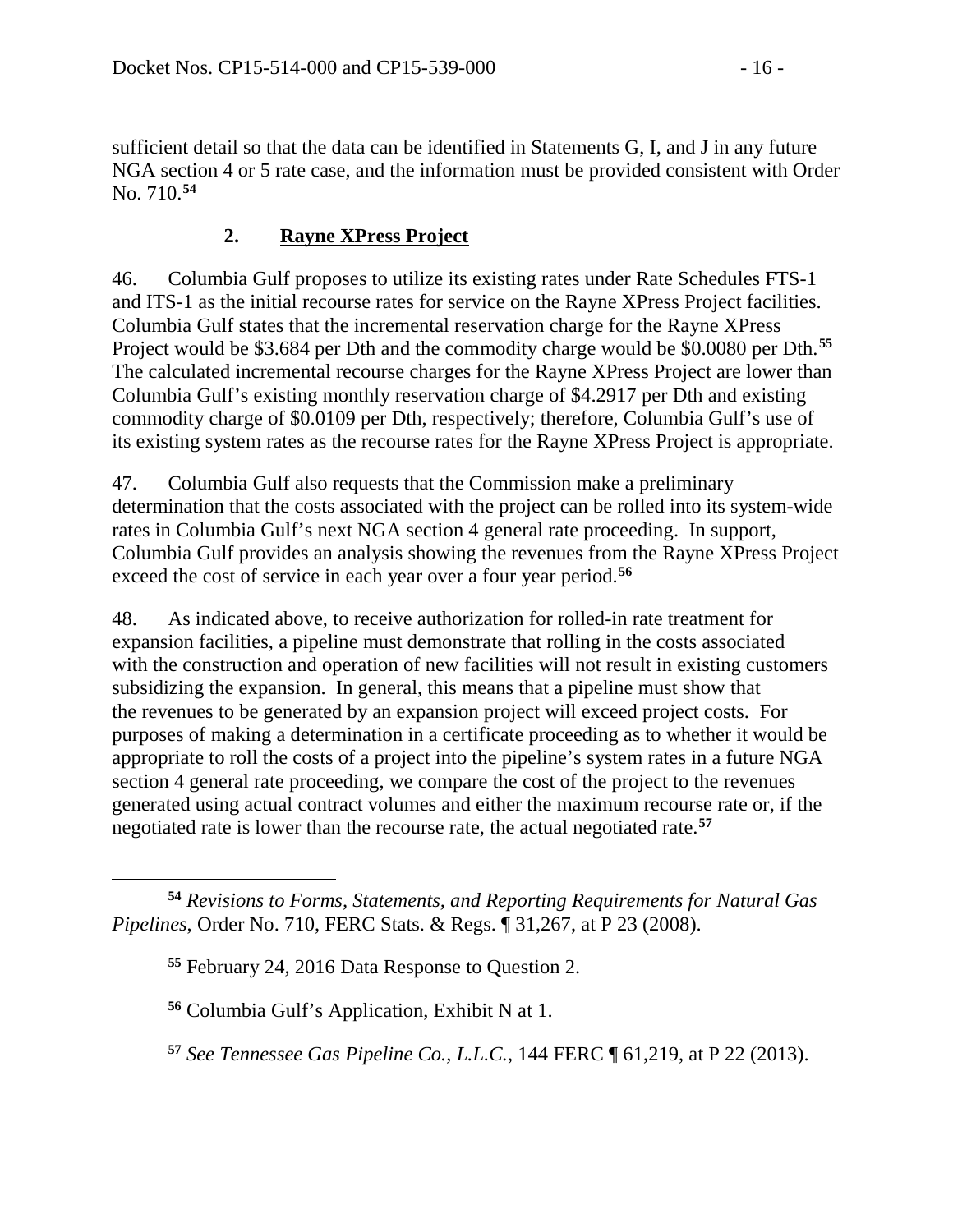sufficient detail so that the data can be identified in Statements G, I, and J in any future NGA section 4 or 5 rate case, and the information must be provided consistent with Order No. 710. **[54](#page-15-0)**

## **2. Rayne XPress Project**

46. Columbia Gulf proposes to utilize its existing rates under Rate Schedules FTS-1 and ITS-1 as the initial recourse rates for service on the Rayne XPress Project facilities. Columbia Gulf states that the incremental reservation charge for the Rayne XPress Project would be \$3.684 per Dth and the commodity charge would be \$0.0080 per Dth.**[55](#page-15-1)** The calculated incremental recourse charges for the Rayne XPress Project are lower than Columbia Gulf's existing monthly reservation charge of \$4.2917 per Dth and existing commodity charge of \$0.0109 per Dth, respectively; therefore, Columbia Gulf's use of its existing system rates as the recourse rates for the Rayne XPress Project is appropriate.

47. Columbia Gulf also requests that the Commission make a preliminary determination that the costs associated with the project can be rolled into its system-wide rates in Columbia Gulf's next NGA section 4 general rate proceeding. In support, Columbia Gulf provides an analysis showing the revenues from the Rayne XPress Project exceed the cost of service in each year over a four year period.**[56](#page-15-2)**

48. As indicated above, to receive authorization for rolled-in rate treatment for expansion facilities, a pipeline must demonstrate that rolling in the costs associated with the construction and operation of new facilities will not result in existing customers subsidizing the expansion. In general, this means that a pipeline must show that the revenues to be generated by an expansion project will exceed project costs. For purposes of making a determination in a certificate proceeding as to whether it would be appropriate to roll the costs of a project into the pipeline's system rates in a future NGA section 4 general rate proceeding, we compare the cost of the project to the revenues generated using actual contract volumes and either the maximum recourse rate or, if the negotiated rate is lower than the recourse rate, the actual negotiated rate.**[57](#page-15-3)**

 $\overline{a}$ 

<span id="page-15-3"></span>**<sup>57</sup>** *See Tennessee Gas Pipeline Co., L.L.C.*, 144 FERC ¶ 61,219, at P 22 (2013).

<span id="page-15-2"></span><span id="page-15-1"></span><span id="page-15-0"></span>**<sup>54</sup>** *Revisions to Forms, Statements, and Reporting Requirements for Natural Gas Pipelines*, Order No. 710, FERC Stats. & Regs. ¶ 31,267, at P 23 (2008).

**<sup>55</sup>** February 24, 2016 Data Response to Question 2.

**<sup>56</sup>** Columbia Gulf's Application, Exhibit N at 1.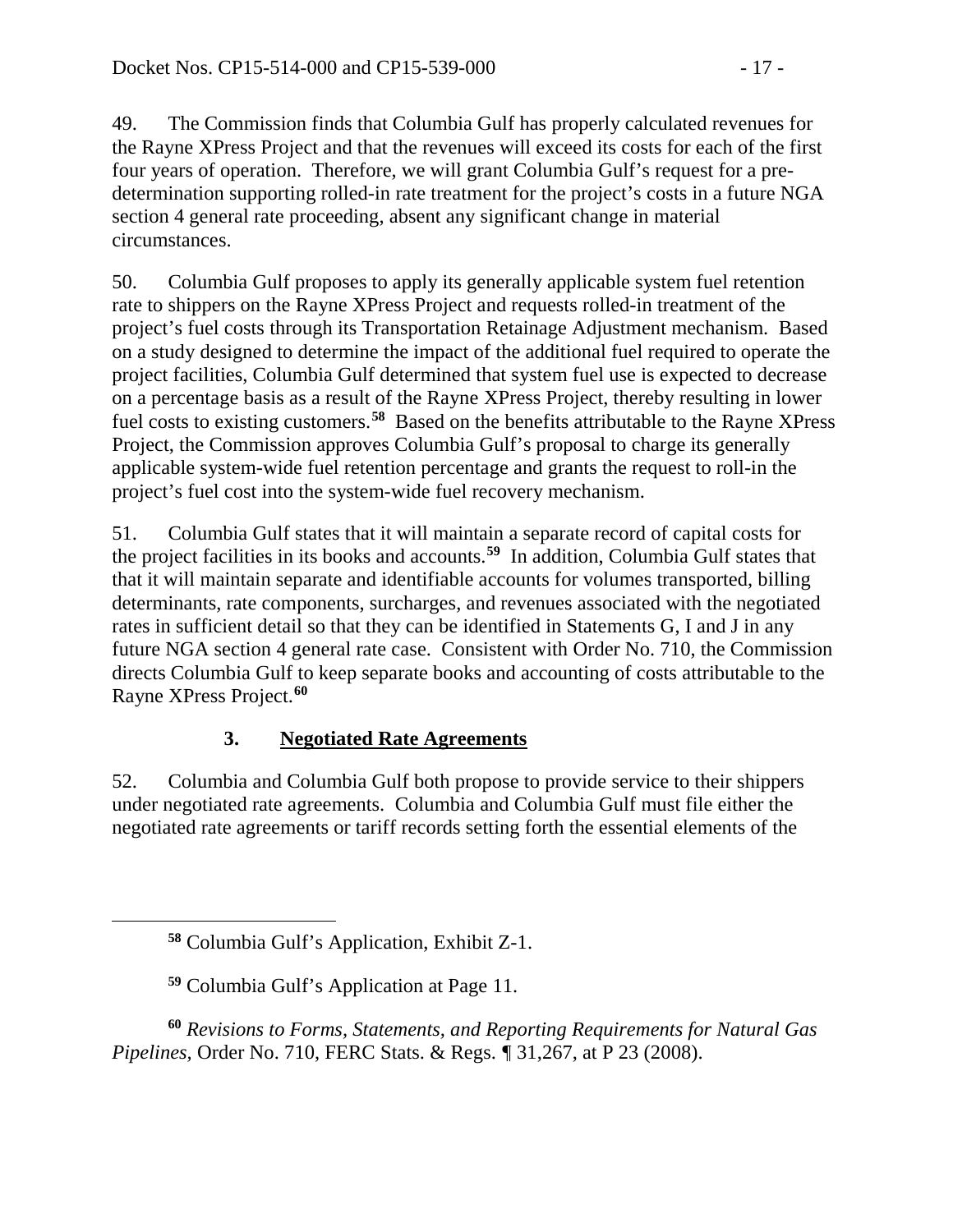49. The Commission finds that Columbia Gulf has properly calculated revenues for the Rayne XPress Project and that the revenues will exceed its costs for each of the first four years of operation. Therefore, we will grant Columbia Gulf's request for a predetermination supporting rolled-in rate treatment for the project's costs in a future NGA section 4 general rate proceeding, absent any significant change in material circumstances.

50. Columbia Gulf proposes to apply its generally applicable system fuel retention rate to shippers on the Rayne XPress Project and requests rolled-in treatment of the project's fuel costs through its Transportation Retainage Adjustment mechanism. Based on a study designed to determine the impact of the additional fuel required to operate the project facilities, Columbia Gulf determined that system fuel use is expected to decrease on a percentage basis as a result of the Rayne XPress Project, thereby resulting in lower fuel costs to existing customers.**[58](#page-16-0)** Based on the benefits attributable to the Rayne XPress Project, the Commission approves Columbia Gulf's proposal to charge its generally applicable system-wide fuel retention percentage and grants the request to roll-in the project's fuel cost into the system-wide fuel recovery mechanism.

51. Columbia Gulf states that it will maintain a separate record of capital costs for the project facilities in its books and accounts.**[59](#page-16-1)** In addition, Columbia Gulf states that that it will maintain separate and identifiable accounts for volumes transported, billing determinants, rate components, surcharges, and revenues associated with the negotiated rates in sufficient detail so that they can be identified in Statements G, I and J in any future NGA section 4 general rate case. Consistent with Order No. 710, the Commission directs Columbia Gulf to keep separate books and accounting of costs attributable to the Rayne XPress Project. **[60](#page-16-2)**

# **3. Negotiated Rate Agreements**

52. Columbia and Columbia Gulf both propose to provide service to their shippers under negotiated rate agreements. Columbia and Columbia Gulf must file either the negotiated rate agreements or tariff records setting forth the essential elements of the

<span id="page-16-0"></span> $\overline{a}$ 

<span id="page-16-2"></span><span id="page-16-1"></span>**<sup>60</sup>** *Revisions to Forms, Statements, and Reporting Requirements for Natural Gas Pipelines,* Order No. 710, FERC Stats. & Regs. *¶* 31,267, at P 23 (2008).

**<sup>58</sup>** Columbia Gulf's Application, Exhibit Z-1.

**<sup>59</sup>** Columbia Gulf's Application at Page 11.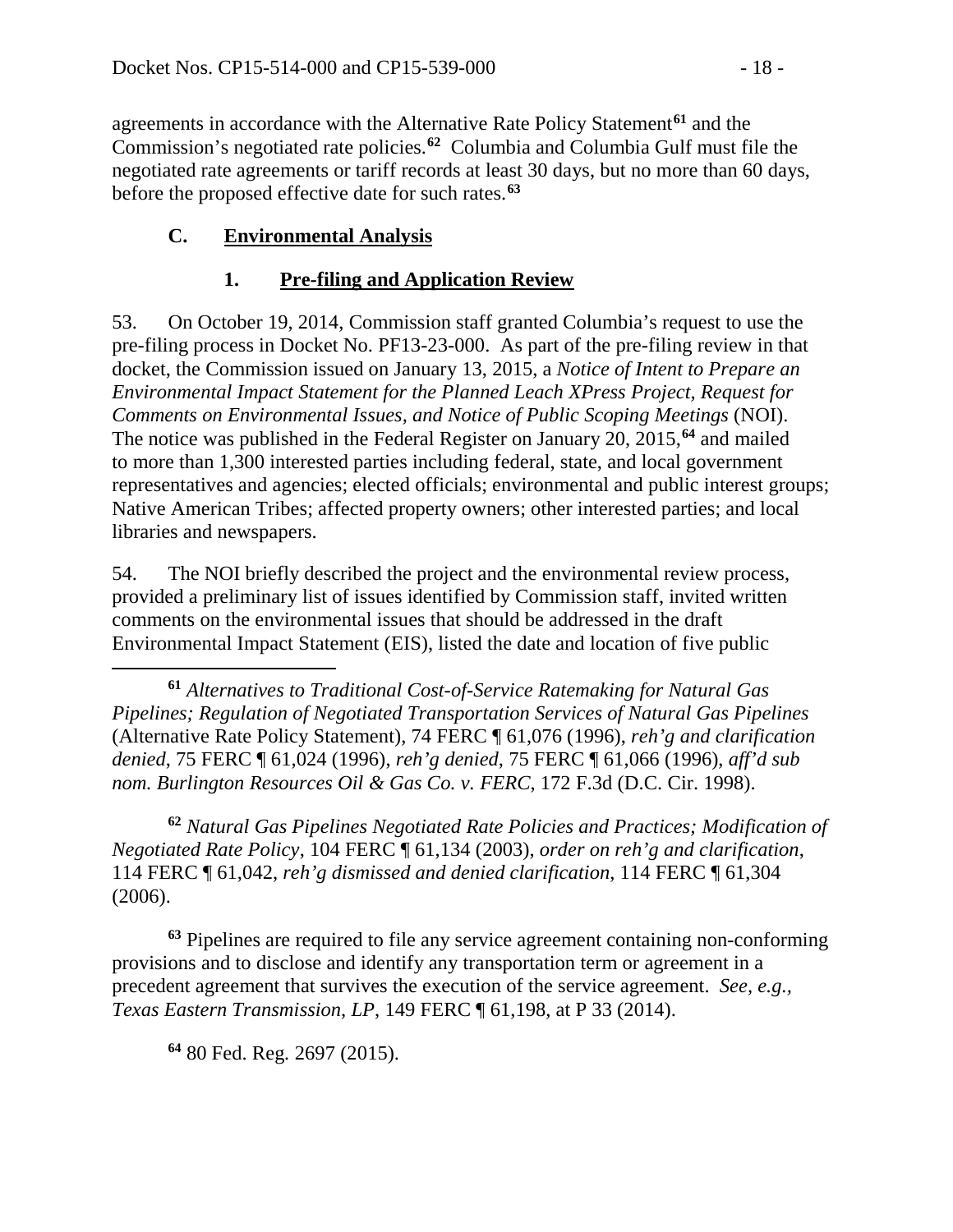agreements in accordance with the Alternative Rate Policy Statement**[61](#page-17-0)** and the Commission's negotiated rate policies.**[62](#page-17-1)** Columbia and Columbia Gulf must file the negotiated rate agreements or tariff records at least 30 days, but no more than 60 days, before the proposed effective date for such rates.**[63](#page-17-2)**

# **C. Environmental Analysis**

## **1. Pre-filing and Application Review**

53. On October 19, 2014, Commission staff granted Columbia's request to use the pre-filing process in Docket No. PF13-23-000. As part of the pre-filing review in that docket, the Commission issued on January 13, 2015, a *Notice of Intent to Prepare an Environmental Impact Statement for the Planned Leach XPress Project, Request for Comments on Environmental Issues, and Notice of Public Scoping Meetings* (NOI). The notice was published in the Federal Register on January 20, 2015,**[64](#page-17-3)** and mailed to more than 1,300 interested parties including federal, state, and local government representatives and agencies; elected officials; environmental and public interest groups; Native American Tribes; affected property owners; other interested parties; and local libraries and newspapers.

54. The NOI briefly described the project and the environmental review process, provided a preliminary list of issues identified by Commission staff, invited written comments on the environmental issues that should be addressed in the draft Environmental Impact Statement (EIS), listed the date and location of five public

<span id="page-17-0"></span>**<sup>61</sup>** *Alternatives to Traditional Cost-of-Service Ratemaking for Natural Gas Pipelines; Regulation of Negotiated Transportation Services of Natural Gas Pipelines* (Alternative Rate Policy Statement), 74 FERC ¶ 61,076 (1996), *reh'g and clarification denied*, 75 FERC ¶ 61,024 (1996), *reh'g denied*, 75 FERC ¶ 61,066 (1996), *aff'd sub nom. Burlington Resources Oil & Gas Co. v. FERC*, 172 F.3d (D.C. Cir. 1998).

<span id="page-17-1"></span>**<sup>62</sup>** *Natural Gas Pipelines Negotiated Rate Policies and Practices; Modification of Negotiated Rate Policy*, 104 FERC ¶ 61,134 (2003), *order on reh'g and clarification*, 114 FERC ¶ 61,042, *reh'g dismissed and denied clarification*, 114 FERC ¶ 61,304 (2006).

<span id="page-17-3"></span><span id="page-17-2"></span>**<sup>63</sup>** Pipelines are required to file any service agreement containing non-conforming provisions and to disclose and identify any transportation term or agreement in a precedent agreement that survives the execution of the service agreement. *See, e.g., Texas Eastern Transmission, LP*, 149 FERC ¶ 61,198, at P 33 (2014).

**<sup>64</sup>** 80 Fed. Reg*.* 2697 (2015).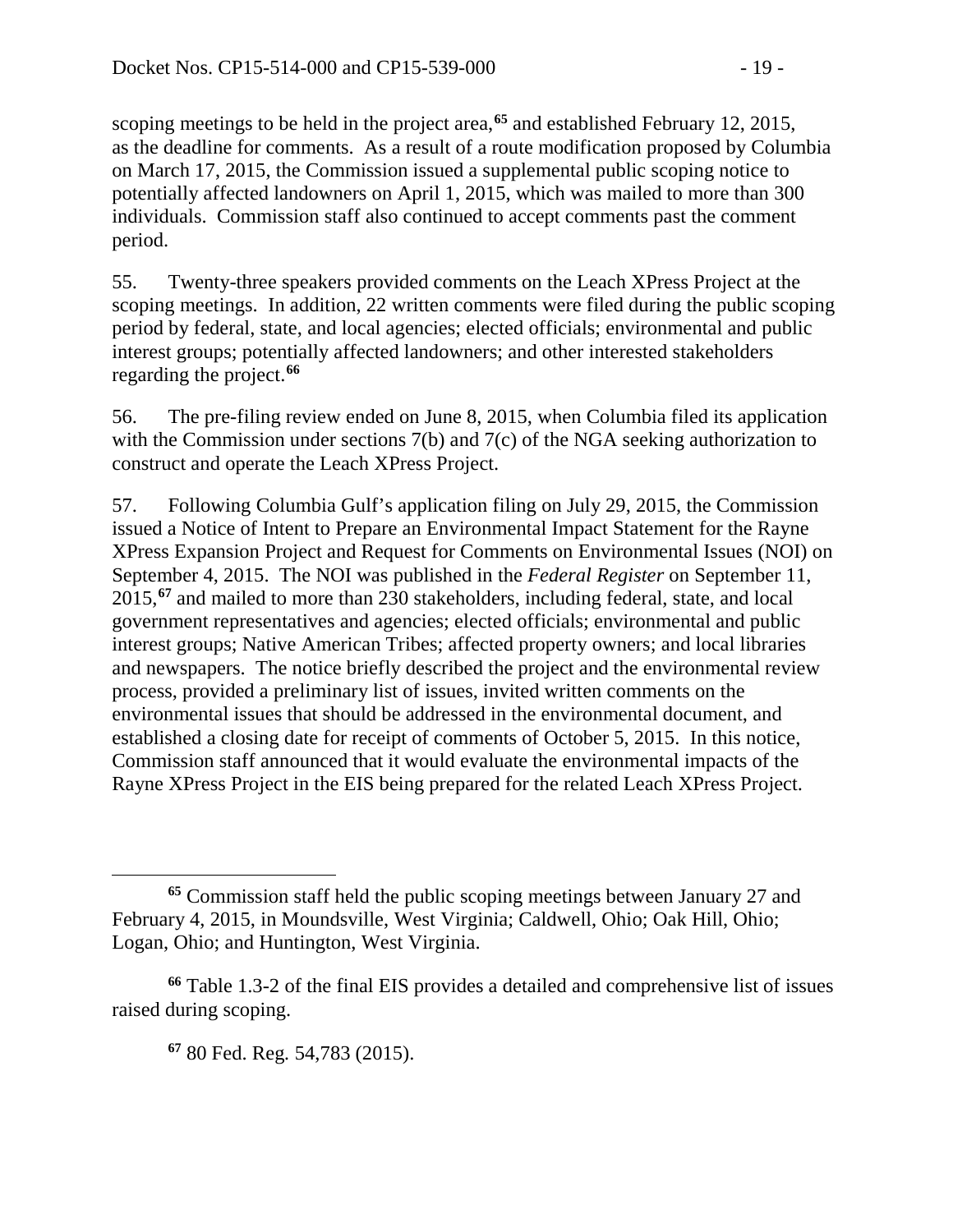scoping meetings to be held in the project area,**[65](#page-18-0)** and established February 12, 2015, as the deadline for comments. As a result of a route modification proposed by Columbia on March 17, 2015, the Commission issued a supplemental public scoping notice to potentially affected landowners on April 1, 2015, which was mailed to more than 300 individuals. Commission staff also continued to accept comments past the comment period.

55. Twenty-three speakers provided comments on the Leach XPress Project at the scoping meetings. In addition, 22 written comments were filed during the public scoping period by federal, state, and local agencies; elected officials; environmental and public interest groups; potentially affected landowners; and other interested stakeholders regarding the project.**[66](#page-18-1)**

56. The pre-filing review ended on June 8, 2015, when Columbia filed its application with the Commission under sections 7(b) and 7(c) of the NGA seeking authorization to construct and operate the Leach XPress Project.

57. Following Columbia Gulf's application filing on July 29, 2015, the Commission issued a Notice of Intent to Prepare an Environmental Impact Statement for the Rayne XPress Expansion Project and Request for Comments on Environmental Issues (NOI) on September 4, 2015. The NOI was published in the *Federal Register* on September 11, 2015,**[67](#page-18-2)** and mailed to more than 230 stakeholders, including federal, state, and local government representatives and agencies; elected officials; environmental and public interest groups; Native American Tribes; affected property owners; and local libraries and newspapers. The notice briefly described the project and the environmental review process, provided a preliminary list of issues, invited written comments on the environmental issues that should be addressed in the environmental document, and established a closing date for receipt of comments of October 5, 2015. In this notice, Commission staff announced that it would evaluate the environmental impacts of the Rayne XPress Project in the EIS being prepared for the related Leach XPress Project.

<span id="page-18-0"></span> $\overline{a}$ **<sup>65</sup>** Commission staff held the public scoping meetings between January 27 and February 4, 2015, in Moundsville, West Virginia; Caldwell, Ohio; Oak Hill, Ohio; Logan, Ohio; and Huntington, West Virginia.

<span id="page-18-2"></span><span id="page-18-1"></span>**<sup>66</sup>** Table 1.3-2 of the final EIS provides a detailed and comprehensive list of issues raised during scoping.

**<sup>67</sup>** 80 Fed. Reg*.* 54,783 (2015).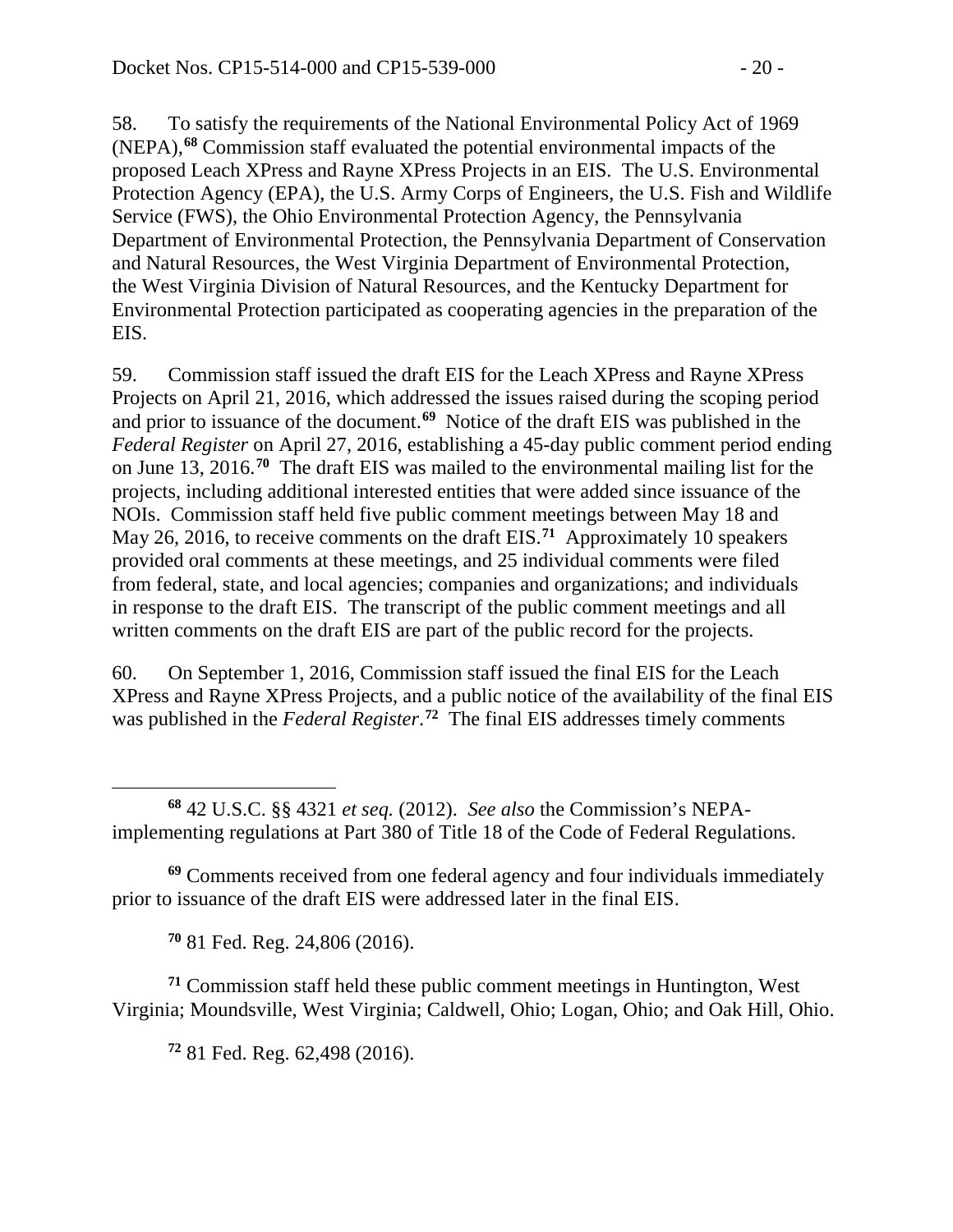58. To satisfy the requirements of the National Environmental Policy Act of 1969 (NEPA),**[68](#page-19-0)** Commission staff evaluated the potential environmental impacts of the proposed Leach XPress and Rayne XPress Projects in an EIS. The U.S. Environmental Protection Agency (EPA), the U.S. Army Corps of Engineers, the U.S. Fish and Wildlife Service (FWS), the Ohio Environmental Protection Agency, the Pennsylvania Department of Environmental Protection, the Pennsylvania Department of Conservation and Natural Resources, the West Virginia Department of Environmental Protection, the West Virginia Division of Natural Resources, and the Kentucky Department for Environmental Protection participated as cooperating agencies in the preparation of the EIS.

59. Commission staff issued the draft EIS for the Leach XPress and Rayne XPress Projects on April 21, 2016, which addressed the issues raised during the scoping period and prior to issuance of the document. **[69](#page-19-1)** Notice of the draft EIS was published in the *Federal Register* on April 27, 2016, establishing a 45-day public comment period ending on June 13, 2016.**[70](#page-19-2)** The draft EIS was mailed to the environmental mailing list for the projects, including additional interested entities that were added since issuance of the NOIs. Commission staff held five public comment meetings between May 18 and May 26, 2016, to receive comments on the draft EIS.**[71](#page-19-3)** Approximately 10 speakers provided oral comments at these meetings, and 25 individual comments were filed from federal, state, and local agencies; companies and organizations; and individuals in response to the draft EIS. The transcript of the public comment meetings and all written comments on the draft EIS are part of the public record for the projects.

60. On September 1, 2016, Commission staff issued the final EIS for the Leach XPress and Rayne XPress Projects, and a public notice of the availability of the final EIS was published in the *Federal Register*. **[72](#page-19-4)** The final EIS addresses timely comments

<span id="page-19-0"></span> $\overline{a}$ **<sup>68</sup>** 42 U.S.C. §§ 4321 *et seq.* (2012). *See also* the Commission's NEPAimplementing regulations at Part 380 of Title 18 of the Code of Federal Regulations.

<span id="page-19-1"></span>**<sup>69</sup>** Comments received from one federal agency and four individuals immediately prior to issuance of the draft EIS were addressed later in the final EIS.

**<sup>70</sup>** 81 Fed. Reg. 24,806 (2016).

<span id="page-19-4"></span><span id="page-19-3"></span><span id="page-19-2"></span>**<sup>71</sup>** Commission staff held these public comment meetings in Huntington, West Virginia; Moundsville, West Virginia; Caldwell, Ohio; Logan, Ohio; and Oak Hill, Ohio.

**<sup>72</sup>** 81 Fed. Reg. 62,498 (2016).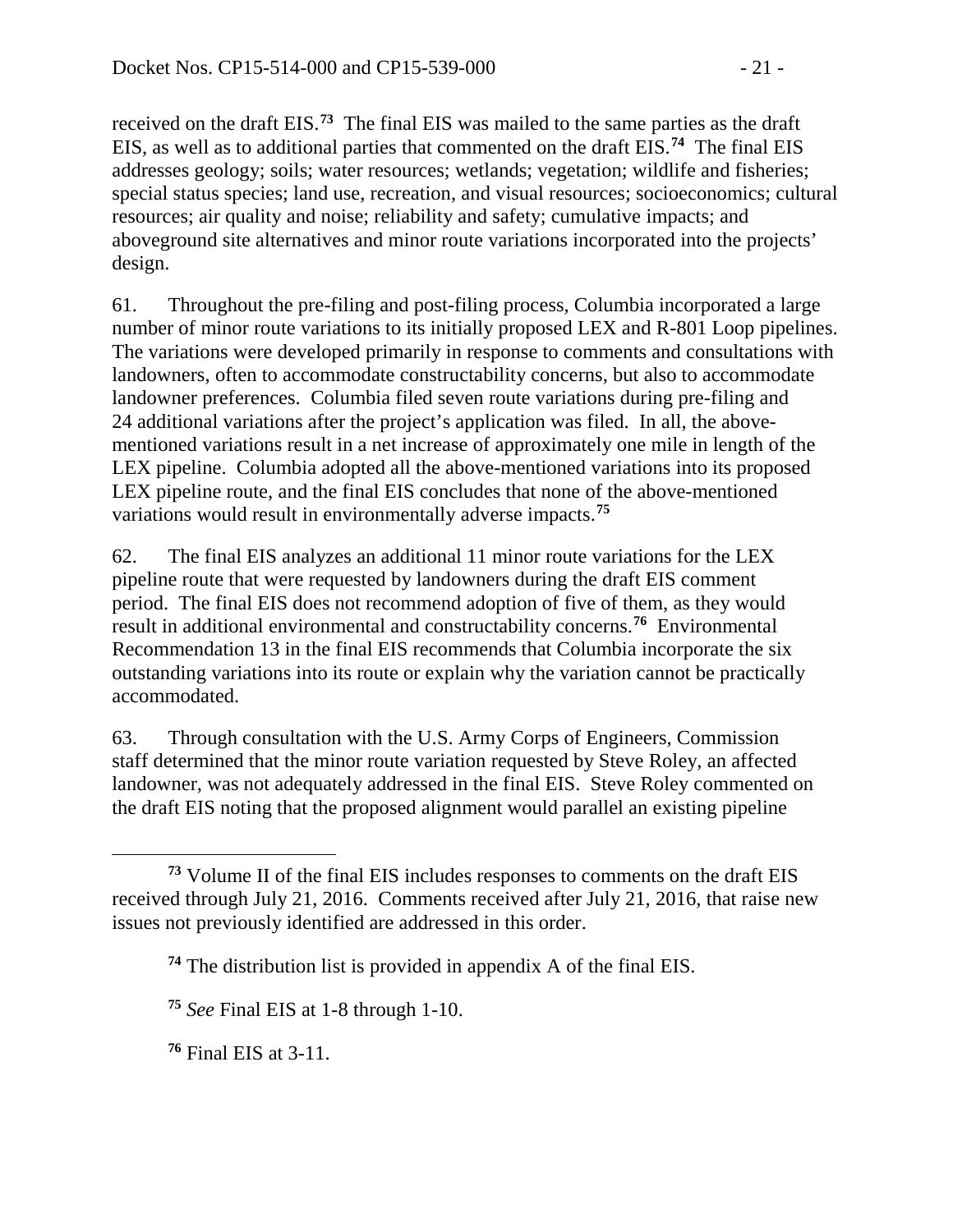received on the draft EIS.**[73](#page-20-0)** The final EIS was mailed to the same parties as the draft EIS, as well as to additional parties that commented on the draft EIS.**[74](#page-20-1)** The final EIS addresses geology; soils; water resources; wetlands; vegetation; wildlife and fisheries; special status species; land use, recreation, and visual resources; socioeconomics; cultural resources; air quality and noise; reliability and safety; cumulative impacts; and aboveground site alternatives and minor route variations incorporated into the projects' design.

61. Throughout the pre-filing and post-filing process, Columbia incorporated a large number of minor route variations to its initially proposed LEX and R-801 Loop pipelines. The variations were developed primarily in response to comments and consultations with landowners, often to accommodate constructability concerns, but also to accommodate landowner preferences. Columbia filed seven route variations during pre-filing and 24 additional variations after the project's application was filed. In all, the abovementioned variations result in a net increase of approximately one mile in length of the LEX pipeline. Columbia adopted all the above-mentioned variations into its proposed LEX pipeline route, and the final EIS concludes that none of the above-mentioned variations would result in environmentally adverse impacts.**[75](#page-20-2)**

62. The final EIS analyzes an additional 11 minor route variations for the LEX pipeline route that were requested by landowners during the draft EIS comment period. The final EIS does not recommend adoption of five of them, as they would result in additional environmental and constructability concerns.**[76](#page-20-3)** Environmental Recommendation 13 in the final EIS recommends that Columbia incorporate the six outstanding variations into its route or explain why the variation cannot be practically accommodated.

63. Through consultation with the U.S. Army Corps of Engineers, Commission staff determined that the minor route variation requested by Steve Roley, an affected landowner, was not adequately addressed in the final EIS. Steve Roley commented on the draft EIS noting that the proposed alignment would parallel an existing pipeline

<span id="page-20-2"></span>**<sup>75</sup>** *See* Final EIS at 1-8 through 1-10.

<span id="page-20-3"></span>**<sup>76</sup>** Final EIS at 3-11.

<span id="page-20-1"></span><span id="page-20-0"></span> $\overline{a}$ **<sup>73</sup>** Volume II of the final EIS includes responses to comments on the draft EIS received through July 21, 2016. Comments received after July 21, 2016, that raise new issues not previously identified are addressed in this order.

**<sup>74</sup>** The distribution list is provided in appendix A of the final EIS.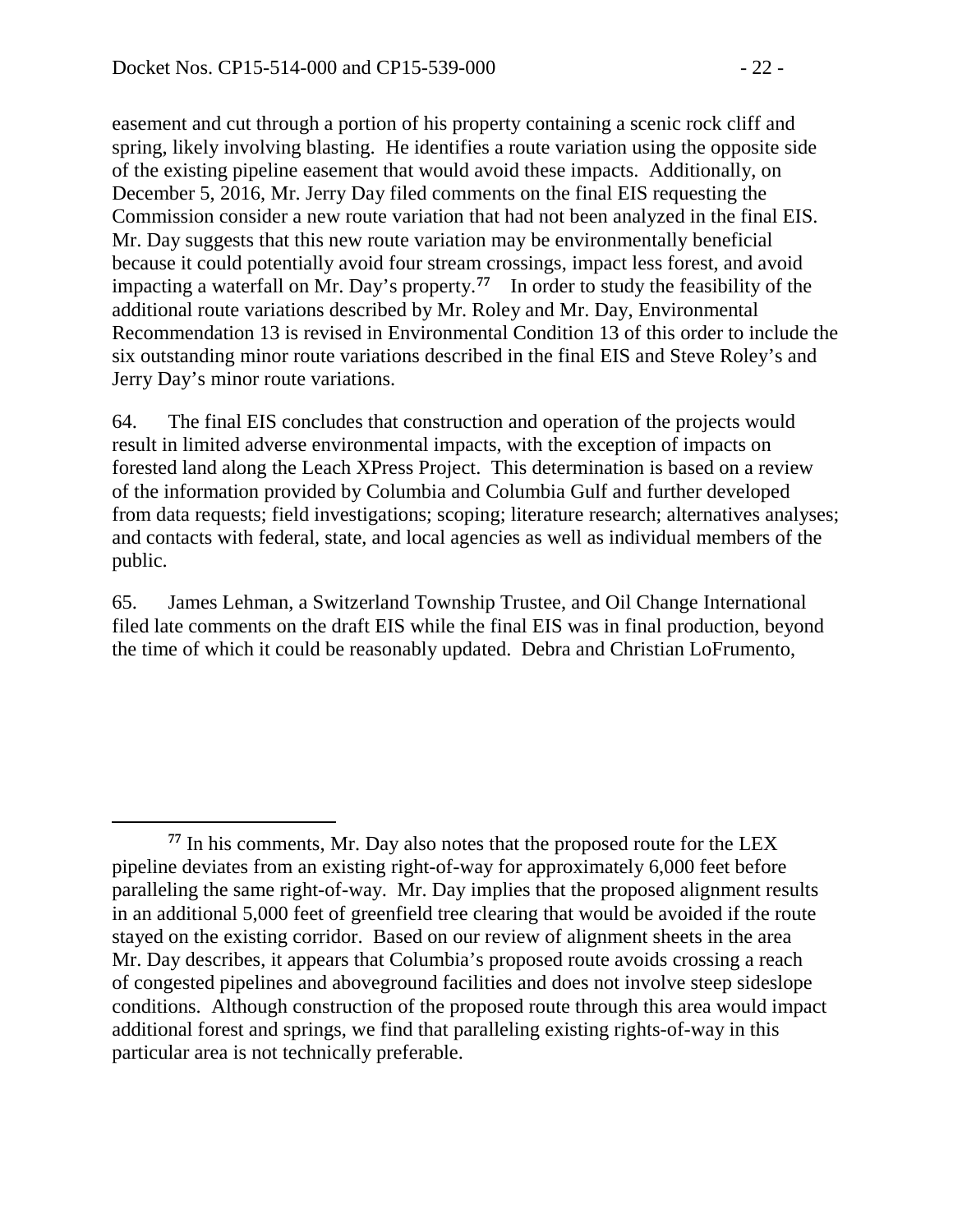easement and cut through a portion of his property containing a scenic rock cliff and spring, likely involving blasting. He identifies a route variation using the opposite side of the existing pipeline easement that would avoid these impacts. Additionally, on December 5, 2016, Mr. Jerry Day filed comments on the final EIS requesting the Commission consider a new route variation that had not been analyzed in the final EIS. Mr. Day suggests that this new route variation may be environmentally beneficial because it could potentially avoid four stream crossings, impact less forest, and avoid impacting a waterfall on Mr. Day's property.**[77](#page-21-0)** In order to study the feasibility of the additional route variations described by Mr. Roley and Mr. Day, Environmental Recommendation 13 is revised in Environmental Condition 13 of this order to include the six outstanding minor route variations described in the final EIS and Steve Roley's and Jerry Day's minor route variations.

64. The final EIS concludes that construction and operation of the projects would result in limited adverse environmental impacts, with the exception of impacts on forested land along the Leach XPress Project. This determination is based on a review of the information provided by Columbia and Columbia Gulf and further developed from data requests; field investigations; scoping; literature research; alternatives analyses; and contacts with federal, state, and local agencies as well as individual members of the public.

65. James Lehman, a Switzerland Township Trustee, and Oil Change International filed late comments on the draft EIS while the final EIS was in final production, beyond the time of which it could be reasonably updated. Debra and Christian LoFrumento,

<span id="page-21-0"></span> $\overline{a}$ **<sup>77</sup>** In his comments, Mr. Day also notes that the proposed route for the LEX pipeline deviates from an existing right-of-way for approximately 6,000 feet before paralleling the same right-of-way. Mr. Day implies that the proposed alignment results in an additional 5,000 feet of greenfield tree clearing that would be avoided if the route stayed on the existing corridor. Based on our review of alignment sheets in the area Mr. Day describes, it appears that Columbia's proposed route avoids crossing a reach of congested pipelines and aboveground facilities and does not involve steep sideslope conditions. Although construction of the proposed route through this area would impact additional forest and springs, we find that paralleling existing rights-of-way in this particular area is not technically preferable.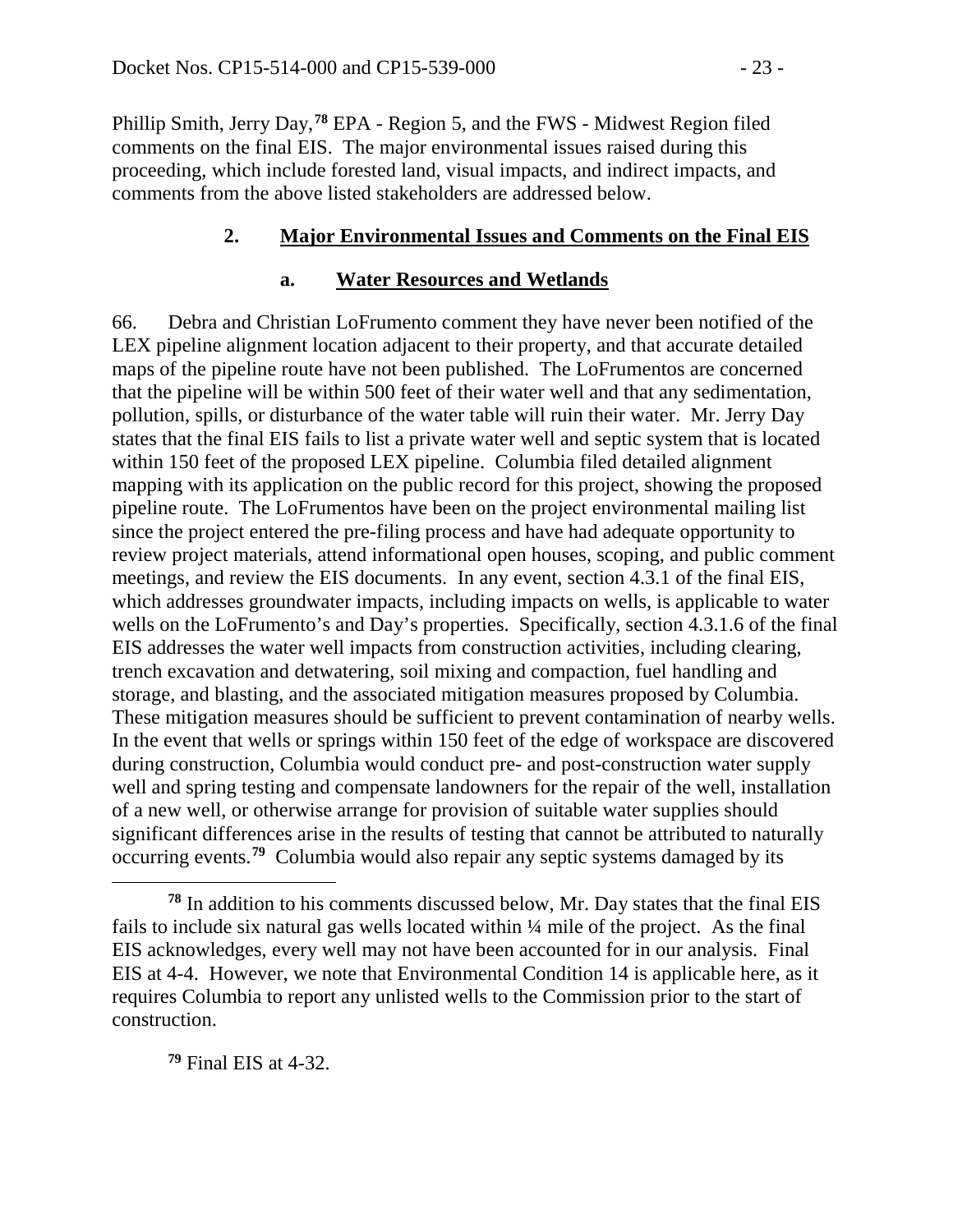Phillip Smith, Jerry Day,**[78](#page-22-0)** EPA - Region 5, and the FWS - Midwest Region filed comments on the final EIS. The major environmental issues raised during this proceeding, which include forested land, visual impacts, and indirect impacts, and comments from the above listed stakeholders are addressed below.

#### **2. Major Environmental Issues and Comments on the Final EIS**

#### **a. Water Resources and Wetlands**

66. Debra and Christian LoFrumento comment they have never been notified of the LEX pipeline alignment location adjacent to their property, and that accurate detailed maps of the pipeline route have not been published. The LoFrumentos are concerned that the pipeline will be within 500 feet of their water well and that any sedimentation, pollution, spills, or disturbance of the water table will ruin their water. Mr. Jerry Day states that the final EIS fails to list a private water well and septic system that is located within 150 feet of the proposed LEX pipeline. Columbia filed detailed alignment mapping with its application on the public record for this project, showing the proposed pipeline route. The LoFrumentos have been on the project environmental mailing list since the project entered the pre-filing process and have had adequate opportunity to review project materials, attend informational open houses, scoping, and public comment meetings, and review the EIS documents. In any event, section 4.3.1 of the final EIS, which addresses groundwater impacts, including impacts on wells, is applicable to water wells on the LoFrumento's and Day's properties. Specifically, section 4.3.1.6 of the final EIS addresses the water well impacts from construction activities, including clearing, trench excavation and detwatering, soil mixing and compaction, fuel handling and storage, and blasting, and the associated mitigation measures proposed by Columbia. These mitigation measures should be sufficient to prevent contamination of nearby wells. In the event that wells or springs within 150 feet of the edge of workspace are discovered during construction, Columbia would conduct pre- and post-construction water supply well and spring testing and compensate landowners for the repair of the well, installation of a new well, or otherwise arrange for provision of suitable water supplies should significant differences arise in the results of testing that cannot be attributed to naturally occurring events.**[79](#page-22-1)** Columbia would also repair any septic systems damaged by its

<span id="page-22-1"></span>**<sup>79</sup>** Final EIS at 4-32.

<span id="page-22-0"></span>**<sup>78</sup>** In addition to his comments discussed below, Mr. Day states that the final EIS fails to include six natural gas wells located within  $\frac{1}{4}$  mile of the project. As the final EIS acknowledges, every well may not have been accounted for in our analysis. Final EIS at 4-4. However, we note that Environmental Condition 14 is applicable here, as it requires Columbia to report any unlisted wells to the Commission prior to the start of construction.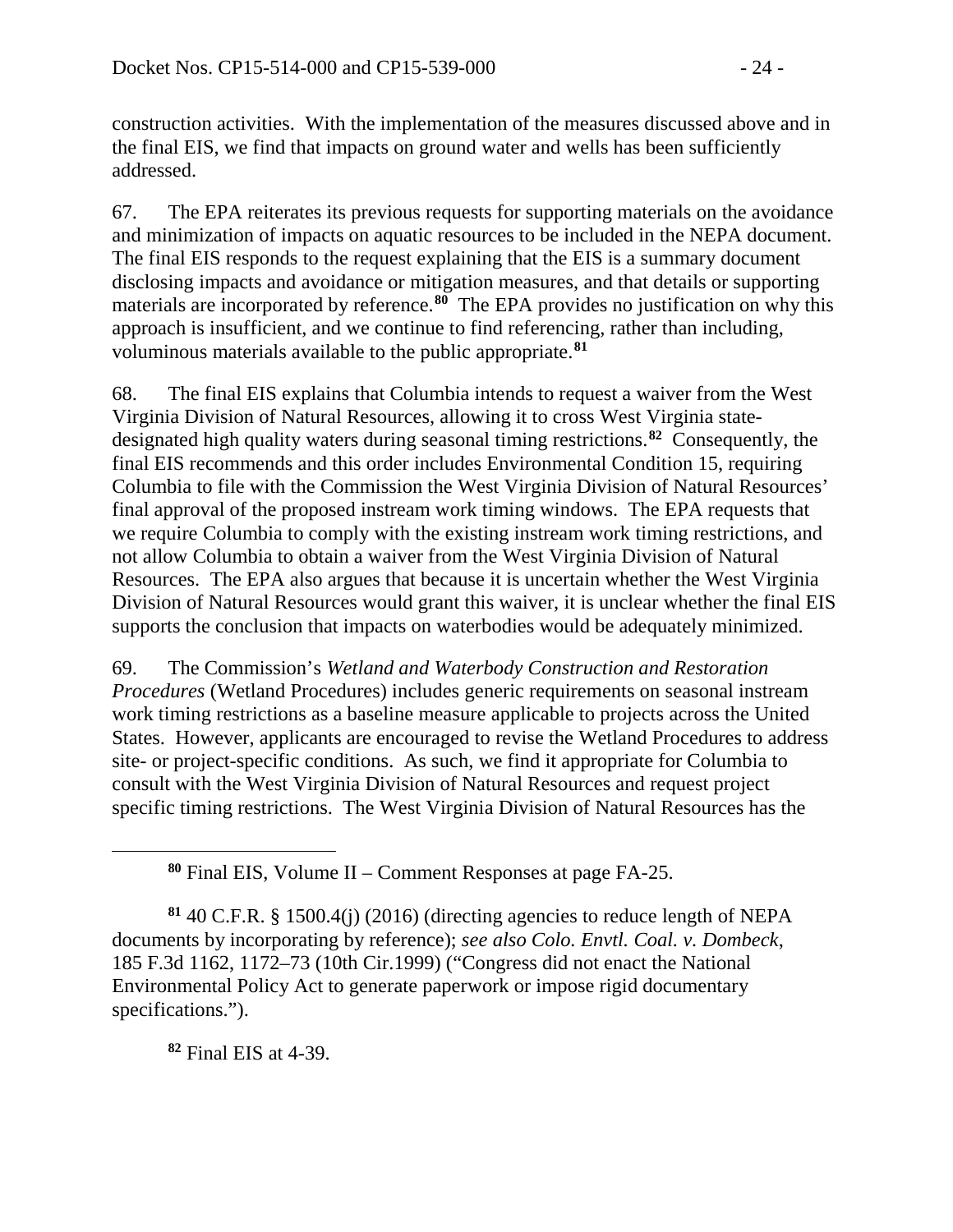construction activities. With the implementation of the measures discussed above and in the final EIS, we find that impacts on ground water and wells has been sufficiently addressed.

67. The EPA reiterates its previous requests for supporting materials on the avoidance and minimization of impacts on aquatic resources to be included in the NEPA document. The final EIS responds to the request explaining that the EIS is a summary document disclosing impacts and avoidance or mitigation measures, and that details or supporting materials are incorporated by reference.**[80](#page-23-0)** The EPA provides no justification on why this approach is insufficient, and we continue to find referencing, rather than including, voluminous materials available to the public appropriate.**[81](#page-23-1)**

68. The final EIS explains that Columbia intends to request a waiver from the West Virginia Division of Natural Resources, allowing it to cross West Virginia statedesignated high quality waters during seasonal timing restrictions.**[82](#page-23-2)** Consequently, the final EIS recommends and this order includes Environmental Condition 15, requiring Columbia to file with the Commission the West Virginia Division of Natural Resources' final approval of the proposed instream work timing windows. The EPA requests that we require Columbia to comply with the existing instream work timing restrictions, and not allow Columbia to obtain a waiver from the West Virginia Division of Natural Resources. The EPA also argues that because it is uncertain whether the West Virginia Division of Natural Resources would grant this waiver, it is unclear whether the final EIS supports the conclusion that impacts on waterbodies would be adequately minimized.

69. The Commission's *Wetland and Waterbody Construction and Restoration Procedures* (Wetland Procedures) includes generic requirements on seasonal instream work timing restrictions as a baseline measure applicable to projects across the United States. However, applicants are encouraged to revise the Wetland Procedures to address site- or project-specific conditions. As such, we find it appropriate for Columbia to consult with the West Virginia Division of Natural Resources and request project specific timing restrictions. The West Virginia Division of Natural Resources has the

<span id="page-23-1"></span><span id="page-23-0"></span>**<sup>81</sup>** 40 C.F.R. § 1500.4(j) (2016) (directing agencies to reduce length of NEPA documents by incorporating by reference); *see also Colo. Envtl. Coal. v. Dombeck*, 185 F.3d 1162, 1172–73 (10th Cir.1999) ("Congress did not enact the National Environmental Policy Act to generate paperwork or impose rigid documentary specifications.").

<span id="page-23-2"></span>**<sup>82</sup>** Final EIS at 4-39.

**<sup>80</sup>** Final EIS, Volume II – Comment Responses at page FA-25.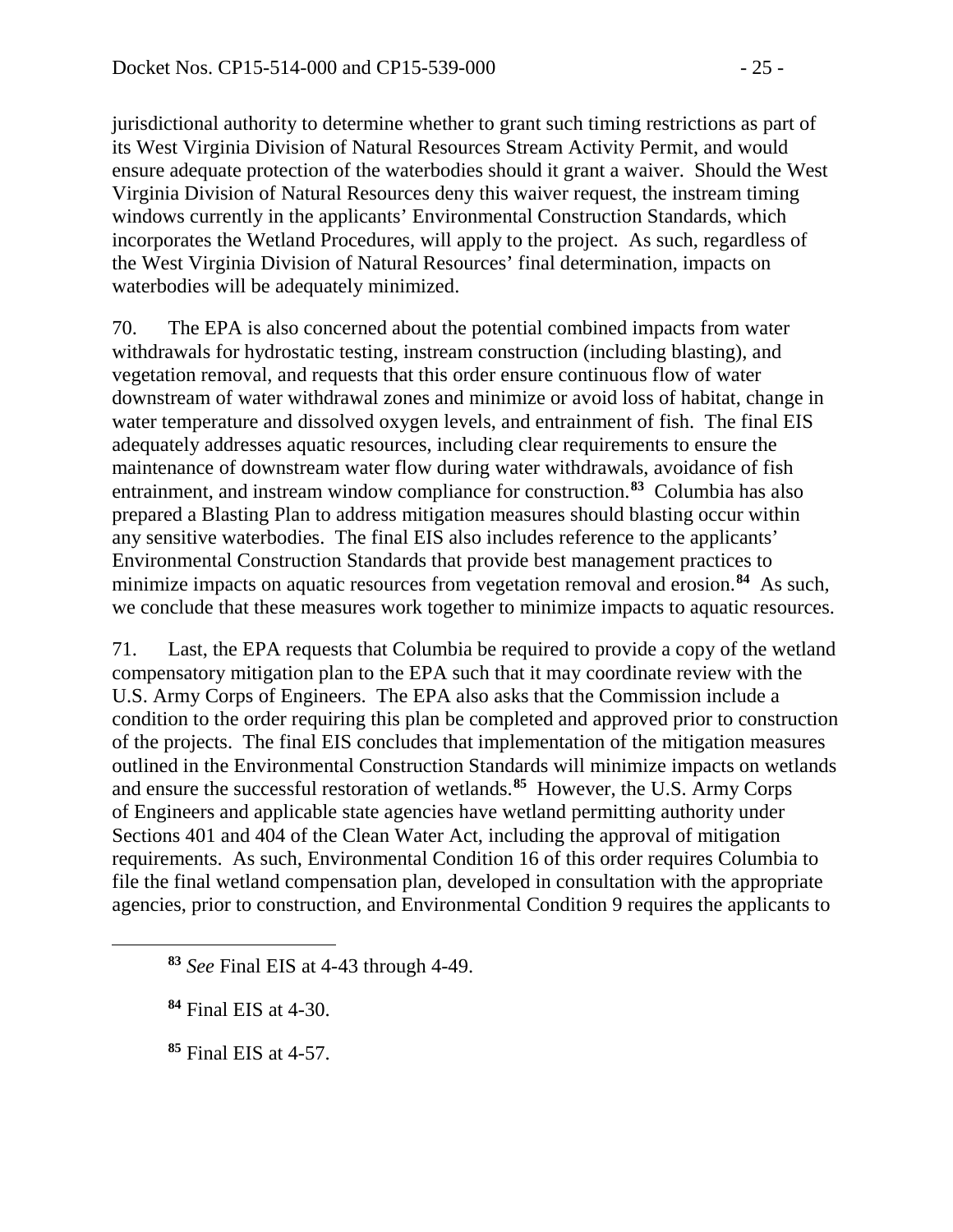jurisdictional authority to determine whether to grant such timing restrictions as part of its West Virginia Division of Natural Resources Stream Activity Permit, and would ensure adequate protection of the waterbodies should it grant a waiver. Should the West Virginia Division of Natural Resources deny this waiver request, the instream timing windows currently in the applicants' Environmental Construction Standards, which incorporates the Wetland Procedures, will apply to the project. As such, regardless of the West Virginia Division of Natural Resources' final determination, impacts on waterbodies will be adequately minimized.

70. The EPA is also concerned about the potential combined impacts from water withdrawals for hydrostatic testing, instream construction (including blasting), and vegetation removal, and requests that this order ensure continuous flow of water downstream of water withdrawal zones and minimize or avoid loss of habitat, change in water temperature and dissolved oxygen levels, and entrainment of fish. The final EIS adequately addresses aquatic resources, including clear requirements to ensure the maintenance of downstream water flow during water withdrawals, avoidance of fish entrainment, and instream window compliance for construction.**[83](#page-24-0)** Columbia has also prepared a Blasting Plan to address mitigation measures should blasting occur within any sensitive waterbodies. The final EIS also includes reference to the applicants' Environmental Construction Standards that provide best management practices to minimize impacts on aquatic resources from vegetation removal and erosion.**[84](#page-24-1)** As such, we conclude that these measures work together to minimize impacts to aquatic resources.

71. Last, the EPA requests that Columbia be required to provide a copy of the wetland compensatory mitigation plan to the EPA such that it may coordinate review with the U.S. Army Corps of Engineers. The EPA also asks that the Commission include a condition to the order requiring this plan be completed and approved prior to construction of the projects. The final EIS concludes that implementation of the mitigation measures outlined in the Environmental Construction Standards will minimize impacts on wetlands and ensure the successful restoration of wetlands.**[85](#page-24-2)** However, the U.S. Army Corps of Engineers and applicable state agencies have wetland permitting authority under Sections 401 and 404 of the Clean Water Act, including the approval of mitigation requirements. As such, Environmental Condition 16 of this order requires Columbia to file the final wetland compensation plan, developed in consultation with the appropriate agencies, prior to construction, and Environmental Condition 9 requires the applicants to

<span id="page-24-0"></span>**<sup>83</sup>** *See* Final EIS at 4-43 through 4-49.

<span id="page-24-1"></span>**<sup>84</sup>** Final EIS at 4-30.

<span id="page-24-2"></span>**<sup>85</sup>** Final EIS at 4-57.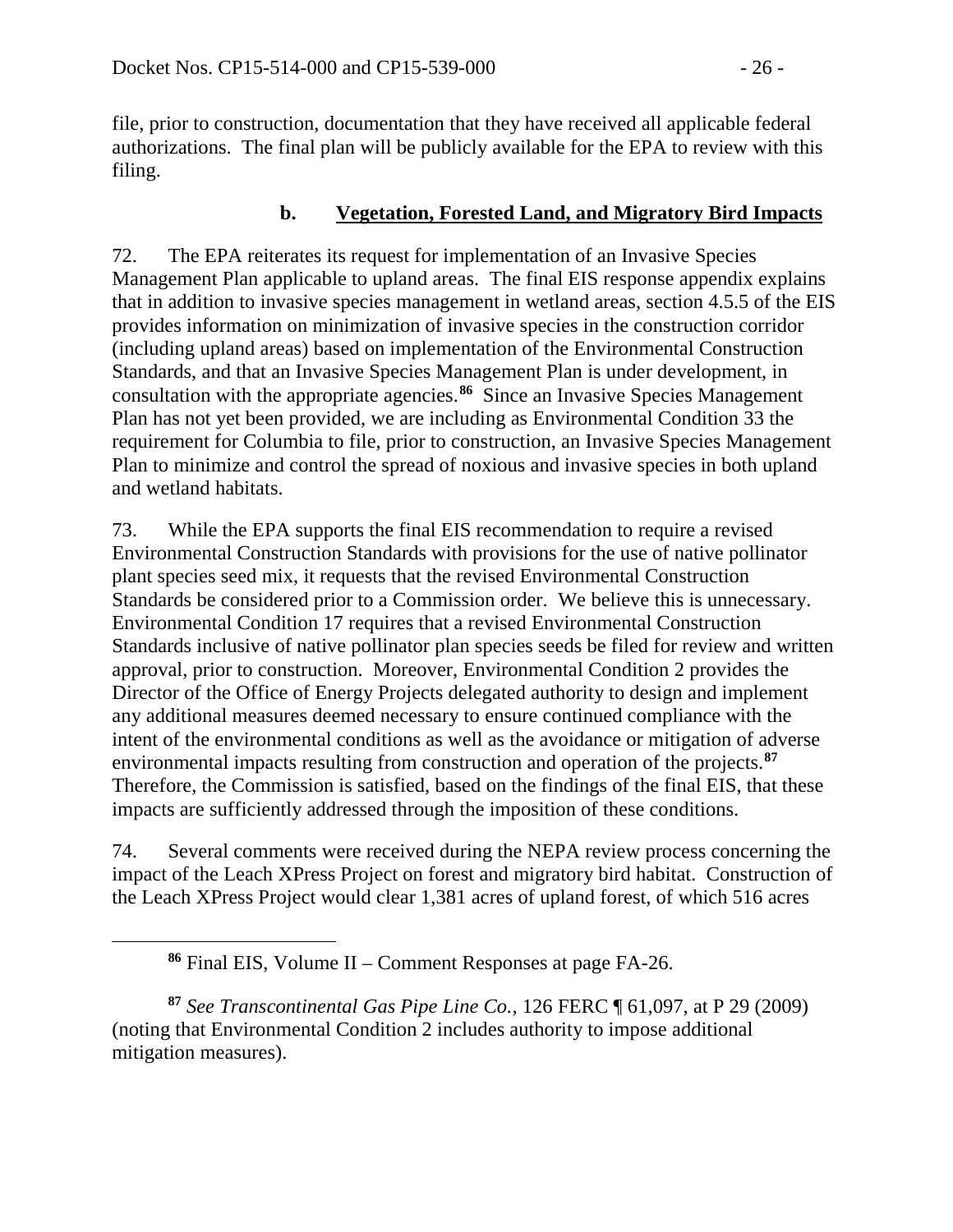file, prior to construction, documentation that they have received all applicable federal authorizations. The final plan will be publicly available for the EPA to review with this filing.

### **b. Vegetation, Forested Land, and Migratory Bird Impacts**

72. The EPA reiterates its request for implementation of an Invasive Species Management Plan applicable to upland areas. The final EIS response appendix explains that in addition to invasive species management in wetland areas, section 4.5.5 of the EIS provides information on minimization of invasive species in the construction corridor (including upland areas) based on implementation of the Environmental Construction Standards, and that an Invasive Species Management Plan is under development, in consultation with the appropriate agencies.**[86](#page-25-0)** Since an Invasive Species Management Plan has not yet been provided, we are including as Environmental Condition 33 the requirement for Columbia to file, prior to construction, an Invasive Species Management Plan to minimize and control the spread of noxious and invasive species in both upland and wetland habitats.

73. While the EPA supports the final EIS recommendation to require a revised Environmental Construction Standards with provisions for the use of native pollinator plant species seed mix, it requests that the revised Environmental Construction Standards be considered prior to a Commission order. We believe this is unnecessary. Environmental Condition 17 requires that a revised Environmental Construction Standards inclusive of native pollinator plan species seeds be filed for review and written approval, prior to construction. Moreover, Environmental Condition 2 provides the Director of the Office of Energy Projects delegated authority to design and implement any additional measures deemed necessary to ensure continued compliance with the intent of the environmental conditions as well as the avoidance or mitigation of adverse environmental impacts resulting from construction and operation of the projects.**[87](#page-25-1)** Therefore, the Commission is satisfied, based on the findings of the final EIS, that these impacts are sufficiently addressed through the imposition of these conditions.

74. Several comments were received during the NEPA review process concerning the impact of the Leach XPress Project on forest and migratory bird habitat. Construction of the Leach XPress Project would clear 1,381 acres of upland forest, of which 516 acres

<span id="page-25-0"></span> $\overline{a}$ 

<span id="page-25-1"></span>**<sup>87</sup>** *See Transcontinental Gas Pipe Line Co.*, 126 FERC ¶ 61,097, at P 29 (2009) (noting that Environmental Condition 2 includes authority to impose additional mitigation measures).

**<sup>86</sup>** Final EIS, Volume II – Comment Responses at page FA-26.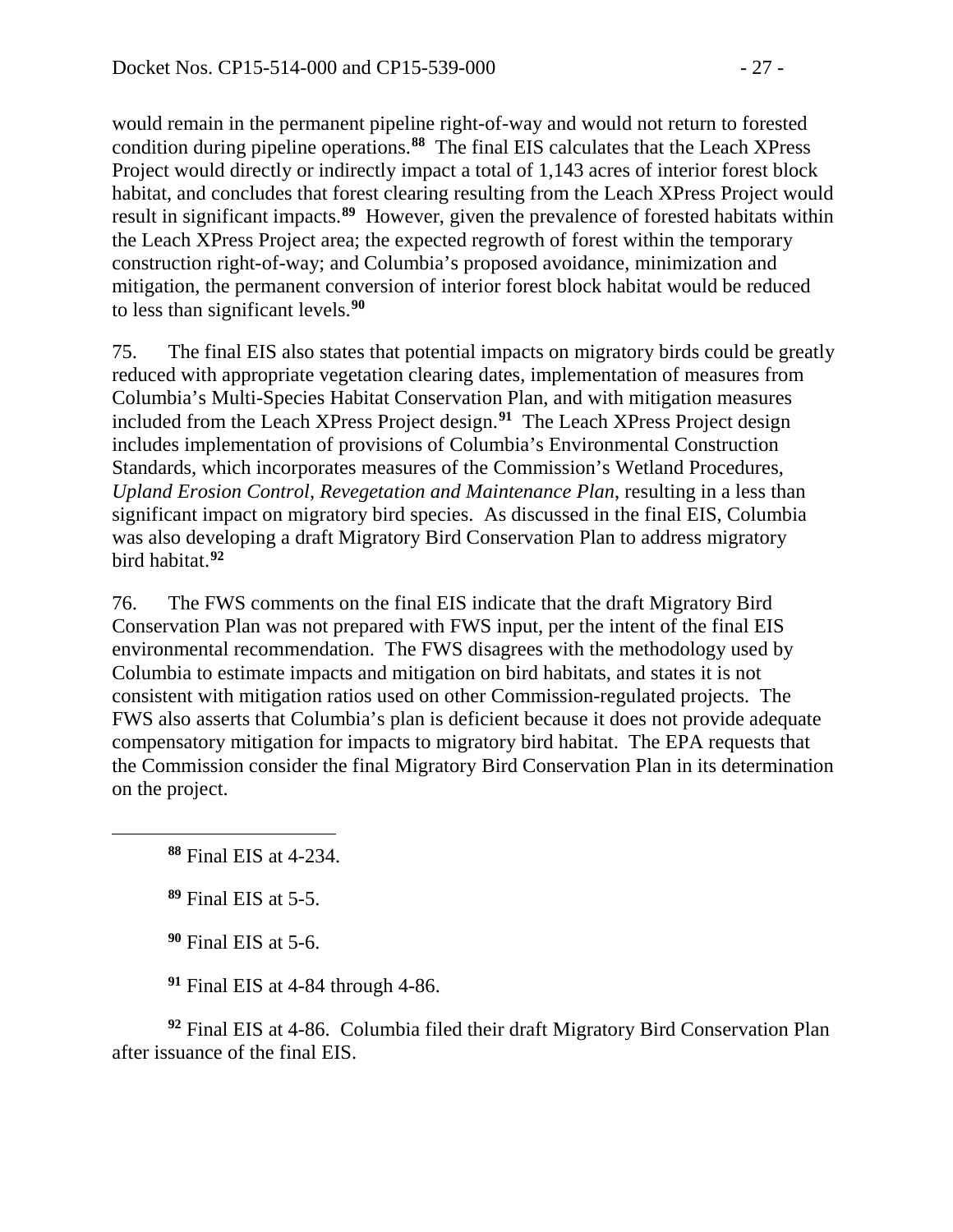would remain in the permanent pipeline right-of-way and would not return to forested condition during pipeline operations.**[88](#page-26-0)** The final EIS calculates that the Leach XPress Project would directly or indirectly impact a total of 1,143 acres of interior forest block habitat, and concludes that forest clearing resulting from the Leach XPress Project would result in significant impacts.**[89](#page-26-1)** However, given the prevalence of forested habitats within the Leach XPress Project area; the expected regrowth of forest within the temporary construction right-of-way; and Columbia's proposed avoidance, minimization and mitigation, the permanent conversion of interior forest block habitat would be reduced to less than significant levels.**[90](#page-26-2)**

75. The final EIS also states that potential impacts on migratory birds could be greatly reduced with appropriate vegetation clearing dates, implementation of measures from Columbia's Multi-Species Habitat Conservation Plan, and with mitigation measures included from the Leach XPress Project design.**[91](#page-26-3)** The Leach XPress Project design includes implementation of provisions of Columbia's Environmental Construction Standards, which incorporates measures of the Commission's Wetland Procedures, *Upland Erosion Control, Revegetation and Maintenance Plan*, resulting in a less than significant impact on migratory bird species. As discussed in the final EIS, Columbia was also developing a draft Migratory Bird Conservation Plan to address migratory bird habitat.**[92](#page-26-4)**

76. The FWS comments on the final EIS indicate that the draft Migratory Bird Conservation Plan was not prepared with FWS input, per the intent of the final EIS environmental recommendation. The FWS disagrees with the methodology used by Columbia to estimate impacts and mitigation on bird habitats, and states it is not consistent with mitigation ratios used on other Commission-regulated projects. The FWS also asserts that Columbia's plan is deficient because it does not provide adequate compensatory mitigation for impacts to migratory bird habitat. The EPA requests that the Commission consider the final Migratory Bird Conservation Plan in its determination on the project.

<span id="page-26-1"></span><span id="page-26-0"></span> $\overline{a}$ 

**<sup>90</sup>** Final EIS at 5-6.

**<sup>91</sup>** Final EIS at 4-84 through 4-86.

<span id="page-26-4"></span><span id="page-26-3"></span><span id="page-26-2"></span>**<sup>92</sup>** Final EIS at 4-86. Columbia filed their draft Migratory Bird Conservation Plan after issuance of the final EIS.

**<sup>88</sup>** Final EIS at 4-234.

**<sup>89</sup>** Final EIS at 5-5.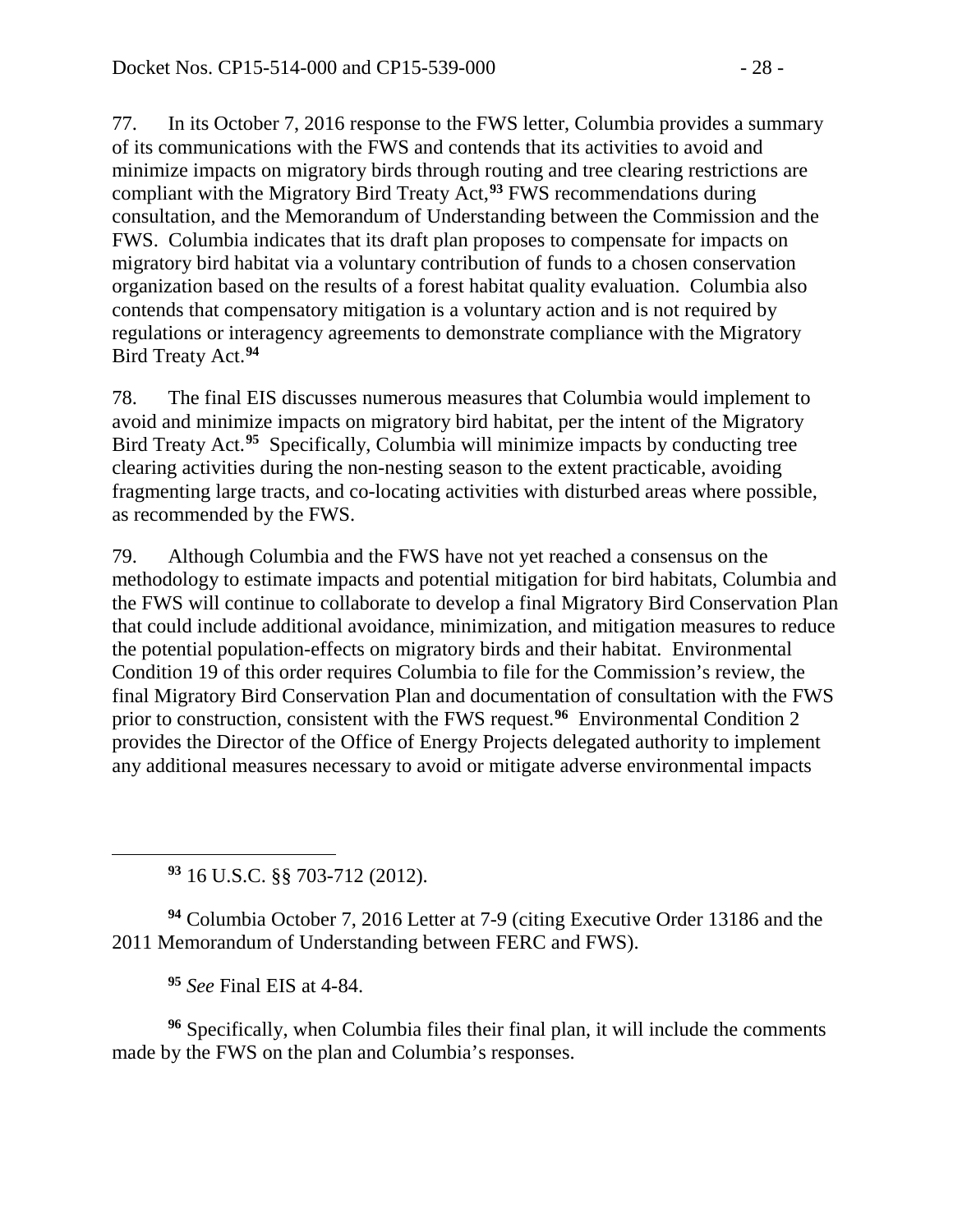77. In its October 7, 2016 response to the FWS letter, Columbia provides a summary of its communications with the FWS and contends that its activities to avoid and minimize impacts on migratory birds through routing and tree clearing restrictions are compliant with the Migratory Bird Treaty Act,**[93](#page-27-0)** FWS recommendations during consultation, and the Memorandum of Understanding between the Commission and the FWS. Columbia indicates that its draft plan proposes to compensate for impacts on migratory bird habitat via a voluntary contribution of funds to a chosen conservation organization based on the results of a forest habitat quality evaluation. Columbia also contends that compensatory mitigation is a voluntary action and is not required by regulations or interagency agreements to demonstrate compliance with the Migratory Bird Treaty Act. **[94](#page-27-1)**

78. The final EIS discusses numerous measures that Columbia would implement to avoid and minimize impacts on migratory bird habitat, per the intent of the Migratory Bird Treaty Act. **[95](#page-27-2)** Specifically, Columbia will minimize impacts by conducting tree clearing activities during the non-nesting season to the extent practicable, avoiding fragmenting large tracts, and co-locating activities with disturbed areas where possible, as recommended by the FWS.

79. Although Columbia and the FWS have not yet reached a consensus on the methodology to estimate impacts and potential mitigation for bird habitats, Columbia and the FWS will continue to collaborate to develop a final Migratory Bird Conservation Plan that could include additional avoidance, minimization, and mitigation measures to reduce the potential population-effects on migratory birds and their habitat. Environmental Condition 19 of this order requires Columbia to file for the Commission's review, the final Migratory Bird Conservation Plan and documentation of consultation with the FWS prior to construction, consistent with the FWS request.**[96](#page-27-3)** Environmental Condition 2 provides the Director of the Office of Energy Projects delegated authority to implement any additional measures necessary to avoid or mitigate adverse environmental impacts

**<sup>93</sup>** 16 U.S.C. §§ 703-712 (2012).

<span id="page-27-1"></span>**<sup>94</sup>** Columbia October 7, 2016 Letter at 7-9 (citing Executive Order 13186 and the 2011 Memorandum of Understanding between FERC and FWS).

**<sup>95</sup>** *See* Final EIS at 4-84.

<span id="page-27-0"></span> $\overline{a}$ 

<span id="page-27-3"></span><span id="page-27-2"></span>**<sup>96</sup>** Specifically, when Columbia files their final plan, it will include the comments made by the FWS on the plan and Columbia's responses.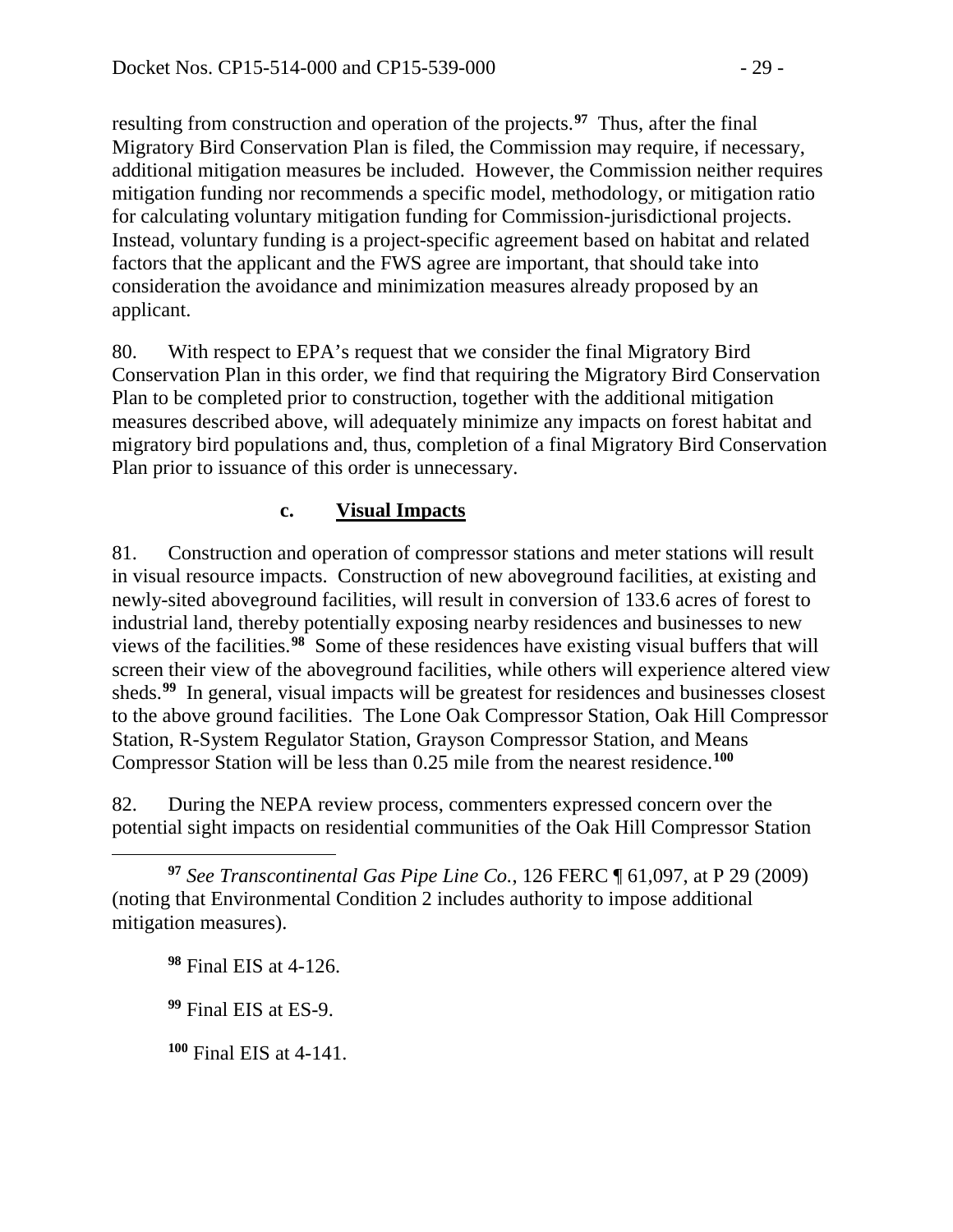resulting from construction and operation of the projects. **[97](#page-28-0)** Thus, after the final Migratory Bird Conservation Plan is filed, the Commission may require, if necessary, additional mitigation measures be included. However, the Commission neither requires mitigation funding nor recommends a specific model, methodology, or mitigation ratio for calculating voluntary mitigation funding for Commission-jurisdictional projects. Instead, voluntary funding is a project-specific agreement based on habitat and related factors that the applicant and the FWS agree are important, that should take into consideration the avoidance and minimization measures already proposed by an applicant.

80. With respect to EPA's request that we consider the final Migratory Bird Conservation Plan in this order, we find that requiring the Migratory Bird Conservation Plan to be completed prior to construction, together with the additional mitigation measures described above, will adequately minimize any impacts on forest habitat and migratory bird populations and, thus, completion of a final Migratory Bird Conservation Plan prior to issuance of this order is unnecessary.

# **c. Visual Impacts**

81. Construction and operation of compressor stations and meter stations will result in visual resource impacts. Construction of new aboveground facilities, at existing and newly-sited aboveground facilities, will result in conversion of 133.6 acres of forest to industrial land, thereby potentially exposing nearby residences and businesses to new views of the facilities.**[98](#page-28-1)** Some of these residences have existing visual buffers that will screen their view of the aboveground facilities, while others will experience altered view sheds.<sup>[99](#page-28-2)</sup> In general, visual impacts will be greatest for residences and businesses closest to the above ground facilities. The Lone Oak Compressor Station, Oak Hill Compressor Station, R-System Regulator Station, Grayson Compressor Station, and Means Compressor Station will be less than 0.25 mile from the nearest residence.**[100](#page-28-3)**

82. During the NEPA review process, commenters expressed concern over the potential sight impacts on residential communities of the Oak Hill Compressor Station

<span id="page-28-1"></span><span id="page-28-0"></span> $\overline{a}$ **<sup>97</sup>** *See Transcontinental Gas Pipe Line Co.*, 126 FERC ¶ 61,097, at P 29 (2009) (noting that Environmental Condition 2 includes authority to impose additional mitigation measures).

**<sup>98</sup>** Final EIS at 4-126.

<span id="page-28-2"></span>**<sup>99</sup>** Final EIS at ES-9.

<span id="page-28-3"></span>**<sup>100</sup>** Final EIS at 4-141.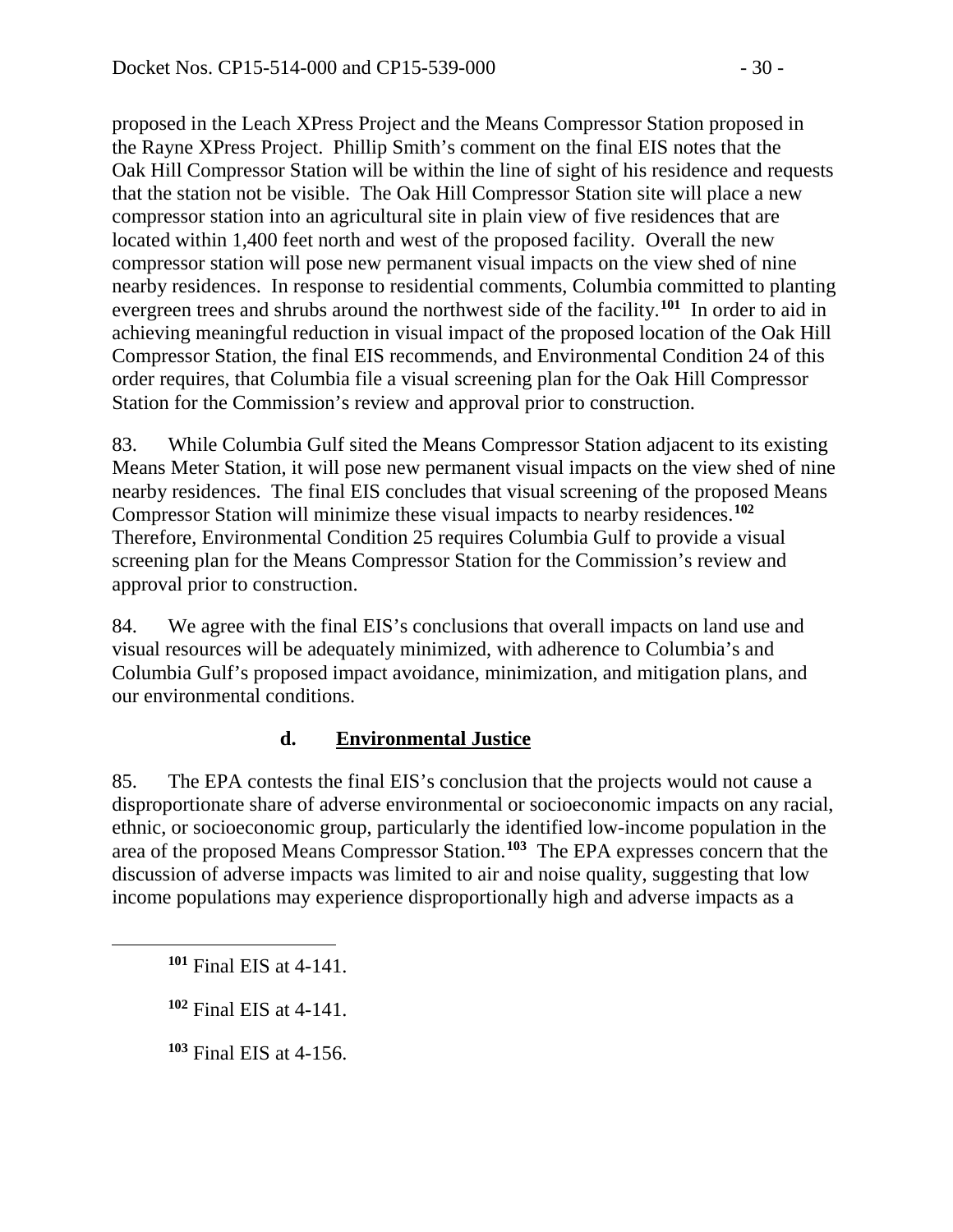proposed in the Leach XPress Project and the Means Compressor Station proposed in the Rayne XPress Project. Phillip Smith's comment on the final EIS notes that the Oak Hill Compressor Station will be within the line of sight of his residence and requests that the station not be visible. The Oak Hill Compressor Station site will place a new compressor station into an agricultural site in plain view of five residences that are located within 1,400 feet north and west of the proposed facility. Overall the new compressor station will pose new permanent visual impacts on the view shed of nine nearby residences. In response to residential comments, Columbia committed to planting evergreen trees and shrubs around the northwest side of the facility.**[101](#page-29-0)** In order to aid in achieving meaningful reduction in visual impact of the proposed location of the Oak Hill Compressor Station, the final EIS recommends, and Environmental Condition 24 of this order requires, that Columbia file a visual screening plan for the Oak Hill Compressor Station for the Commission's review and approval prior to construction.

83. While Columbia Gulf sited the Means Compressor Station adjacent to its existing Means Meter Station, it will pose new permanent visual impacts on the view shed of nine nearby residences. The final EIS concludes that visual screening of the proposed Means Compressor Station will minimize these visual impacts to nearby residences.**[102](#page-29-1)** Therefore, Environmental Condition 25 requires Columbia Gulf to provide a visual screening plan for the Means Compressor Station for the Commission's review and approval prior to construction.

84. We agree with the final EIS's conclusions that overall impacts on land use and visual resources will be adequately minimized, with adherence to Columbia's and Columbia Gulf's proposed impact avoidance, minimization, and mitigation plans, and our environmental conditions.

## **d. Environmental Justice**

85. The EPA contests the final EIS's conclusion that the projects would not cause a disproportionate share of adverse environmental or socioeconomic impacts on any racial, ethnic, or socioeconomic group, particularly the identified low-income population in the area of the proposed Means Compressor Station.**[103](#page-29-2)** The EPA expresses concern that the discussion of adverse impacts was limited to air and noise quality, suggesting that low income populations may experience disproportionally high and adverse impacts as a

<span id="page-29-2"></span><span id="page-29-1"></span><span id="page-29-0"></span> $\overline{a}$ 

**<sup>103</sup>** Final EIS at 4-156.

**<sup>101</sup>** Final EIS at 4-141.

**<sup>102</sup>** Final EIS at 4-141.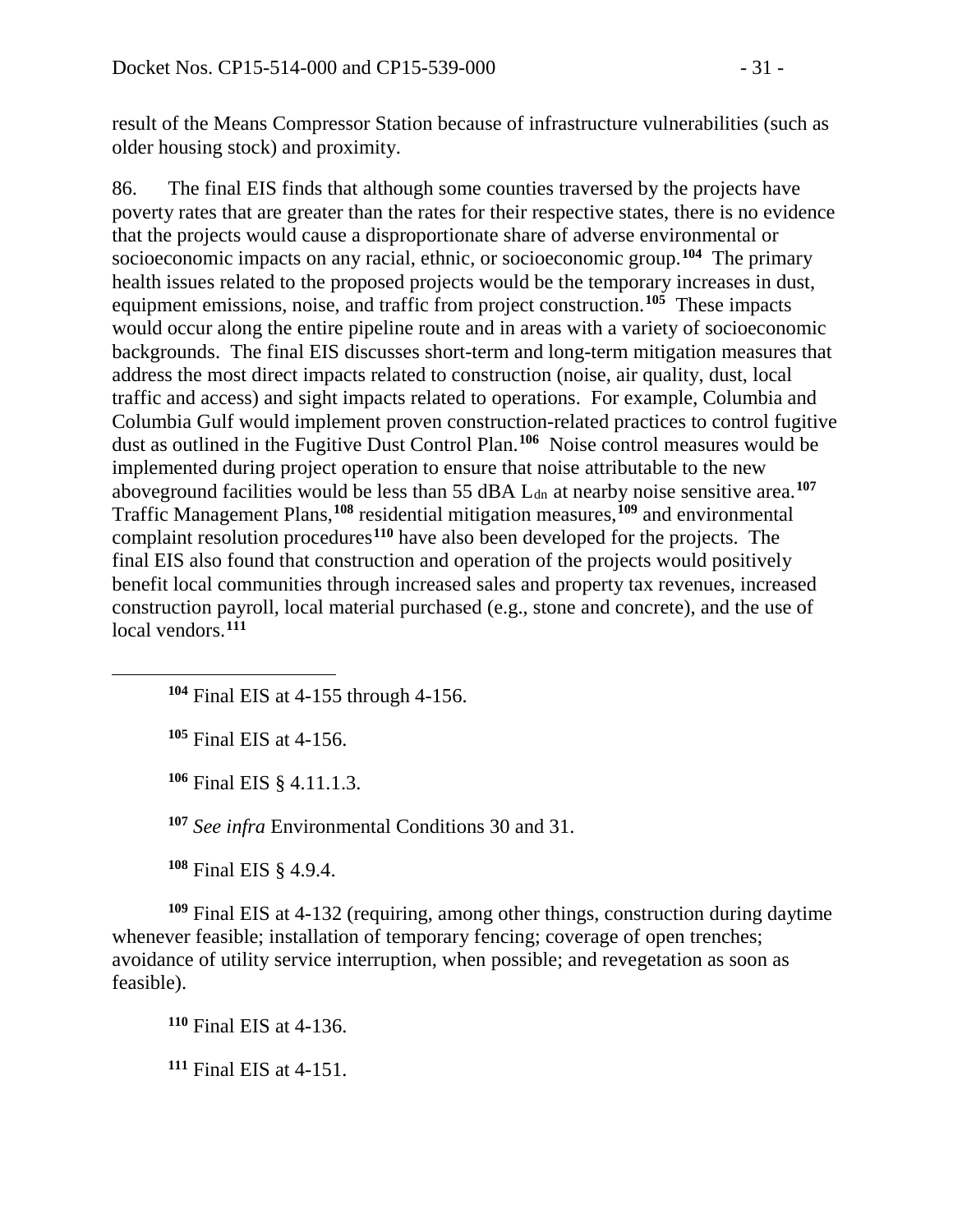result of the Means Compressor Station because of infrastructure vulnerabilities (such as older housing stock) and proximity.

86. The final EIS finds that although some counties traversed by the projects have poverty rates that are greater than the rates for their respective states, there is no evidence that the projects would cause a disproportionate share of adverse environmental or socioeconomic impacts on any racial, ethnic, or socioeconomic group. **[104](#page-30-0)** The primary health issues related to the proposed projects would be the temporary increases in dust, equipment emissions, noise, and traffic from project construction. **[105](#page-30-1)** These impacts would occur along the entire pipeline route and in areas with a variety of socioeconomic backgrounds. The final EIS discusses short-term and long-term mitigation measures that address the most direct impacts related to construction (noise, air quality, dust, local traffic and access) and sight impacts related to operations. For example, Columbia and Columbia Gulf would implement proven construction-related practices to control fugitive dust as outlined in the Fugitive Dust Control Plan. **[106](#page-30-2)** Noise control measures would be implemented during project operation to ensure that noise attributable to the new aboveground facilities would be less than 55 dBA L<sub>dn</sub> at nearby noise sensitive area.<sup>[107](#page-30-3)</sup> Traffic Management Plans,**[108](#page-30-4)** residential mitigation measures,**[109](#page-30-5)** and environmental complaint resolution procedures**[110](#page-30-6)** have also been developed for the projects. The final EIS also found that construction and operation of the projects would positively benefit local communities through increased sales and property tax revenues, increased construction payroll, local material purchased (e.g., stone and concrete), and the use of local vendors. **[111](#page-30-7)**

**<sup>104</sup>** Final EIS at 4-155 through 4-156.

**<sup>105</sup>** Final EIS at 4-156.

<span id="page-30-2"></span><span id="page-30-1"></span><span id="page-30-0"></span> $\overline{a}$ 

**<sup>106</sup>** Final EIS § 4.11.1.3.

**<sup>107</sup>** *See infra* Environmental Conditions 30 and 31.

**<sup>108</sup>** Final EIS § 4.9.4.

<span id="page-30-6"></span><span id="page-30-5"></span><span id="page-30-4"></span><span id="page-30-3"></span>**<sup>109</sup>** Final EIS at 4-132 (requiring, among other things, construction during daytime whenever feasible; installation of temporary fencing; coverage of open trenches; avoidance of utility service interruption, when possible; and revegetation as soon as feasible).

**<sup>110</sup>** Final EIS at 4-136.

<span id="page-30-7"></span>**<sup>111</sup>** Final EIS at 4-151.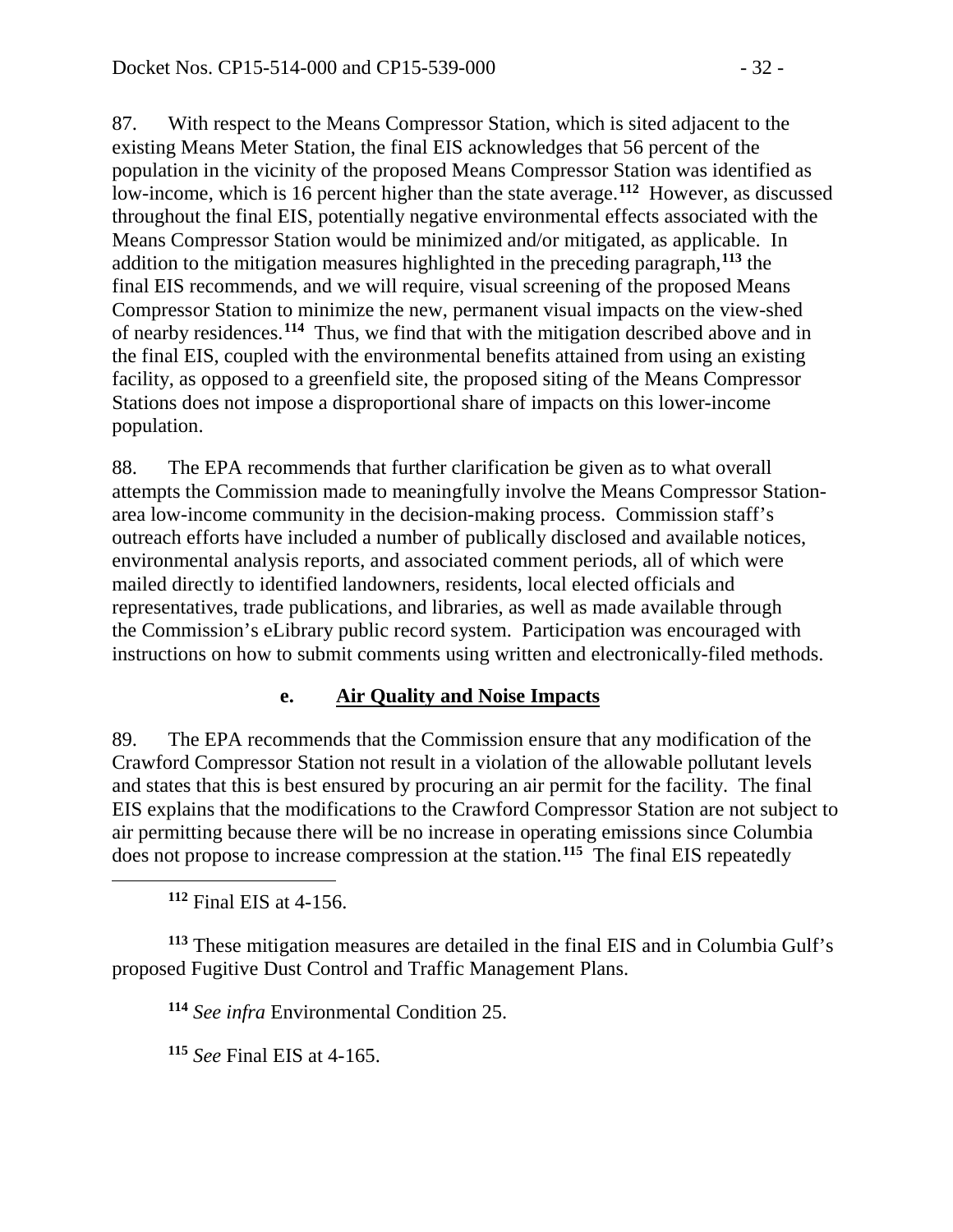87. With respect to the Means Compressor Station, which is sited adjacent to the existing Means Meter Station, the final EIS acknowledges that 56 percent of the population in the vicinity of the proposed Means Compressor Station was identified as low-income, which is 16 percent higher than the state average. **[112](#page-31-0)** However, as discussed throughout the final EIS, potentially negative environmental effects associated with the Means Compressor Station would be minimized and/or mitigated, as applicable. In addition to the mitigation measures highlighted in the preceding paragraph, **[113](#page-31-1)** the final EIS recommends, and we will require, visual screening of the proposed Means Compressor Station to minimize the new, permanent visual impacts on the view-shed of nearby residences. **[114](#page-31-2)** Thus, we find that with the mitigation described above and in the final EIS, coupled with the environmental benefits attained from using an existing facility, as opposed to a greenfield site, the proposed siting of the Means Compressor Stations does not impose a disproportional share of impacts on this lower-income population.

88. The EPA recommends that further clarification be given as to what overall attempts the Commission made to meaningfully involve the Means Compressor Stationarea low-income community in the decision-making process. Commission staff's outreach efforts have included a number of publically disclosed and available notices, environmental analysis reports, and associated comment periods, all of which were mailed directly to identified landowners, residents, local elected officials and representatives, trade publications, and libraries, as well as made available through the Commission's eLibrary public record system. Participation was encouraged with instructions on how to submit comments using written and electronically-filed methods.

## **e. Air Quality and Noise Impacts**

89. The EPA recommends that the Commission ensure that any modification of the Crawford Compressor Station not result in a violation of the allowable pollutant levels and states that this is best ensured by procuring an air permit for the facility. The final EIS explains that the modifications to the Crawford Compressor Station are not subject to air permitting because there will be no increase in operating emissions since Columbia does not propose to increase compression at the station.**[115](#page-31-3)** The final EIS repeatedly

**<sup>112</sup>** Final EIS at 4-156.

<span id="page-31-0"></span> $\overline{a}$ 

<span id="page-31-3"></span><span id="page-31-2"></span><span id="page-31-1"></span>**<sup>113</sup>** These mitigation measures are detailed in the final EIS and in Columbia Gulf's proposed Fugitive Dust Control and Traffic Management Plans.

**<sup>114</sup>** *See infra* Environmental Condition 25.

**<sup>115</sup>** *See* Final EIS at 4-165.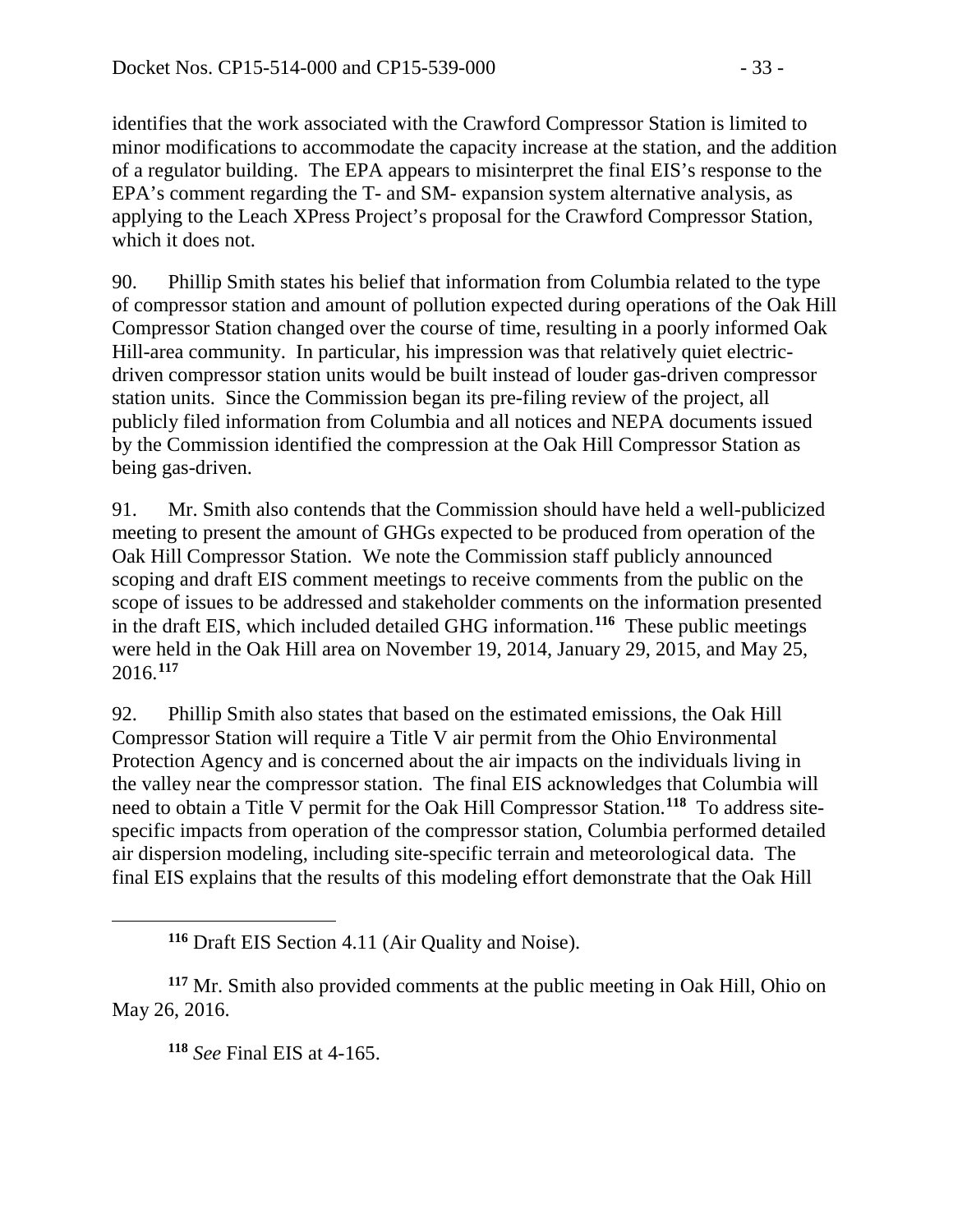identifies that the work associated with the Crawford Compressor Station is limited to minor modifications to accommodate the capacity increase at the station, and the addition of a regulator building. The EPA appears to misinterpret the final EIS's response to the EPA's comment regarding the T- and SM- expansion system alternative analysis, as applying to the Leach XPress Project's proposal for the Crawford Compressor Station, which it does not.

90. Phillip Smith states his belief that information from Columbia related to the type of compressor station and amount of pollution expected during operations of the Oak Hill Compressor Station changed over the course of time, resulting in a poorly informed Oak Hill-area community. In particular, his impression was that relatively quiet electricdriven compressor station units would be built instead of louder gas-driven compressor station units. Since the Commission began its pre-filing review of the project, all publicly filed information from Columbia and all notices and NEPA documents issued by the Commission identified the compression at the Oak Hill Compressor Station as being gas-driven.

91. Mr. Smith also contends that the Commission should have held a well-publicized meeting to present the amount of GHGs expected to be produced from operation of the Oak Hill Compressor Station. We note the Commission staff publicly announced scoping and draft EIS comment meetings to receive comments from the public on the scope of issues to be addressed and stakeholder comments on the information presented in the draft EIS, which included detailed GHG information.**[116](#page-32-0)** These public meetings were held in the Oak Hill area on November 19, 2014, January 29, 2015, and May 25, 2016. **[117](#page-32-1)**

92. Phillip Smith also states that based on the estimated emissions, the Oak Hill Compressor Station will require a Title V air permit from the Ohio Environmental Protection Agency and is concerned about the air impacts on the individuals living in the valley near the compressor station. The final EIS acknowledges that Columbia will need to obtain a Title V permit for the Oak Hill Compressor Station.**[118](#page-32-2)** To address sitespecific impacts from operation of the compressor station, Columbia performed detailed air dispersion modeling, including site-specific terrain and meteorological data. The final EIS explains that the results of this modeling effort demonstrate that the Oak Hill

**<sup>116</sup>** Draft EIS Section 4.11 (Air Quality and Noise).

<span id="page-32-2"></span><span id="page-32-1"></span><span id="page-32-0"></span>**<sup>117</sup>** Mr. Smith also provided comments at the public meeting in Oak Hill, Ohio on May 26, 2016.

**<sup>118</sup>** *See* Final EIS at 4-165.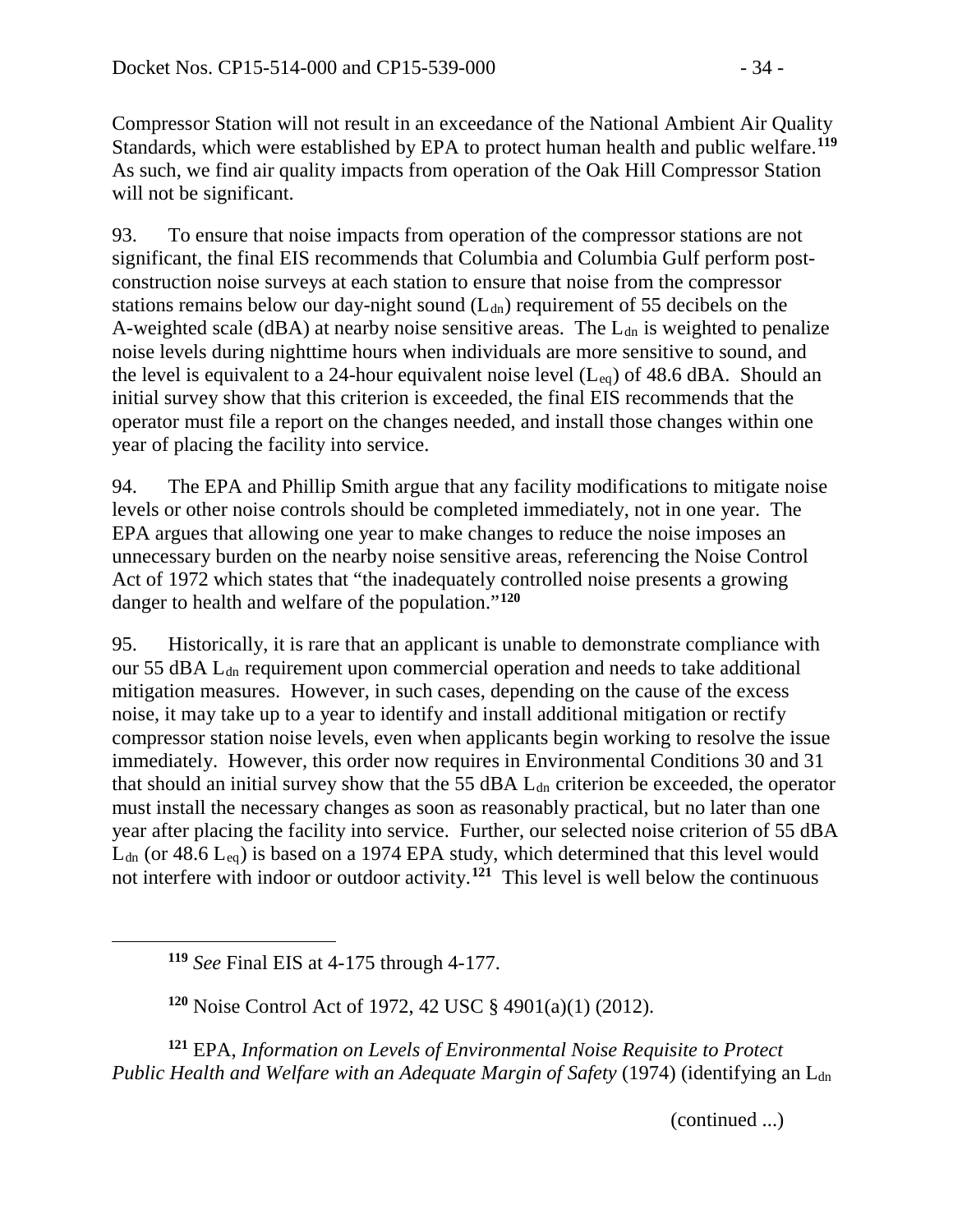Compressor Station will not result in an exceedance of the National Ambient Air Quality Standards, which were established by EPA to protect human health and public welfare.**[119](#page-33-0)** As such, we find air quality impacts from operation of the Oak Hill Compressor Station will not be significant.

93. To ensure that noise impacts from operation of the compressor stations are not significant, the final EIS recommends that Columbia and Columbia Gulf perform postconstruction noise surveys at each station to ensure that noise from the compressor stations remains below our day-night sound  $(L<sub>dn</sub>)$  requirement of 55 decibels on the A-weighted scale (dBA) at nearby noise sensitive areas. The  $L_{dn}$  is weighted to penalize noise levels during nighttime hours when individuals are more sensitive to sound, and the level is equivalent to a 24-hour equivalent noise level  $(L_{eq})$  of 48.6 dBA. Should an initial survey show that this criterion is exceeded, the final EIS recommends that the operator must file a report on the changes needed, and install those changes within one year of placing the facility into service.

94. The EPA and Phillip Smith argue that any facility modifications to mitigate noise levels or other noise controls should be completed immediately, not in one year. The EPA argues that allowing one year to make changes to reduce the noise imposes an unnecessary burden on the nearby noise sensitive areas, referencing the Noise Control Act of 1972 which states that "the inadequately controlled noise presents a growing danger to health and welfare of the population."**[120](#page-33-1)**

95. Historically, it is rare that an applicant is unable to demonstrate compliance with our 55 dBA L<sub>dn</sub> requirement upon commercial operation and needs to take additional mitigation measures. However, in such cases, depending on the cause of the excess noise, it may take up to a year to identify and install additional mitigation or rectify compressor station noise levels, even when applicants begin working to resolve the issue immediately. However, this order now requires in Environmental Conditions 30 and 31 that should an initial survey show that the 55 dBA  $L_{dn}$  criterion be exceeded, the operator must install the necessary changes as soon as reasonably practical, but no later than one year after placing the facility into service. Further, our selected noise criterion of 55 dBA  $L_{dn}$  (or 48.6  $L_{eq}$ ) is based on a 1974 EPA study, which determined that this level would not interfere with indoor or outdoor activity.**[121](#page-33-2)** This level is well below the continuous

**<sup>119</sup>** *See* Final EIS at 4-175 through 4-177.

<span id="page-33-0"></span> $\overline{a}$ 

**<sup>120</sup>** Noise Control Act of 1972, 42 USC § 4901(a)(1) (2012).

<span id="page-33-2"></span><span id="page-33-1"></span>**<sup>121</sup>** EPA, *Information on Levels of Environmental Noise Requisite to Protect Public Health and Welfare with an Adequate Margin of Safety* (1974) (identifying an L<sub>dn</sub>

(continued ...)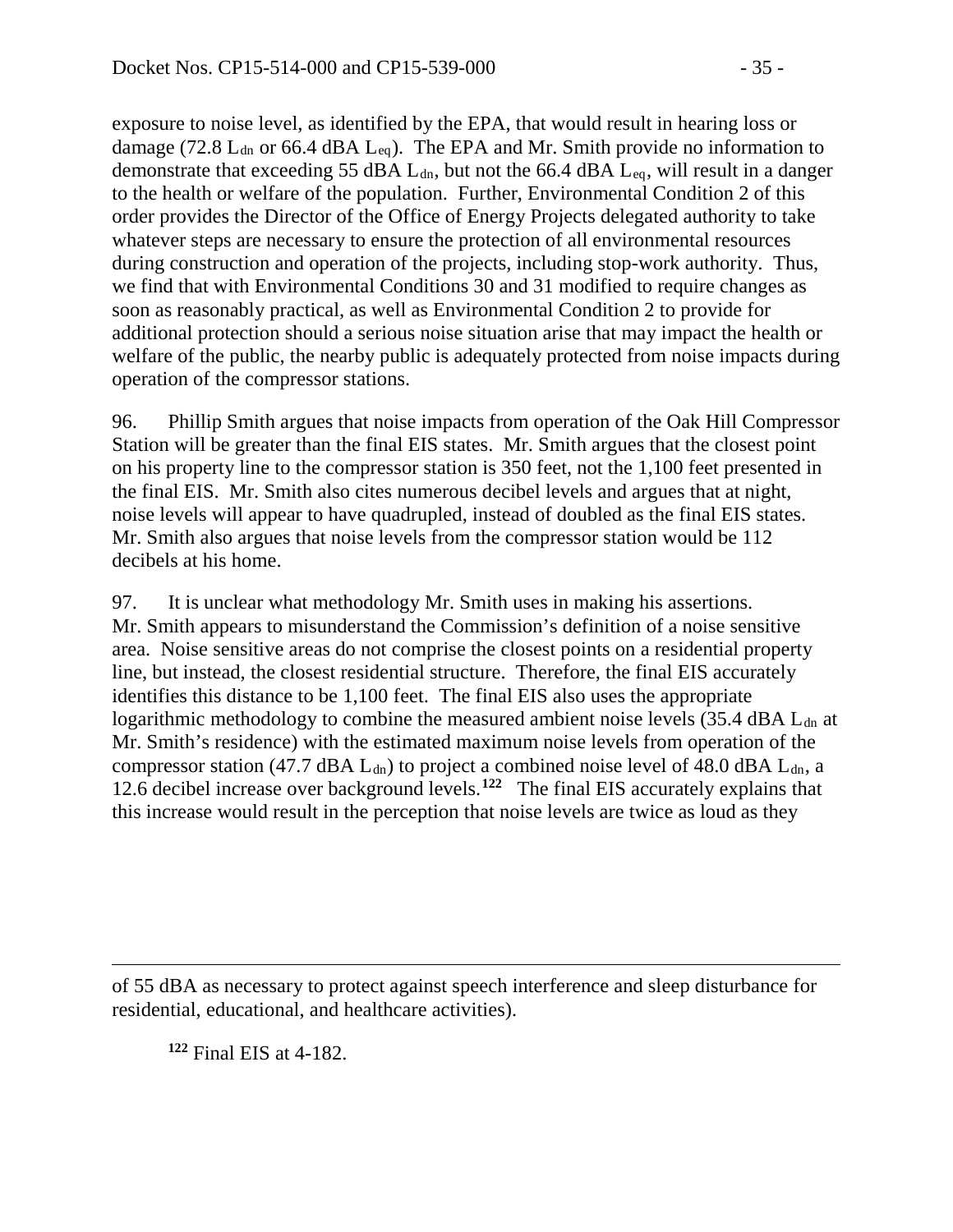exposure to noise level, as identified by the EPA, that would result in hearing loss or damage (72.8  $L_{dn}$  or 66.4 dBA  $L_{eq}$ ). The EPA and Mr. Smith provide no information to demonstrate that exceeding 55 dBA  $L_{dn}$ , but not the 66.4 dBA  $L_{eq}$ , will result in a danger to the health or welfare of the population. Further, Environmental Condition 2 of this order provides the Director of the Office of Energy Projects delegated authority to take whatever steps are necessary to ensure the protection of all environmental resources during construction and operation of the projects, including stop-work authority. Thus, we find that with Environmental Conditions 30 and 31 modified to require changes as soon as reasonably practical, as well as Environmental Condition 2 to provide for additional protection should a serious noise situation arise that may impact the health or welfare of the public, the nearby public is adequately protected from noise impacts during operation of the compressor stations.

96. Phillip Smith argues that noise impacts from operation of the Oak Hill Compressor Station will be greater than the final EIS states. Mr. Smith argues that the closest point on his property line to the compressor station is 350 feet, not the 1,100 feet presented in the final EIS. Mr. Smith also cites numerous decibel levels and argues that at night, noise levels will appear to have quadrupled, instead of doubled as the final EIS states. Mr. Smith also argues that noise levels from the compressor station would be 112 decibels at his home.

97. It is unclear what methodology Mr. Smith uses in making his assertions. Mr. Smith appears to misunderstand the Commission's definition of a noise sensitive area. Noise sensitive areas do not comprise the closest points on a residential property line, but instead, the closest residential structure. Therefore, the final EIS accurately identifies this distance to be 1,100 feet. The final EIS also uses the appropriate logarithmic methodology to combine the measured ambient noise levels  $(35.4 \text{ dBA} L_{dn})$  at Mr. Smith's residence) with the estimated maximum noise levels from operation of the compressor station (47.7 dBA  $L_{dn}$ ) to project a combined noise level of 48.0 dBA  $L_{dn}$ , a 12.6 decibel increase over background levels.**[122](#page-34-0)** The final EIS accurately explains that this increase would result in the perception that noise levels are twice as loud as they

<span id="page-34-0"></span>of 55 dBA as necessary to protect against speech interference and sleep disturbance for residential, educational, and healthcare activities).

**<sup>122</sup>** Final EIS at 4-182.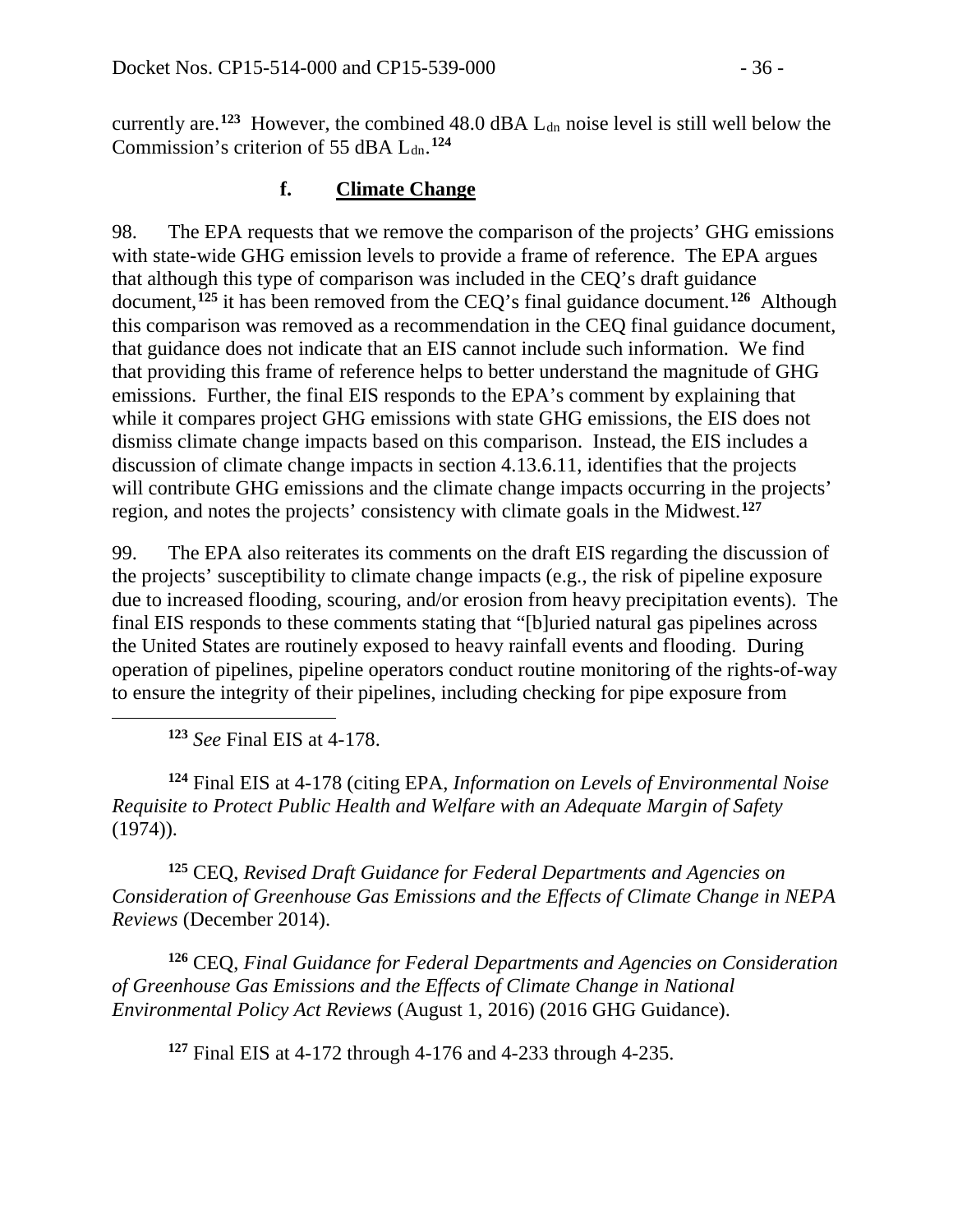currently are.<sup>[123](#page-35-0)</sup> However, the combined  $48.0 \text{ dBA } L_{dn}$  noise level is still well below the Commission's criterion of 55 dBA L<sub>dn</sub>.<sup>[124](#page-35-1)</sup>

### **f. Climate Change**

98. The EPA requests that we remove the comparison of the projects' GHG emissions with state-wide GHG emission levels to provide a frame of reference. The EPA argues that although this type of comparison was included in the CEQ's draft guidance document,**[125](#page-35-2)** it has been removed from the CEQ's final guidance document.**[126](#page-35-3)** Although this comparison was removed as a recommendation in the CEQ final guidance document, that guidance does not indicate that an EIS cannot include such information. We find that providing this frame of reference helps to better understand the magnitude of GHG emissions. Further, the final EIS responds to the EPA's comment by explaining that while it compares project GHG emissions with state GHG emissions, the EIS does not dismiss climate change impacts based on this comparison. Instead, the EIS includes a discussion of climate change impacts in section 4.13.6.11, identifies that the projects will contribute GHG emissions and the climate change impacts occurring in the projects' region, and notes the projects' consistency with climate goals in the Midwest.**[127](#page-35-4)**

99. The EPA also reiterates its comments on the draft EIS regarding the discussion of the projects' susceptibility to climate change impacts (e.g., the risk of pipeline exposure due to increased flooding, scouring, and/or erosion from heavy precipitation events). The final EIS responds to these comments stating that "[b]uried natural gas pipelines across the United States are routinely exposed to heavy rainfall events and flooding. During operation of pipelines, pipeline operators conduct routine monitoring of the rights-of-way to ensure the integrity of their pipelines, including checking for pipe exposure from

**<sup>123</sup>** *See* Final EIS at 4-178.

<span id="page-35-0"></span> $\overline{a}$ 

<span id="page-35-1"></span>**<sup>124</sup>** Final EIS at 4-178 (citing EPA, *Information on Levels of Environmental Noise Requisite to Protect Public Health and Welfare with an Adequate Margin of Safety* (1974)).

<span id="page-35-2"></span>**<sup>125</sup>** CEQ, *Revised Draft Guidance for Federal Departments and Agencies on Consideration of Greenhouse Gas Emissions and the Effects of Climate Change in NEPA Reviews* (December 2014).

<span id="page-35-4"></span><span id="page-35-3"></span>**<sup>126</sup>** CEQ, *Final Guidance for Federal Departments and Agencies on Consideration of Greenhouse Gas Emissions and the Effects of Climate Change in National Environmental Policy Act Reviews* (August 1, 2016) (2016 GHG Guidance).

**<sup>127</sup>** Final EIS at 4-172 through 4-176 and 4-233 through 4-235.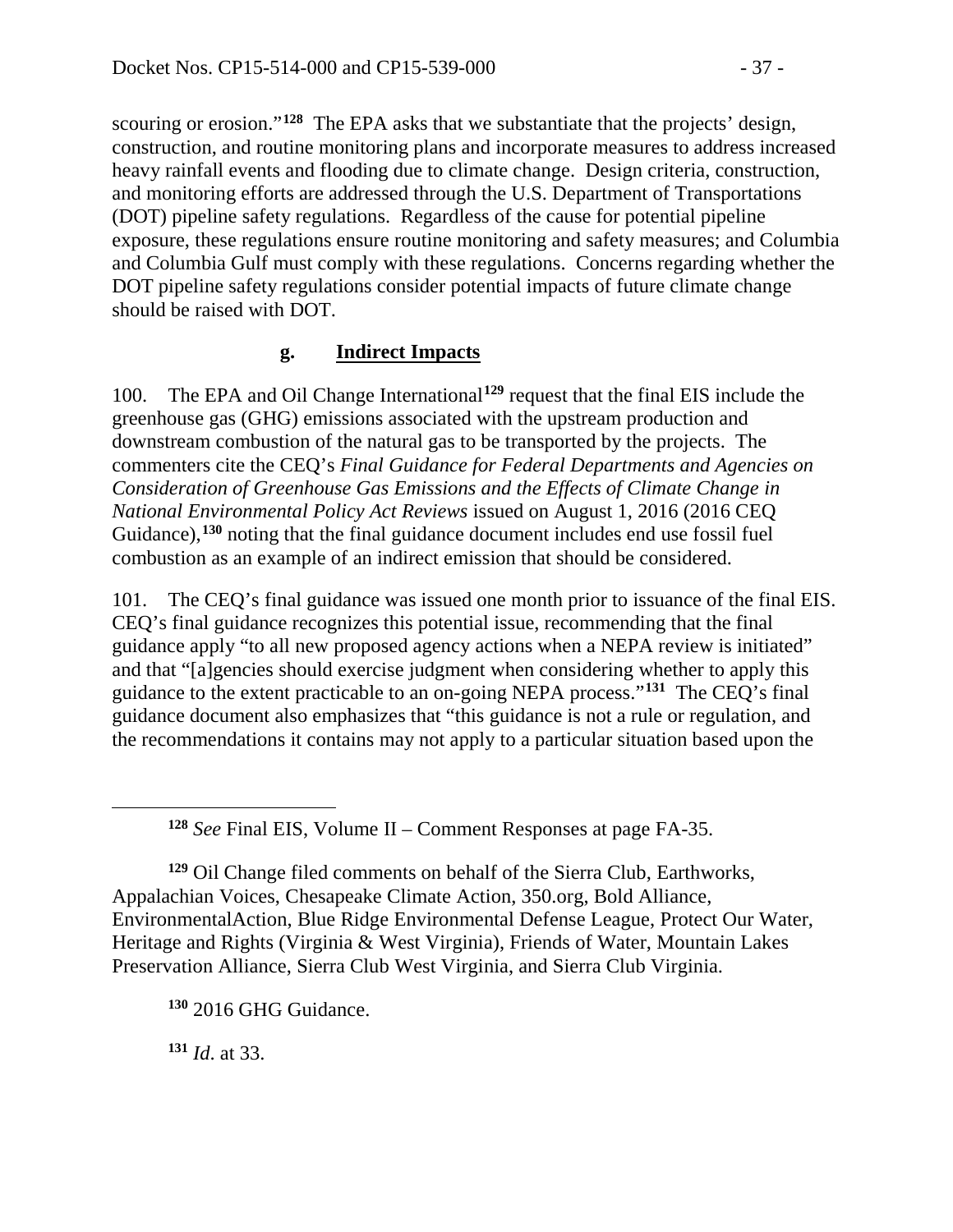scouring or erosion."<sup>[128](#page-36-0)</sup> The EPA asks that we substantiate that the projects' design, construction, and routine monitoring plans and incorporate measures to address increased heavy rainfall events and flooding due to climate change. Design criteria, construction, and monitoring efforts are addressed through the U.S. Department of Transportations (DOT) pipeline safety regulations. Regardless of the cause for potential pipeline exposure, these regulations ensure routine monitoring and safety measures; and Columbia and Columbia Gulf must comply with these regulations. Concerns regarding whether the DOT pipeline safety regulations consider potential impacts of future climate change should be raised with DOT.

### **g. Indirect Impacts**

100. The EPA and Oil Change International**[129](#page-36-1)** request that the final EIS include the greenhouse gas (GHG) emissions associated with the upstream production and downstream combustion of the natural gas to be transported by the projects. The commenters cite the CEQ's *Final Guidance for Federal Departments and Agencies on Consideration of Greenhouse Gas Emissions and the Effects of Climate Change in National Environmental Policy Act Reviews* issued on August 1, 2016 (2016 CEQ Guidance), <sup>[130](#page-36-2)</sup> noting that the final guidance document includes end use fossil fuel combustion as an example of an indirect emission that should be considered.

101. The CEQ's final guidance was issued one month prior to issuance of the final EIS. CEQ's final guidance recognizes this potential issue, recommending that the final guidance apply "to all new proposed agency actions when a NEPA review is initiated" and that "[a]gencies should exercise judgment when considering whether to apply this guidance to the extent practicable to an on-going NEPA process."**[131](#page-36-3)** The CEQ's final guidance document also emphasizes that "this guidance is not a rule or regulation, and the recommendations it contains may not apply to a particular situation based upon the

**<sup>128</sup>** *See* Final EIS, Volume II – Comment Responses at page FA-35.

<span id="page-36-1"></span><span id="page-36-0"></span>**<sup>129</sup>** Oil Change filed comments on behalf of the Sierra Club, Earthworks, Appalachian Voices, Chesapeake Climate Action, 350.org, Bold Alliance, EnvironmentalAction, Blue Ridge Environmental Defense League, Protect Our Water, Heritage and Rights (Virginia & West Virginia), Friends of Water, Mountain Lakes Preservation Alliance, Sierra Club West Virginia, and Sierra Club Virginia.

<span id="page-36-2"></span>**<sup>130</sup>** 2016 GHG Guidance.

<span id="page-36-3"></span>**<sup>131</sup>** *Id*. at 33.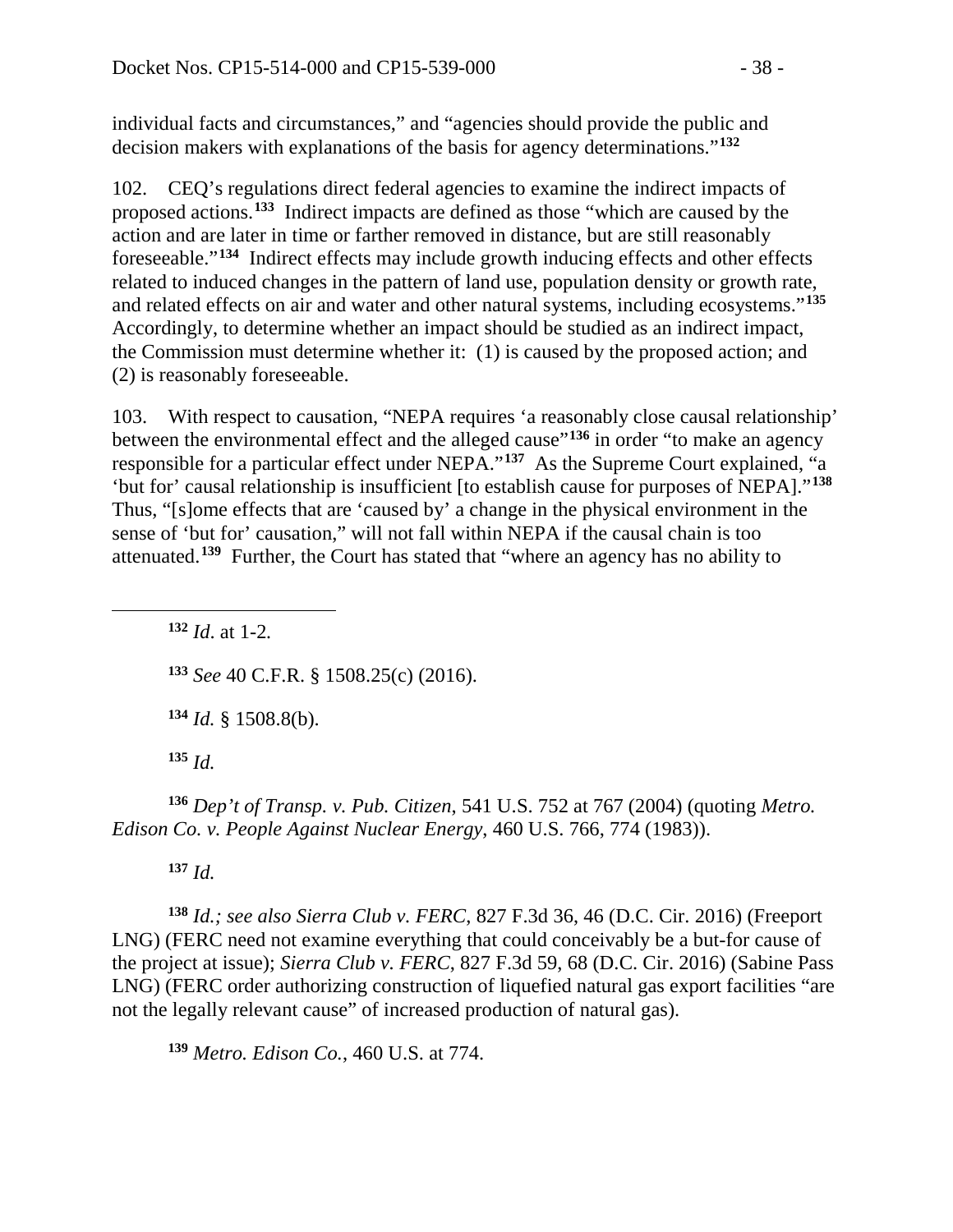individual facts and circumstances," and "agencies should provide the public and decision makers with explanations of the basis for agency determinations."**[132](#page-37-0)**

102. CEQ's regulations direct federal agencies to examine the indirect impacts of proposed actions.**[133](#page-37-1)** Indirect impacts are defined as those "which are caused by the action and are later in time or farther removed in distance, but are still reasonably foreseeable."**[134](#page-37-2)** Indirect effects may include growth inducing effects and other effects related to induced changes in the pattern of land use, population density or growth rate, and related effects on air and water and other natural systems, including ecosystems."**[135](#page-37-3)** Accordingly, to determine whether an impact should be studied as an indirect impact, the Commission must determine whether it: (1) is caused by the proposed action; and (2) is reasonably foreseeable.

103. With respect to causation, "NEPA requires 'a reasonably close causal relationship' between the environmental effect and the alleged cause"<sup>[136](#page-37-4)</sup> in order "to make an agency responsible for a particular effect under NEPA."**[137](#page-37-5)** As the Supreme Court explained, "a 'but for' causal relationship is insufficient [to establish cause for purposes of NEPA]."**[138](#page-37-6)** Thus, "[s]ome effects that are 'caused by' a change in the physical environment in the sense of 'but for' causation," will not fall within NEPA if the causal chain is too attenuated.**[139](#page-37-7)** Further, the Court has stated that "where an agency has no ability to

 *Id*. at 1-2*. See* 40 C.F.R. § 1508.25(c) (2016). *Id.* § 1508.8(b). **<sup>135</sup>** *Id.*

<span id="page-37-4"></span><span id="page-37-3"></span><span id="page-37-2"></span>**<sup>136</sup>** *Dep't of Transp. v. Pub. Citizen*, 541 U.S. 752 at 767 (2004) (quoting *Metro. Edison Co. v. People Against Nuclear Energy*, 460 U.S. 766, 774 (1983)).

**<sup>137</sup>** *Id.*

<span id="page-37-1"></span><span id="page-37-0"></span> $\overline{a}$ 

<span id="page-37-6"></span><span id="page-37-5"></span>**<sup>138</sup>** *Id.; see also Sierra Club v. FERC*, 827 F.3d 36, 46 (D.C. Cir. 2016) (Freeport LNG) (FERC need not examine everything that could conceivably be a but-for cause of the project at issue); *Sierra Club v. FERC*, 827 F.3d 59, 68 (D.C. Cir. 2016) (Sabine Pass LNG) (FERC order authorizing construction of liquefied natural gas export facilities "are not the legally relevant cause" of increased production of natural gas).

<span id="page-37-7"></span>**<sup>139</sup>** *Metro. Edison Co.*, 460 U.S. at 774.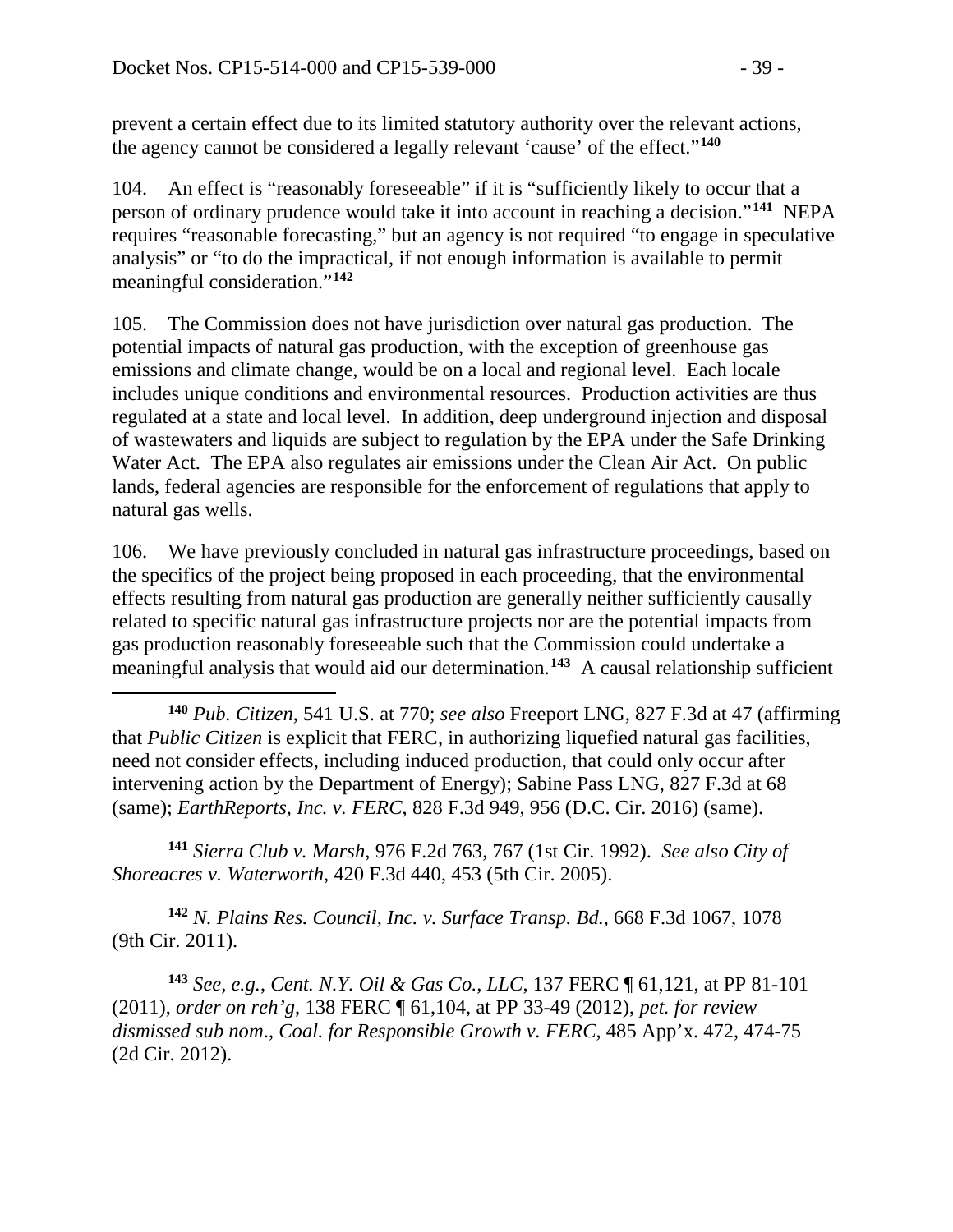prevent a certain effect due to its limited statutory authority over the relevant actions, the agency cannot be considered a legally relevant 'cause' of the effect."**[140](#page-38-0)**

104. An effect is "reasonably foreseeable" if it is "sufficiently likely to occur that a person of ordinary prudence would take it into account in reaching a decision."**[141](#page-38-1)** NEPA requires "reasonable forecasting," but an agency is not required "to engage in speculative analysis" or "to do the impractical, if not enough information is available to permit meaningful consideration."**[142](#page-38-2)**

105. The Commission does not have jurisdiction over natural gas production. The potential impacts of natural gas production, with the exception of greenhouse gas emissions and climate change, would be on a local and regional level. Each locale includes unique conditions and environmental resources. Production activities are thus regulated at a state and local level. In addition, deep underground injection and disposal of wastewaters and liquids are subject to regulation by the EPA under the Safe Drinking Water Act. The EPA also regulates air emissions under the Clean Air Act. On public lands, federal agencies are responsible for the enforcement of regulations that apply to natural gas wells.

106. We have previously concluded in natural gas infrastructure proceedings, based on the specifics of the project being proposed in each proceeding, that the environmental effects resulting from natural gas production are generally neither sufficiently causally related to specific natural gas infrastructure projects nor are the potential impacts from gas production reasonably foreseeable such that the Commission could undertake a meaningful analysis that would aid our determination. **[143](#page-38-3)** A causal relationship sufficient

<span id="page-38-1"></span>**<sup>141</sup>** *Sierra Club v. Marsh*, 976 F.2d 763, 767 (1st Cir. 1992). *See also City of Shoreacres v. Waterworth*, 420 F.3d 440, 453 (5th Cir. 2005).

<span id="page-38-2"></span>**<sup>142</sup>** *N. Plains Res. Council, Inc. v. Surface Transp. Bd.*, 668 F.3d 1067, 1078 (9th Cir. 2011).

<span id="page-38-3"></span>**<sup>143</sup>** *See, e.g.*, *Cent. N.Y. Oil & Gas Co., LLC*, 137 FERC ¶ 61,121, at PP 81-101 (2011), *order on reh'g*, 138 FERC ¶ 61,104, at PP 33-49 (2012), *pet. for review dismissed sub nom*., *Coal. for Responsible Growth v. FERC*, 485 App'x. 472, 474-75 (2d Cir. 2012).

<span id="page-38-0"></span> $\overline{a}$ **<sup>140</sup>** *Pub. Citizen*, 541 U.S. at 770; *see also* Freeport LNG, 827 F.3d at 47 (affirming that *Public Citizen* is explicit that FERC, in authorizing liquefied natural gas facilities, need not consider effects, including induced production, that could only occur after intervening action by the Department of Energy); Sabine Pass LNG, 827 F.3d at 68 (same); *EarthReports, Inc. v. FERC*, 828 F.3d 949, 956 (D.C. Cir. 2016) (same).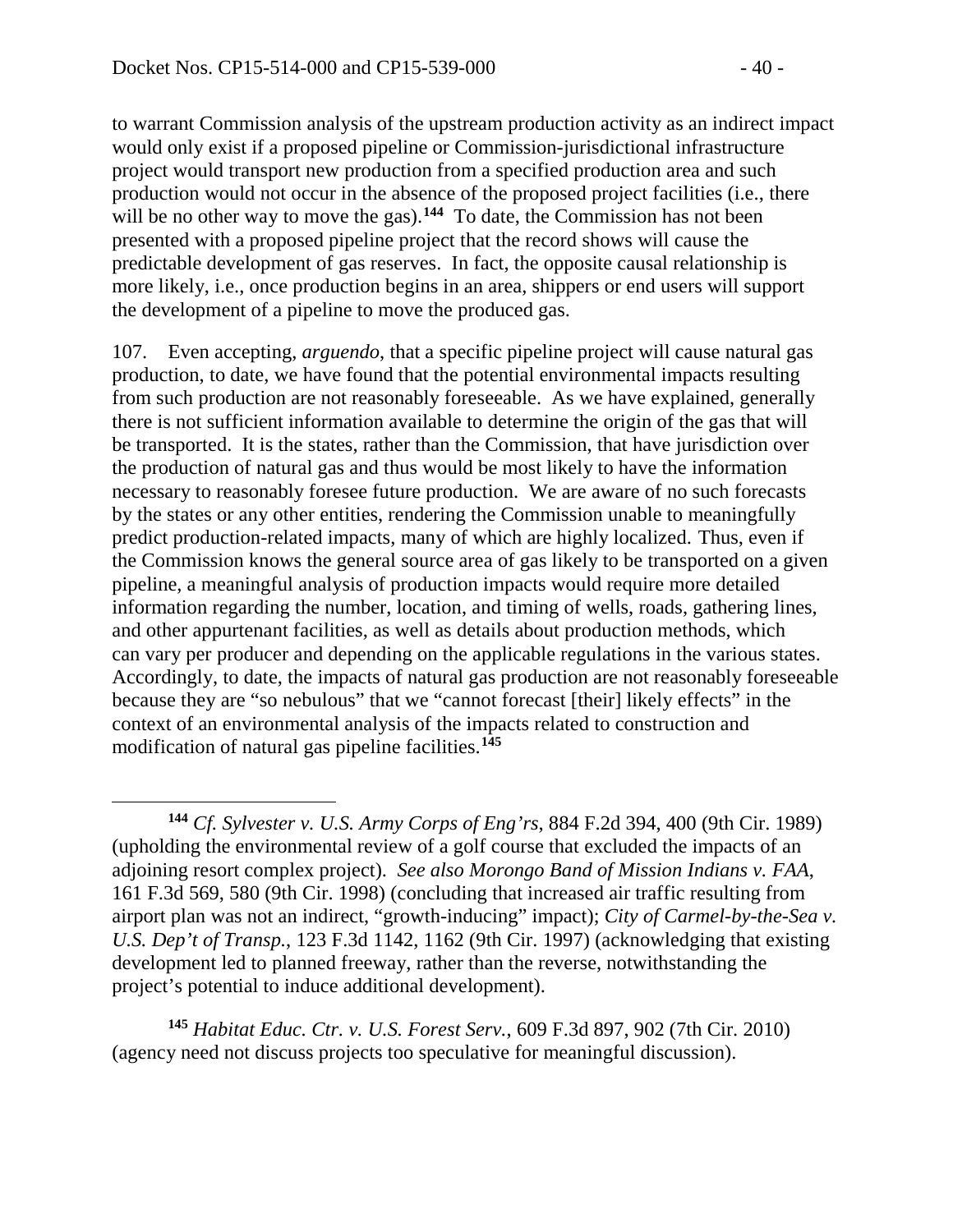$\overline{a}$ 

to warrant Commission analysis of the upstream production activity as an indirect impact would only exist if a proposed pipeline or Commission-jurisdictional infrastructure project would transport new production from a specified production area and such production would not occur in the absence of the proposed project facilities (i.e., there will be no other way to move the gas).<sup>[144](#page-39-0)</sup> To date, the Commission has not been presented with a proposed pipeline project that the record shows will cause the predictable development of gas reserves. In fact, the opposite causal relationship is more likely, i.e., once production begins in an area, shippers or end users will support the development of a pipeline to move the produced gas.

107. Even accepting, *arguendo*, that a specific pipeline project will cause natural gas production, to date, we have found that the potential environmental impacts resulting from such production are not reasonably foreseeable. As we have explained, generally there is not sufficient information available to determine the origin of the gas that will be transported. It is the states, rather than the Commission, that have jurisdiction over the production of natural gas and thus would be most likely to have the information necessary to reasonably foresee future production. We are aware of no such forecasts by the states or any other entities, rendering the Commission unable to meaningfully predict production-related impacts, many of which are highly localized. Thus, even if the Commission knows the general source area of gas likely to be transported on a given pipeline, a meaningful analysis of production impacts would require more detailed information regarding the number, location, and timing of wells, roads, gathering lines, and other appurtenant facilities, as well as details about production methods, which can vary per producer and depending on the applicable regulations in the various states. Accordingly, to date, the impacts of natural gas production are not reasonably foreseeable because they are "so nebulous" that we "cannot forecast [their] likely effects" in the context of an environmental analysis of the impacts related to construction and modification of natural gas pipeline facilities.**[145](#page-39-1)**

<span id="page-39-1"></span>**<sup>145</sup>** *Habitat Educ. Ctr. v. U.S. Forest Serv.*, 609 F.3d 897, 902 (7th Cir. 2010) (agency need not discuss projects too speculative for meaningful discussion).

<span id="page-39-0"></span>**<sup>144</sup>** *Cf. Sylvester v. U.S. Army Corps of Eng'rs*, 884 F.2d 394, 400 (9th Cir. 1989) (upholding the environmental review of a golf course that excluded the impacts of an adjoining resort complex project). *See also Morongo Band of Mission Indians v. FAA*, 161 F.3d 569, 580 (9th Cir. 1998) (concluding that increased air traffic resulting from airport plan was not an indirect, "growth-inducing" impact); *City of Carmel-by-the-Sea v. U.S. Dep't of Transp.*, 123 F.3d 1142, 1162 (9th Cir. 1997) (acknowledging that existing development led to planned freeway, rather than the reverse, notwithstanding the project's potential to induce additional development).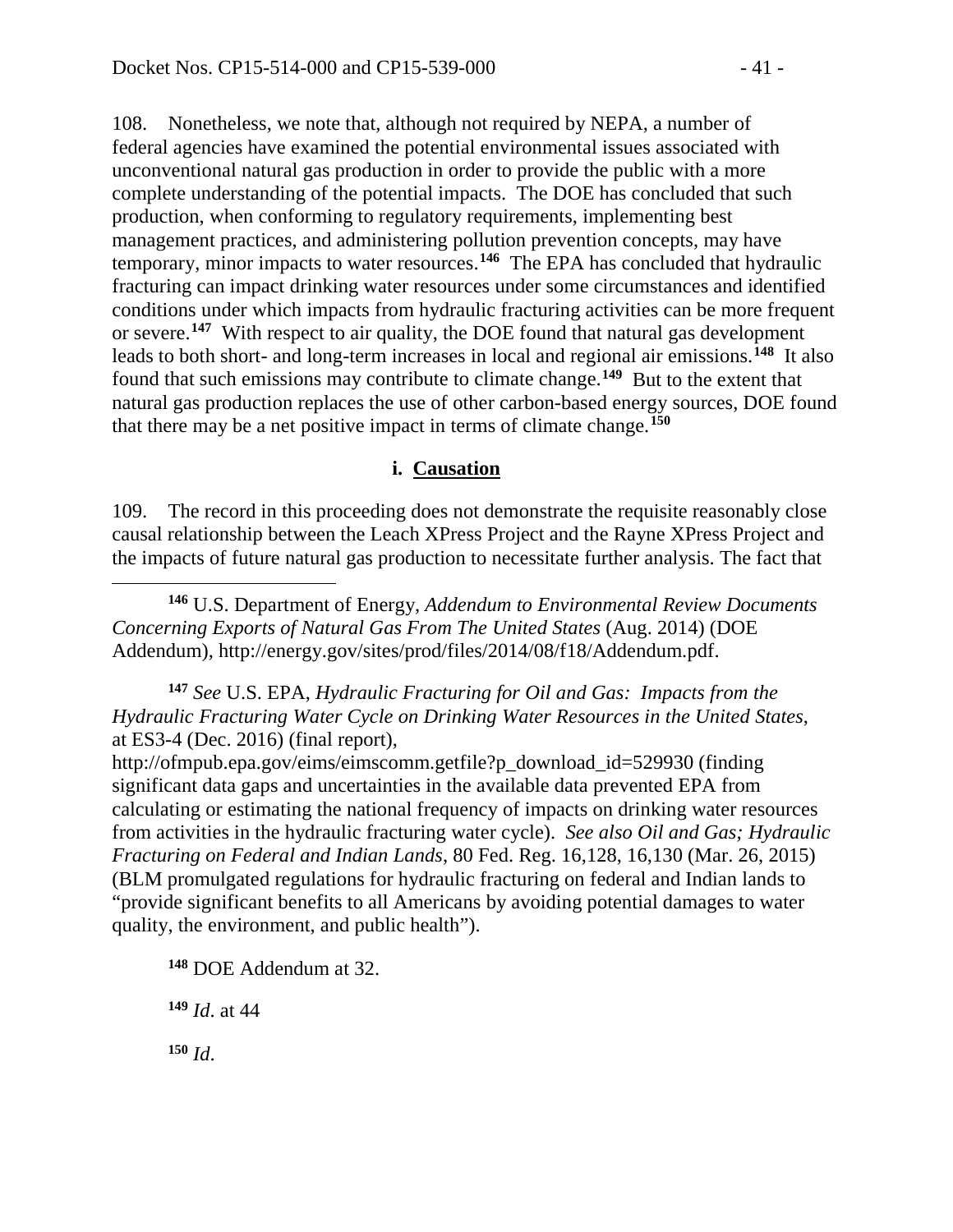108. Nonetheless, we note that, although not required by NEPA, a number of federal agencies have examined the potential environmental issues associated with unconventional natural gas production in order to provide the public with a more complete understanding of the potential impacts. The DOE has concluded that such production, when conforming to regulatory requirements, implementing best management practices, and administering pollution prevention concepts, may have temporary, minor impacts to water resources.**[146](#page-40-0)** The EPA has concluded that hydraulic fracturing can impact drinking water resources under some circumstances and identified conditions under which impacts from hydraulic fracturing activities can be more frequent or severe. **[147](#page-40-1)** With respect to air quality, the DOE found that natural gas development leads to both short- and long-term increases in local and regional air emissions.**[148](#page-40-2)** It also found that such emissions may contribute to climate change.**[149](#page-40-3)** But to the extent that natural gas production replaces the use of other carbon-based energy sources, DOE found that there may be a net positive impact in terms of climate change.**[150](#page-40-4)**

#### **i. Causation**

109. The record in this proceeding does not demonstrate the requisite reasonably close causal relationship between the Leach XPress Project and the Rayne XPress Project and the impacts of future natural gas production to necessitate further analysis. The fact that

<span id="page-40-0"></span>**<sup>146</sup>** U.S. Department of Energy, *Addendum to Environmental Review Documents Concerning Exports of Natural Gas From The United States* (Aug. 2014) (DOE Addendum), http://energy.gov/sites/prod/files/2014/08/f18/Addendum.pdf.

<span id="page-40-1"></span>**<sup>147</sup>** *See* U.S. EPA, *Hydraulic Fracturing for Oil and Gas: Impacts from the Hydraulic Fracturing Water Cycle on Drinking Water Resources in the United States*, at ES3-4 (Dec. 2016) (final report),

[http://ofmpub.epa.gov/eims/eimscomm.getfile?p\\_download\\_id=529930](http://ofmpub.epa.gov/eims/eimscomm.getfile?p_download_id=529930) (finding significant data gaps and uncertainties in the available data prevented EPA from calculating or estimating the national frequency of impacts on drinking water resources from activities in the hydraulic fracturing water cycle). *See also Oil and Gas; Hydraulic Fracturing on Federal and Indian Lands*, 80 Fed. Reg. 16,128, 16,130 (Mar. 26, 2015) (BLM promulgated regulations for hydraulic fracturing on federal and Indian lands to "provide significant benefits to all Americans by avoiding potential damages to water quality, the environment, and public health").

<span id="page-40-2"></span>**<sup>148</sup>** DOE Addendum at 32.

<span id="page-40-3"></span>**<sup>149</sup>** *Id*. at 44

<span id="page-40-4"></span>**<sup>150</sup>** *Id*.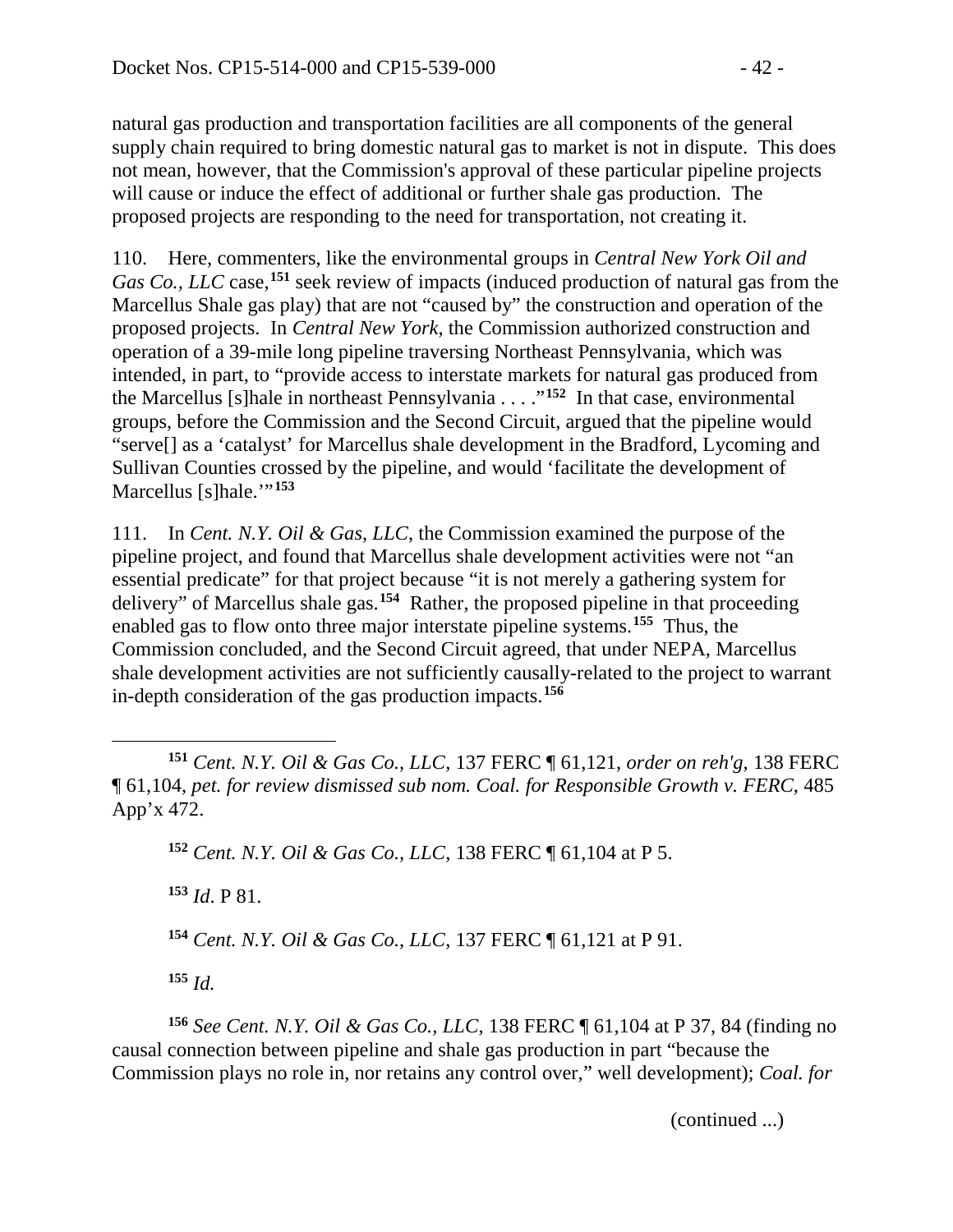natural gas production and transportation facilities are all components of the general supply chain required to bring domestic natural gas to market is not in dispute. This does not mean, however, that the Commission's approval of these particular pipeline projects will cause or induce the effect of additional or further shale gas production. The proposed projects are responding to the need for transportation, not creating it.

110. Here, commenters, like the environmental groups in *Central New York Oil and Gas Co., LLC* case,**[151](#page-41-0)** seek review of impacts (induced production of natural gas from the Marcellus Shale gas play) that are not "caused by" the construction and operation of the proposed projects. In *Central New York*, the Commission authorized construction and operation of a 39-mile long pipeline traversing Northeast Pennsylvania, which was intended, in part, to "provide access to interstate markets for natural gas produced from the Marcellus [s]hale in northeast Pennsylvania . . . ."**[152](#page-41-1)** In that case, environmental groups, before the Commission and the Second Circuit, argued that the pipeline would "serve[] as a 'catalyst' for Marcellus shale development in the Bradford, Lycoming and Sullivan Counties crossed by the pipeline, and would 'facilitate the development of Marcellus [s]hale.'"**[153](#page-41-2)**

111. In *Cent. N.Y. Oil & Gas*, *LLC*, the Commission examined the purpose of the pipeline project, and found that Marcellus shale development activities were not "an essential predicate" for that project because "it is not merely a gathering system for delivery" of Marcellus shale gas.**[154](#page-41-3)** Rather, the proposed pipeline in that proceeding enabled gas to flow onto three major interstate pipeline systems.**[155](#page-41-4)** Thus, the Commission concluded, and the Second Circuit agreed, that under NEPA, Marcellus shale development activities are not sufficiently causally-related to the project to warrant in-depth consideration of the gas production impacts.**[156](#page-41-5)**

**<sup>152</sup>** *Cent. N.Y. Oil & Gas Co., LLC*, 138 FERC ¶ 61,104 at P 5.

<span id="page-41-2"></span>**<sup>153</sup>** *Id*. P 81.

**<sup>154</sup>** *Cent. N.Y. Oil & Gas Co., LLC*, 137 FERC ¶ 61,121 at P 91.

**<sup>155</sup>** *Id.*

<span id="page-41-5"></span><span id="page-41-4"></span><span id="page-41-3"></span>**<sup>156</sup>** *See Cent. N.Y. Oil & Gas Co., LLC,* 138 FERC ¶ 61,104 at P 37, 84 (finding no causal connection between pipeline and shale gas production in part "because the Commission plays no role in, nor retains any control over," well development); *Coal. for* 

(continued ...)

<span id="page-41-1"></span><span id="page-41-0"></span> $\overline{a}$ **<sup>151</sup>** *Cent. N.Y. Oil & Gas Co., LLC*, 137 FERC ¶ 61,121, *order on reh'g*, 138 FERC ¶ 61,104, *pet. for review dismissed sub nom. Coal. for Responsible Growth v. FERC*, 485 App'x 472.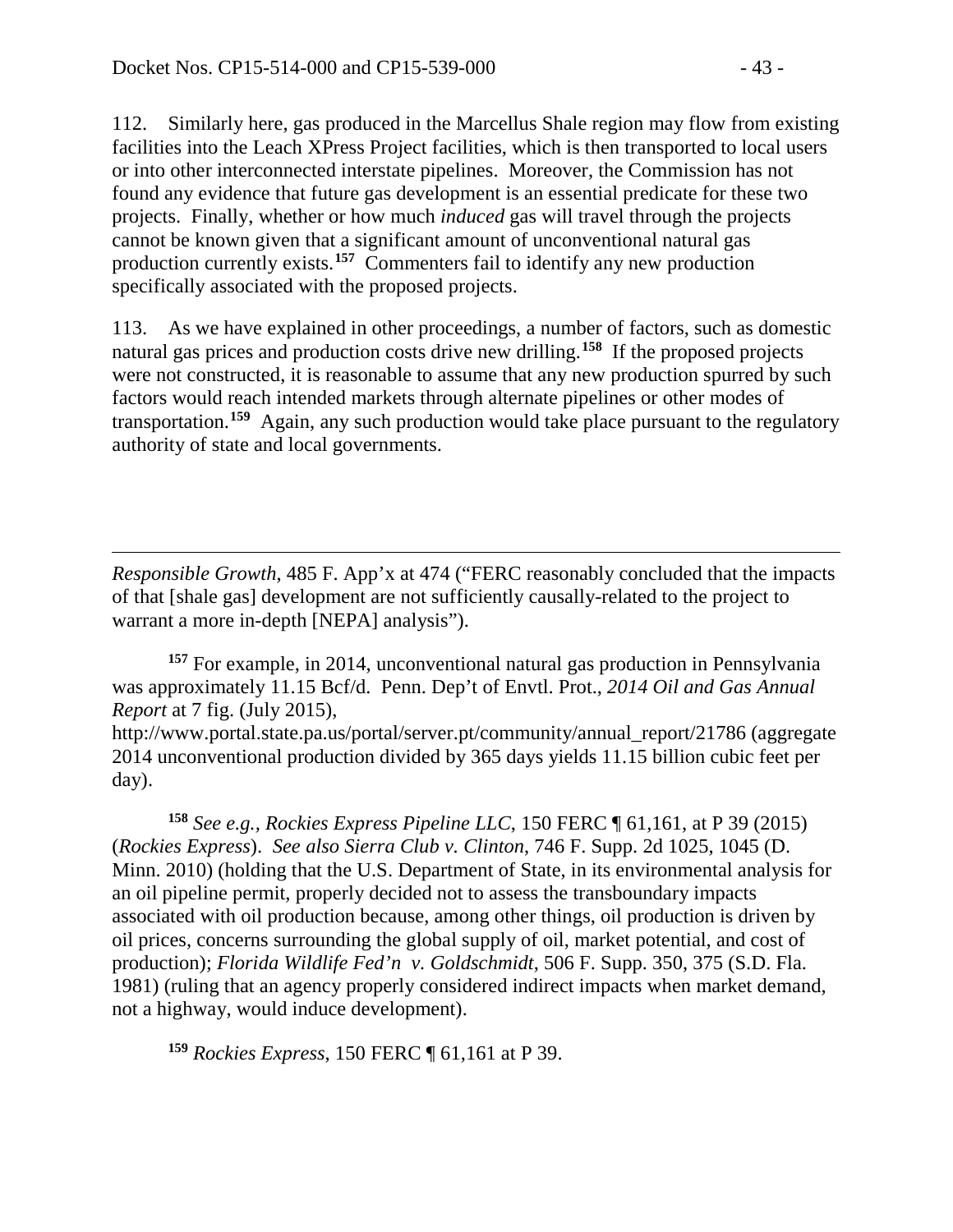112. Similarly here, gas produced in the Marcellus Shale region may flow from existing facilities into the Leach XPress Project facilities, which is then transported to local users or into other interconnected interstate pipelines. Moreover, the Commission has not found any evidence that future gas development is an essential predicate for these two projects. Finally, whether or how much *induced* gas will travel through the projects cannot be known given that a significant amount of unconventional natural gas production currently exists. **[157](#page-42-0)** Commenters fail to identify any new production specifically associated with the proposed projects.

113. As we have explained in other proceedings, a number of factors, such as domestic natural gas prices and production costs drive new drilling.**[158](#page-42-1)** If the proposed projects were not constructed, it is reasonable to assume that any new production spurred by such factors would reach intended markets through alternate pipelines or other modes of transportation.**[159](#page-42-2)** Again, any such production would take place pursuant to the regulatory authority of state and local governments.

 $\overline{a}$ *Responsible Growth*, 485 F. App'x at 474 ("FERC reasonably concluded that the impacts of that [shale gas] development are not sufficiently causally-related to the project to warrant a more in-depth [NEPA] analysis").

<span id="page-42-0"></span>**<sup>157</sup>** For example, in 2014, unconventional natural gas production in Pennsylvania was approximately 11.15 Bcf/d. Penn. Dep't of Envtl. Prot., *2014 Oil and Gas Annual Report* at 7 fig. (July 2015), http://www.portal.state.pa.us/portal/server.pt/community/annual\_report/21786 (aggregate

2014 unconventional production divided by 365 days yields 11.15 billion cubic feet per day).

<span id="page-42-1"></span>**<sup>158</sup>** *See e.g., Rockies Express Pipeline LLC*, 150 FERC ¶ 61,161, at P 39 (2015) (*Rockies Express*). *See also Sierra Club v. Clinton*, 746 F. Supp. 2d 1025, 1045 (D. Minn. 2010) (holding that the U.S. Department of State, in its environmental analysis for an oil pipeline permit, properly decided not to assess the transboundary impacts associated with oil production because, among other things, oil production is driven by oil prices, concerns surrounding the global supply of oil, market potential, and cost of production); *Florida Wildlife Fed'n v. Goldschmidt*, 506 F. Supp. 350, 375 (S.D. Fla. 1981) (ruling that an agency properly considered indirect impacts when market demand, not a highway, would induce development).

<span id="page-42-2"></span>**<sup>159</sup>** *Rockies Express*, 150 FERC ¶ 61,161 at P 39.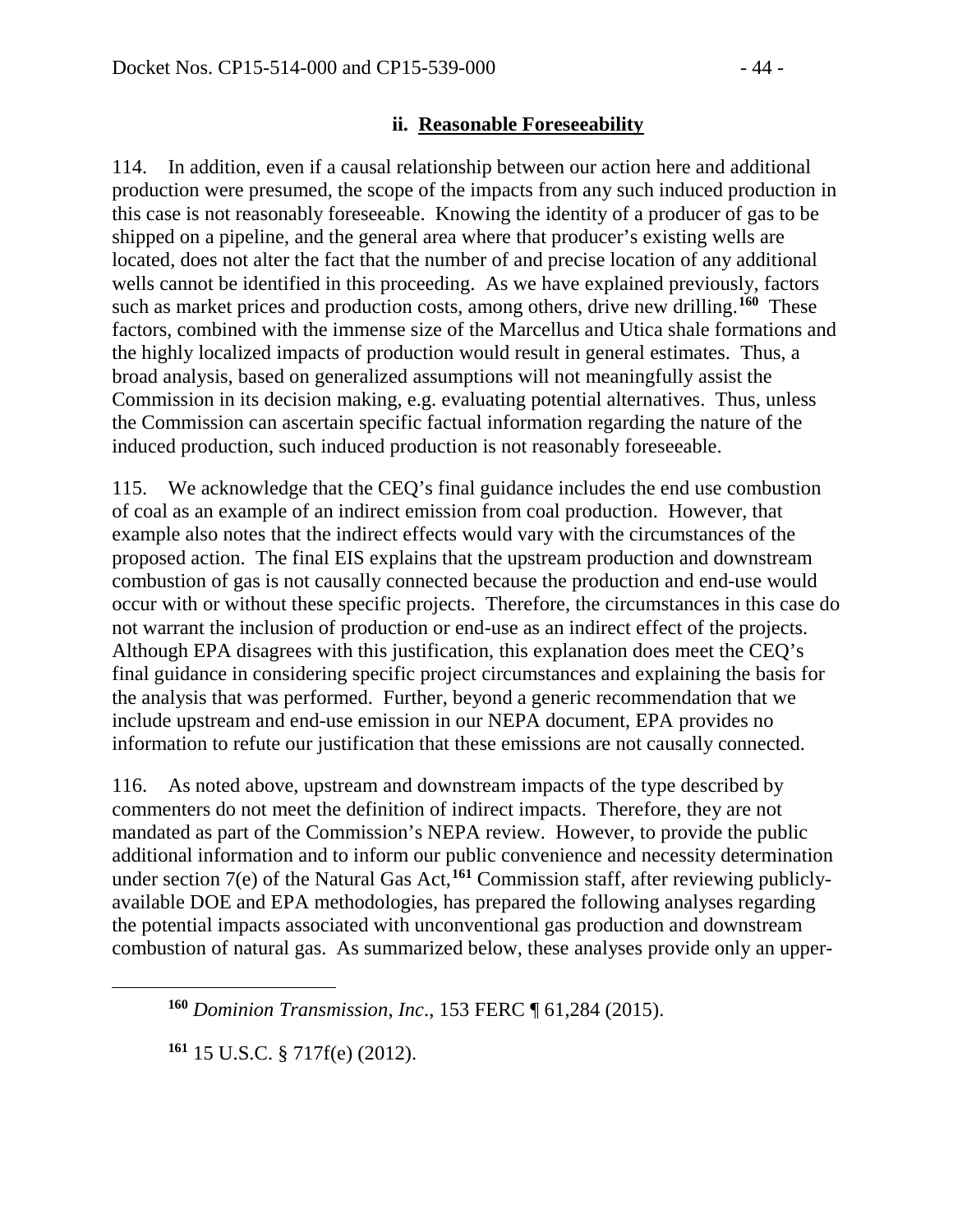#### **ii. Reasonable Foreseeability**

114. In addition, even if a causal relationship between our action here and additional production were presumed, the scope of the impacts from any such induced production in this case is not reasonably foreseeable. Knowing the identity of a producer of gas to be shipped on a pipeline, and the general area where that producer's existing wells are located, does not alter the fact that the number of and precise location of any additional wells cannot be identified in this proceeding. As we have explained previously, factors such as market prices and production costs, among others, drive new drilling.**[160](#page-43-0)** These factors, combined with the immense size of the Marcellus and Utica shale formations and the highly localized impacts of production would result in general estimates. Thus, a broad analysis, based on generalized assumptions will not meaningfully assist the Commission in its decision making, e.g. evaluating potential alternatives. Thus, unless the Commission can ascertain specific factual information regarding the nature of the induced production, such induced production is not reasonably foreseeable.

115. We acknowledge that the CEQ's final guidance includes the end use combustion of coal as an example of an indirect emission from coal production. However, that example also notes that the indirect effects would vary with the circumstances of the proposed action. The final EIS explains that the upstream production and downstream combustion of gas is not causally connected because the production and end-use would occur with or without these specific projects. Therefore, the circumstances in this case do not warrant the inclusion of production or end-use as an indirect effect of the projects. Although EPA disagrees with this justification, this explanation does meet the CEQ's final guidance in considering specific project circumstances and explaining the basis for the analysis that was performed. Further, beyond a generic recommendation that we include upstream and end-use emission in our NEPA document, EPA provides no information to refute our justification that these emissions are not causally connected.

116. As noted above, upstream and downstream impacts of the type described by commenters do not meet the definition of indirect impacts. Therefore, they are not mandated as part of the Commission's NEPA review. However, to provide the public additional information and to inform our public convenience and necessity determination under section 7(e) of the Natural Gas Act, **[161](#page-43-1)** Commission staff, after reviewing publiclyavailable DOE and EPA methodologies, has prepared the following analyses regarding the potential impacts associated with unconventional gas production and downstream combustion of natural gas. As summarized below, these analyses provide only an upper-

<span id="page-43-1"></span>**<sup>161</sup>** 15 U.S.C. § 717f(e) (2012).

<span id="page-43-0"></span>**<sup>160</sup>** *Dominion Transmission*, *Inc*., 153 FERC ¶ 61,284 (2015).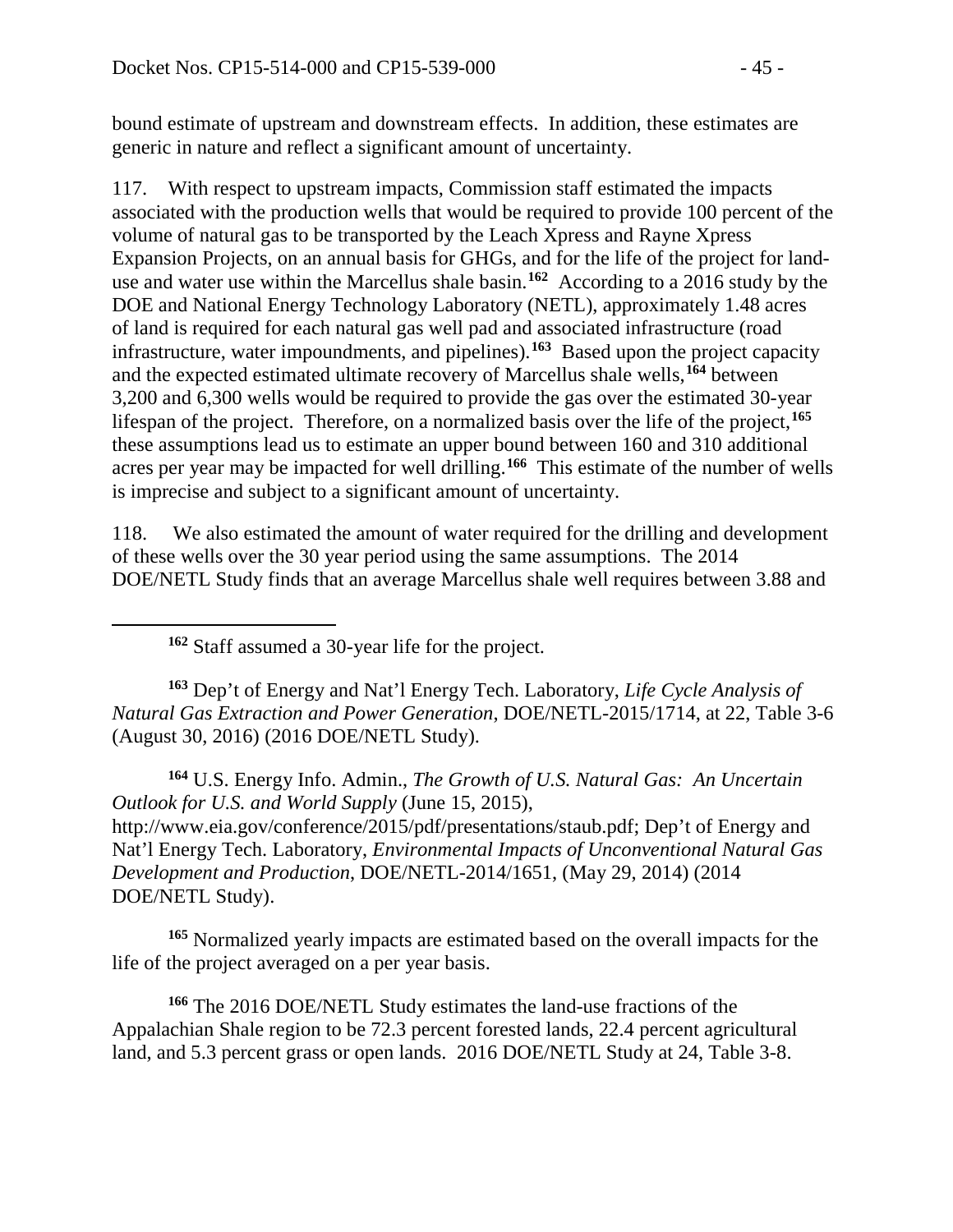bound estimate of upstream and downstream effects. In addition, these estimates are generic in nature and reflect a significant amount of uncertainty.

117. With respect to upstream impacts, Commission staff estimated the impacts associated with the production wells that would be required to provide 100 percent of the volume of natural gas to be transported by the Leach Xpress and Rayne Xpress Expansion Projects, on an annual basis for GHGs, and for the life of the project for landuse and water use within the Marcellus shale basin. **[162](#page-44-0)** According to a 2016 study by the DOE and National Energy Technology Laboratory (NETL), approximately 1.48 acres of land is required for each natural gas well pad and associated infrastructure (road infrastructure, water impoundments, and pipelines). **[163](#page-44-1)** Based upon the project capacity and the expected estimated ultimate recovery of Marcellus shale wells,**[164](#page-44-2)** between 3,200 and 6,300 wells would be required to provide the gas over the estimated 30-year lifespan of the project. Therefore, on a normalized basis over the life of the project, **[165](#page-44-3)** these assumptions lead us to estimate an upper bound between 160 and 310 additional acres per year may be impacted for well drilling. **[166](#page-44-4)** This estimate of the number of wells is imprecise and subject to a significant amount of uncertainty.

118. We also estimated the amount of water required for the drilling and development of these wells over the 30 year period using the same assumptions. The 2014 DOE/NETL Study finds that an average Marcellus shale well requires between 3.88 and

**<sup>162</sup>** Staff assumed a 30-year life for the project.

<span id="page-44-0"></span> $\overline{a}$ 

<span id="page-44-1"></span>**<sup>163</sup>** Dep't of Energy and Nat'l Energy Tech. Laboratory, *Life Cycle Analysis of Natural Gas Extraction and Power Generation*, DOE/NETL-2015/1714, at 22, Table 3-6 (August 30, 2016) (2016 DOE/NETL Study).

<span id="page-44-2"></span>**<sup>164</sup>** U.S. Energy Info. Admin., *The Growth of U.S. Natural Gas: An Uncertain Outlook for U.S. and World Supply* (June 15, 2015), [http://www.eia.gov/conference/2015/pdf/presentations/staub.pdf;](http://www.eia.gov/conference/2015/pdf/presentations/staub.pdf) Dep't of Energy and Nat'l Energy Tech. Laboratory, *Environmental Impacts of Unconventional Natural Gas Development and Production*, DOE/NETL-2014/1651, (May 29, 2014) (2014 DOE/NETL Study).

<span id="page-44-3"></span>**<sup>165</sup>** Normalized yearly impacts are estimated based on the overall impacts for the life of the project averaged on a per year basis.

<span id="page-44-4"></span>**<sup>166</sup>** The 2016 DOE/NETL Study estimates the land-use fractions of the Appalachian Shale region to be 72.3 percent forested lands, 22.4 percent agricultural land, and 5.3 percent grass or open lands. 2016 DOE/NETL Study at 24, Table 3-8.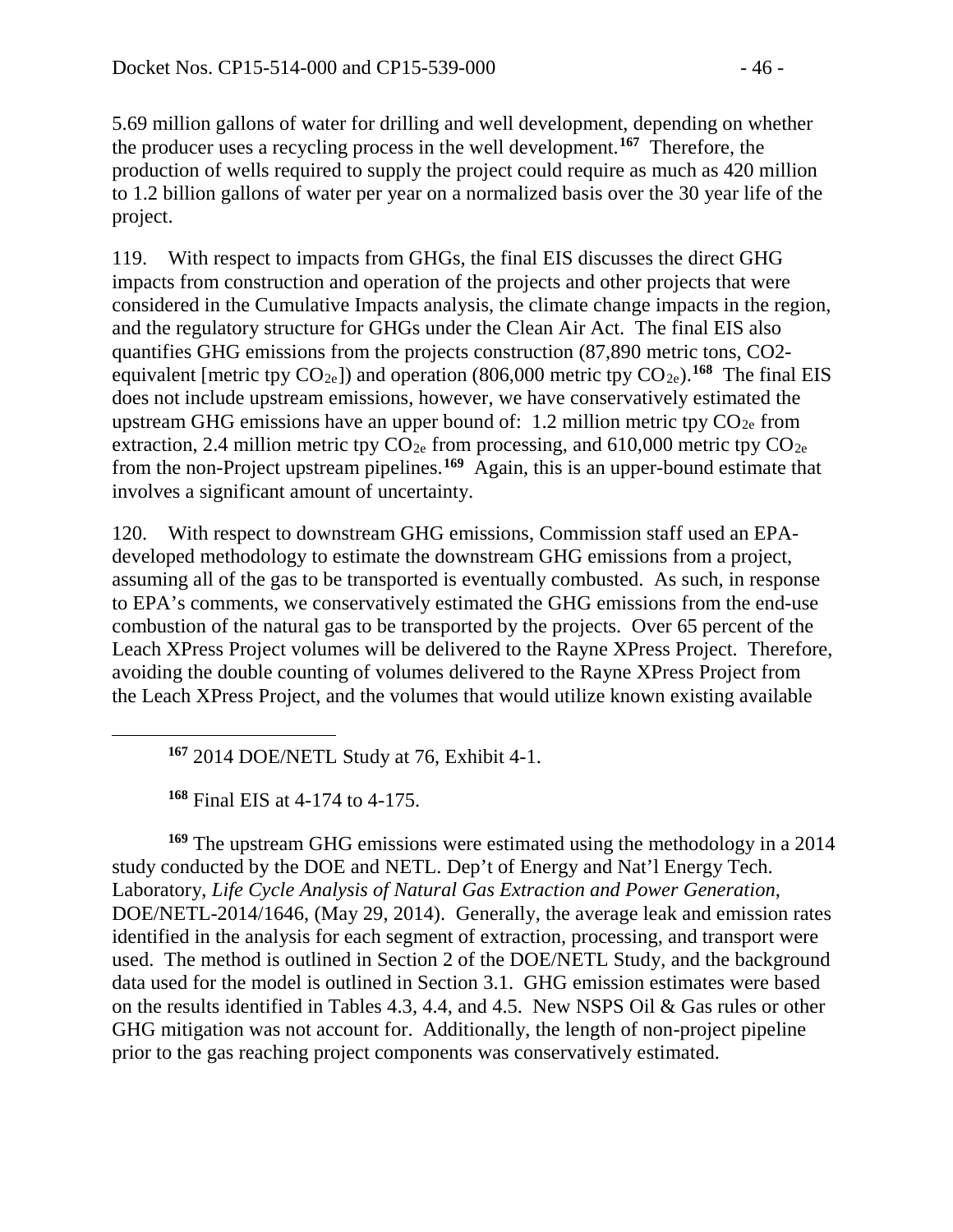5.69 million gallons of water for drilling and well development, depending on whether the producer uses a recycling process in the well development. **[167](#page-45-0)** Therefore, the production of wells required to supply the project could require as much as 420 million to 1.2 billion gallons of water per year on a normalized basis over the 30 year life of the project.

119. With respect to impacts from GHGs, the final EIS discusses the direct GHG impacts from construction and operation of the projects and other projects that were considered in the Cumulative Impacts analysis, the climate change impacts in the region, and the regulatory structure for GHGs under the Clean Air Act. The final EIS also quantifies GHG emissions from the projects construction (87,890 metric tons, CO2 equivalent [metric tpy  $CO_{2e}$ ]) and operation (806,000 metric tpy  $CO_{2e}$ ).<sup>[168](#page-45-1)</sup> The final EIS does not include upstream emissions, however, we have conservatively estimated the upstream GHG emissions have an upper bound of: 1.2 million metric tpy  $CO_{2e}$  from extraction, 2.4 million metric tpy  $CO_{2e}$  from processing, and 610,000 metric tpy  $CO_{2e}$ from the non-Project upstream pipelines. **[169](#page-45-2)** Again, this is an upper-bound estimate that involves a significant amount of uncertainty.

120. With respect to downstream GHG emissions, Commission staff used an EPAdeveloped methodology to estimate the downstream GHG emissions from a project, assuming all of the gas to be transported is eventually combusted. As such, in response to EPA's comments, we conservatively estimated the GHG emissions from the end-use combustion of the natural gas to be transported by the projects. Over 65 percent of the Leach XPress Project volumes will be delivered to the Rayne XPress Project. Therefore, avoiding the double counting of volumes delivered to the Rayne XPress Project from the Leach XPress Project, and the volumes that would utilize known existing available

**<sup>167</sup>** 2014 DOE/NETL Study at 76, Exhibit 4-1.

**<sup>168</sup>** Final EIS at 4-174 to 4-175.

<span id="page-45-0"></span> $\overline{a}$ 

<span id="page-45-2"></span><span id="page-45-1"></span>**<sup>169</sup>** The upstream GHG emissions were estimated using the methodology in a 2014 study conducted by the DOE and NETL. Dep't of Energy and Nat'l Energy Tech. Laboratory, *Life Cycle Analysis of Natural Gas Extraction and Power Generation*, DOE/NETL-2014/1646, (May 29, 2014). Generally, the average leak and emission rates identified in the analysis for each segment of extraction, processing, and transport were used. The method is outlined in Section 2 of the DOE/NETL Study, and the background data used for the model is outlined in Section 3.1. GHG emission estimates were based on the results identified in Tables 4.3, 4.4, and 4.5. New NSPS Oil & Gas rules or other GHG mitigation was not account for. Additionally, the length of non-project pipeline prior to the gas reaching project components was conservatively estimated.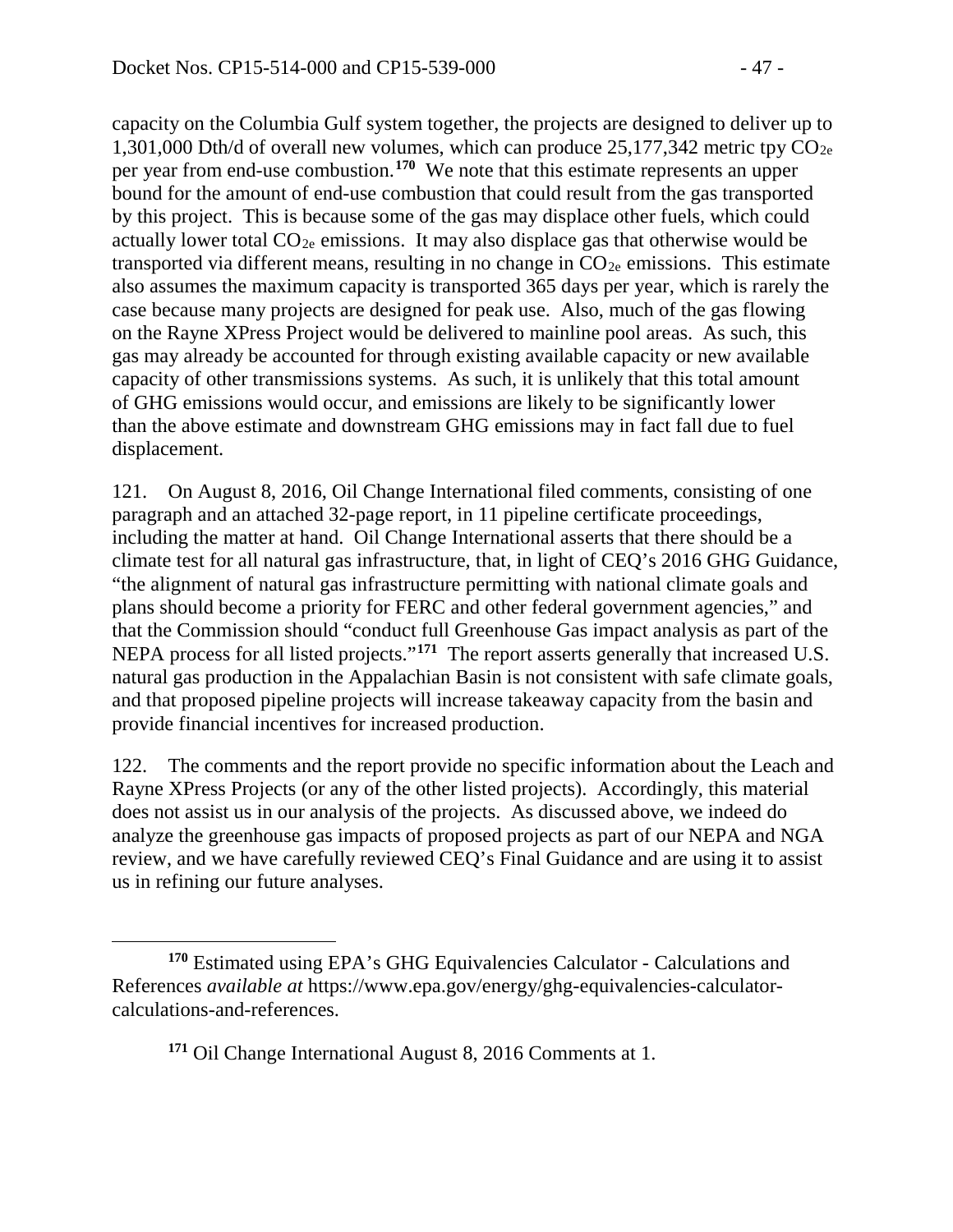capacity on the Columbia Gulf system together, the projects are designed to deliver up to 1,301,000 Dth/d of overall new volumes, which can produce  $25,177,342$  metric tpy  $CO_{2e}$ per year from end-use combustion.**[170](#page-46-0)** We note that this estimate represents an upper bound for the amount of end-use combustion that could result from the gas transported by this project. This is because some of the gas may displace other fuels, which could actually lower total  $CO_{2e}$  emissions. It may also displace gas that otherwise would be transported via different means, resulting in no change in  $CO_{2e}$  emissions. This estimate also assumes the maximum capacity is transported 365 days per year, which is rarely the case because many projects are designed for peak use. Also, much of the gas flowing on the Rayne XPress Project would be delivered to mainline pool areas. As such, this gas may already be accounted for through existing available capacity or new available capacity of other transmissions systems. As such, it is unlikely that this total amount of GHG emissions would occur, and emissions are likely to be significantly lower than the above estimate and downstream GHG emissions may in fact fall due to fuel displacement.

121. On August 8, 2016, Oil Change International filed comments, consisting of one paragraph and an attached 32-page report, in 11 pipeline certificate proceedings, including the matter at hand. Oil Change International asserts that there should be a climate test for all natural gas infrastructure, that, in light of CEQ's 2016 GHG Guidance, "the alignment of natural gas infrastructure permitting with national climate goals and plans should become a priority for FERC and other federal government agencies," and that the Commission should "conduct full Greenhouse Gas impact analysis as part of the NEPA process for all listed projects."<sup>[171](#page-46-1)</sup> The report asserts generally that increased U.S. natural gas production in the Appalachian Basin is not consistent with safe climate goals, and that proposed pipeline projects will increase takeaway capacity from the basin and provide financial incentives for increased production.

122. The comments and the report provide no specific information about the Leach and Rayne XPress Projects (or any of the other listed projects). Accordingly, this material does not assist us in our analysis of the projects. As discussed above, we indeed do analyze the greenhouse gas impacts of proposed projects as part of our NEPA and NGA review, and we have carefully reviewed CEQ's Final Guidance and are using it to assist us in refining our future analyses.

**<sup>171</sup>** Oil Change International August 8, 2016 Comments at 1.

<span id="page-46-1"></span><span id="page-46-0"></span>**<sup>170</sup>** Estimated using EPA's GHG Equivalencies Calculator - Calculations and References *available at* https://www.epa.gov/energy/ghg-equivalencies-calculatorcalculations-and-references.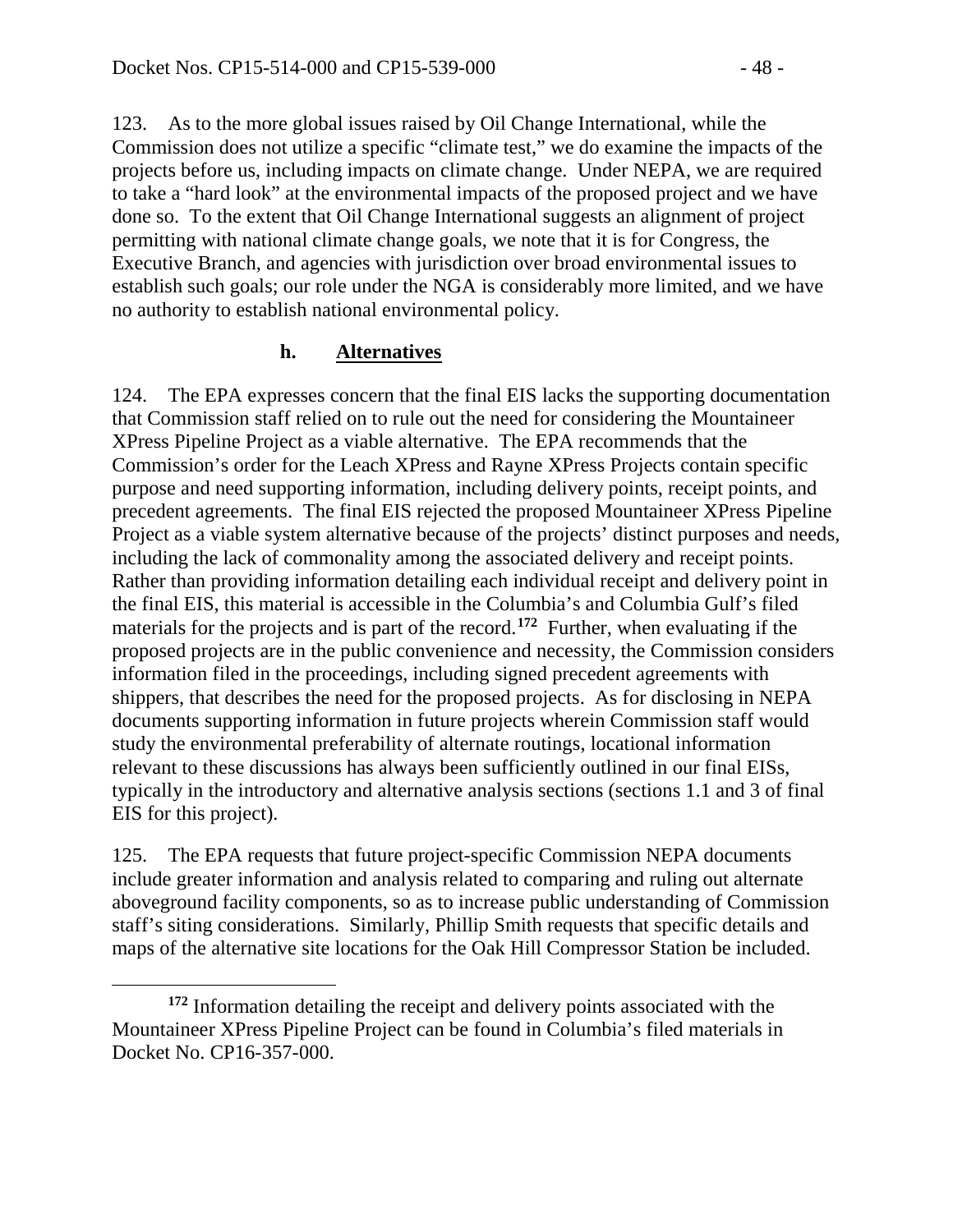123. As to the more global issues raised by Oil Change International, while the Commission does not utilize a specific "climate test," we do examine the impacts of the projects before us, including impacts on climate change. Under NEPA, we are required to take a "hard look" at the environmental impacts of the proposed project and we have done so. To the extent that Oil Change International suggests an alignment of project permitting with national climate change goals, we note that it is for Congress, the Executive Branch, and agencies with jurisdiction over broad environmental issues to establish such goals; our role under the NGA is considerably more limited, and we have no authority to establish national environmental policy.

### **h. Alternatives**

124. The EPA expresses concern that the final EIS lacks the supporting documentation that Commission staff relied on to rule out the need for considering the Mountaineer XPress Pipeline Project as a viable alternative. The EPA recommends that the Commission's order for the Leach XPress and Rayne XPress Projects contain specific purpose and need supporting information, including delivery points, receipt points, and precedent agreements. The final EIS rejected the proposed Mountaineer XPress Pipeline Project as a viable system alternative because of the projects' distinct purposes and needs, including the lack of commonality among the associated delivery and receipt points. Rather than providing information detailing each individual receipt and delivery point in the final EIS, this material is accessible in the Columbia's and Columbia Gulf's filed materials for the projects and is part of the record.**[172](#page-47-0)** Further, when evaluating if the proposed projects are in the public convenience and necessity, the Commission considers information filed in the proceedings, including signed precedent agreements with shippers, that describes the need for the proposed projects. As for disclosing in NEPA documents supporting information in future projects wherein Commission staff would study the environmental preferability of alternate routings, locational information relevant to these discussions has always been sufficiently outlined in our final EISs, typically in the introductory and alternative analysis sections (sections 1.1 and 3 of final EIS for this project).

125. The EPA requests that future project-specific Commission NEPA documents include greater information and analysis related to comparing and ruling out alternate aboveground facility components, so as to increase public understanding of Commission staff's siting considerations. Similarly, Phillip Smith requests that specific details and maps of the alternative site locations for the Oak Hill Compressor Station be included.

<span id="page-47-0"></span> $\overline{a}$ **<sup>172</sup>** Information detailing the receipt and delivery points associated with the Mountaineer XPress Pipeline Project can be found in Columbia's filed materials in Docket No. CP16-357-000.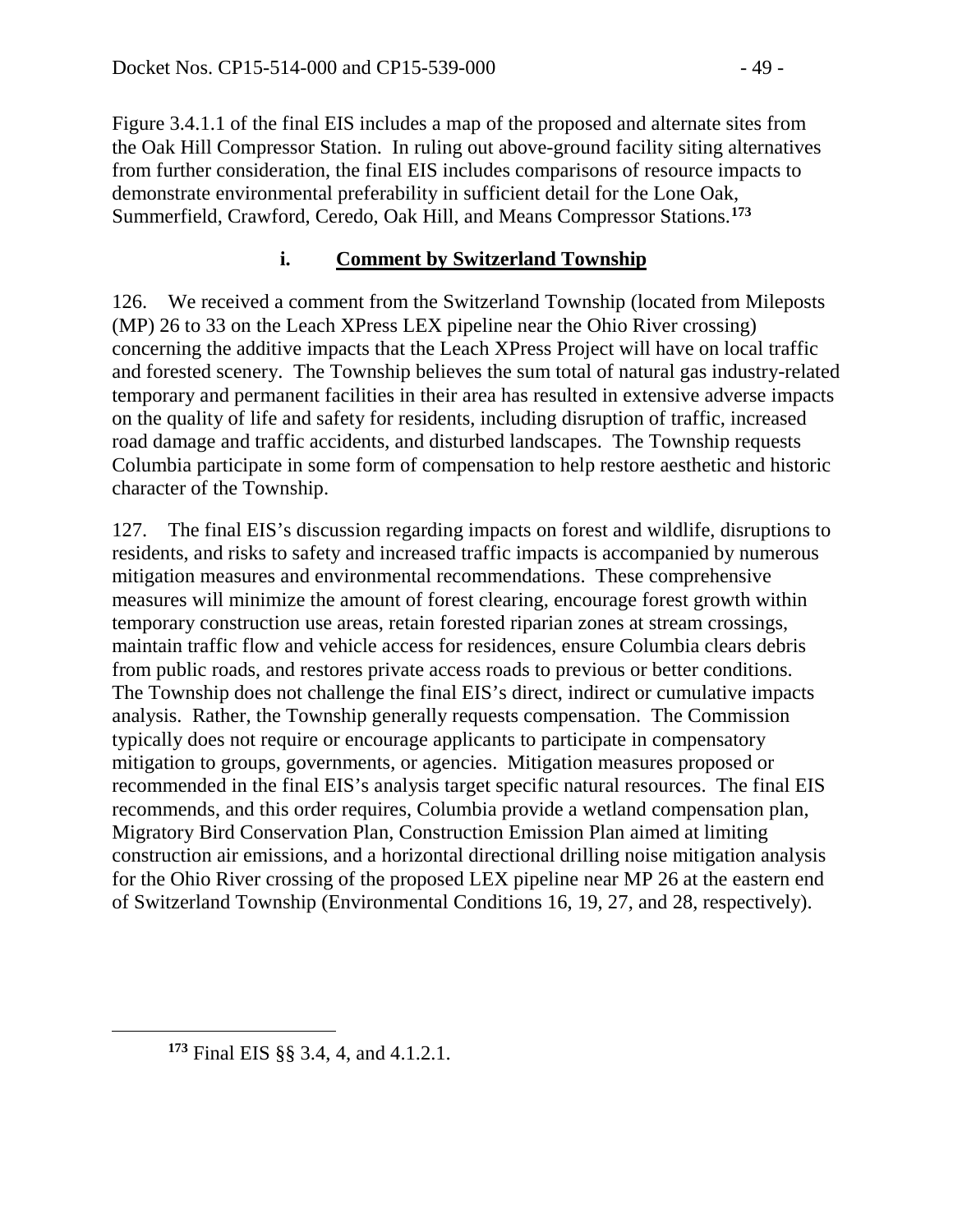Figure 3.4.1.1 of the final EIS includes a map of the proposed and alternate sites from the Oak Hill Compressor Station. In ruling out above-ground facility siting alternatives from further consideration, the final EIS includes comparisons of resource impacts to demonstrate environmental preferability in sufficient detail for the Lone Oak, Summerfield, Crawford, Ceredo, Oak Hill, and Means Compressor Stations.**[173](#page-48-0)**

## **i. Comment by Switzerland Township**

126. We received a comment from the Switzerland Township (located from Mileposts (MP) 26 to 33 on the Leach XPress LEX pipeline near the Ohio River crossing) concerning the additive impacts that the Leach XPress Project will have on local traffic and forested scenery. The Township believes the sum total of natural gas industry-related temporary and permanent facilities in their area has resulted in extensive adverse impacts on the quality of life and safety for residents, including disruption of traffic, increased road damage and traffic accidents, and disturbed landscapes. The Township requests Columbia participate in some form of compensation to help restore aesthetic and historic character of the Township.

127. The final EIS's discussion regarding impacts on forest and wildlife, disruptions to residents, and risks to safety and increased traffic impacts is accompanied by numerous mitigation measures and environmental recommendations. These comprehensive measures will minimize the amount of forest clearing, encourage forest growth within temporary construction use areas, retain forested riparian zones at stream crossings, maintain traffic flow and vehicle access for residences, ensure Columbia clears debris from public roads, and restores private access roads to previous or better conditions. The Township does not challenge the final EIS's direct, indirect or cumulative impacts analysis. Rather, the Township generally requests compensation. The Commission typically does not require or encourage applicants to participate in compensatory mitigation to groups, governments, or agencies. Mitigation measures proposed or recommended in the final EIS's analysis target specific natural resources. The final EIS recommends, and this order requires, Columbia provide a wetland compensation plan, Migratory Bird Conservation Plan, Construction Emission Plan aimed at limiting construction air emissions, and a horizontal directional drilling noise mitigation analysis for the Ohio River crossing of the proposed LEX pipeline near MP 26 at the eastern end of Switzerland Township (Environmental Conditions 16, 19, 27, and 28, respectively).

<span id="page-48-0"></span>**<sup>173</sup>** Final EIS §§ 3.4, 4, and 4.1.2.1.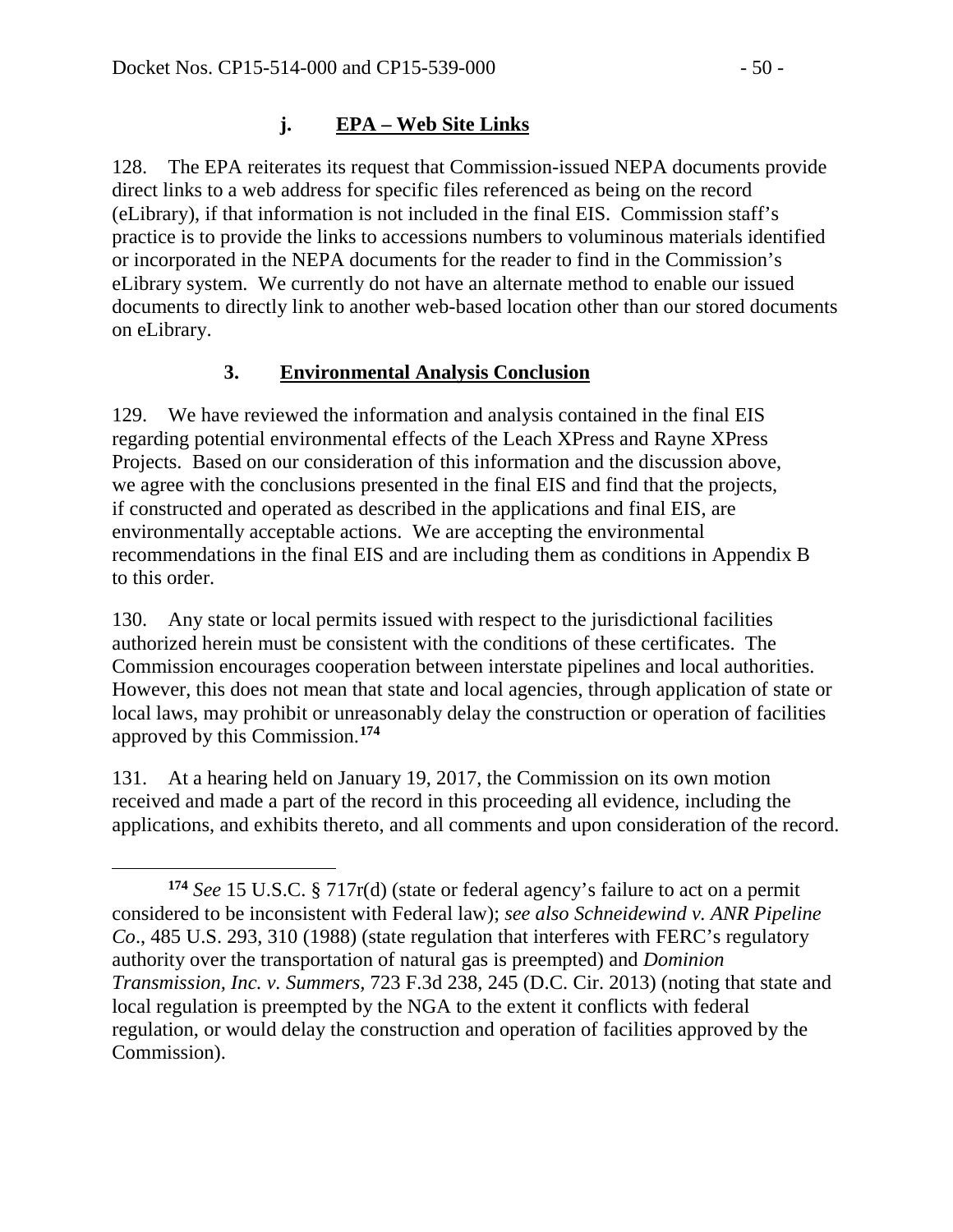$\overline{a}$ 

## **j. EPA – Web Site Links**

128. The EPA reiterates its request that Commission-issued NEPA documents provide direct links to a web address for specific files referenced as being on the record (eLibrary), if that information is not included in the final EIS. Commission staff's practice is to provide the links to accessions numbers to voluminous materials identified or incorporated in the NEPA documents for the reader to find in the Commission's eLibrary system. We currently do not have an alternate method to enable our issued documents to directly link to another web-based location other than our stored documents on eLibrary.

## **3. Environmental Analysis Conclusion**

129. We have reviewed the information and analysis contained in the final EIS regarding potential environmental effects of the Leach XPress and Rayne XPress Projects. Based on our consideration of this information and the discussion above, we agree with the conclusions presented in the final EIS and find that the projects, if constructed and operated as described in the applications and final EIS, are environmentally acceptable actions. We are accepting the environmental recommendations in the final EIS and are including them as conditions in Appendix B to this order.

130. Any state or local permits issued with respect to the jurisdictional facilities authorized herein must be consistent with the conditions of these certificates. The Commission encourages cooperation between interstate pipelines and local authorities. However, this does not mean that state and local agencies, through application of state or local laws, may prohibit or unreasonably delay the construction or operation of facilities approved by this Commission.**[174](#page-49-0)**

131. At a hearing held on January 19, 2017, the Commission on its own motion received and made a part of the record in this proceeding all evidence, including the applications, and exhibits thereto, and all comments and upon consideration of the record.

<span id="page-49-0"></span>**<sup>174</sup>** *See* 15 U.S.C. § 717r(d) (state or federal agency's failure to act on a permit considered to be inconsistent with Federal law); *see also Schneidewind v. ANR Pipeline Co*., 485 U.S. 293, 310 (1988) (state regulation that interferes with FERC's regulatory authority over the transportation of natural gas is preempted) and *Dominion Transmission, Inc. v. Summers,* 723 F.3d 238, 245 (D.C. Cir. 2013) (noting that state and local regulation is preempted by the NGA to the extent it conflicts with federal regulation, or would delay the construction and operation of facilities approved by the Commission).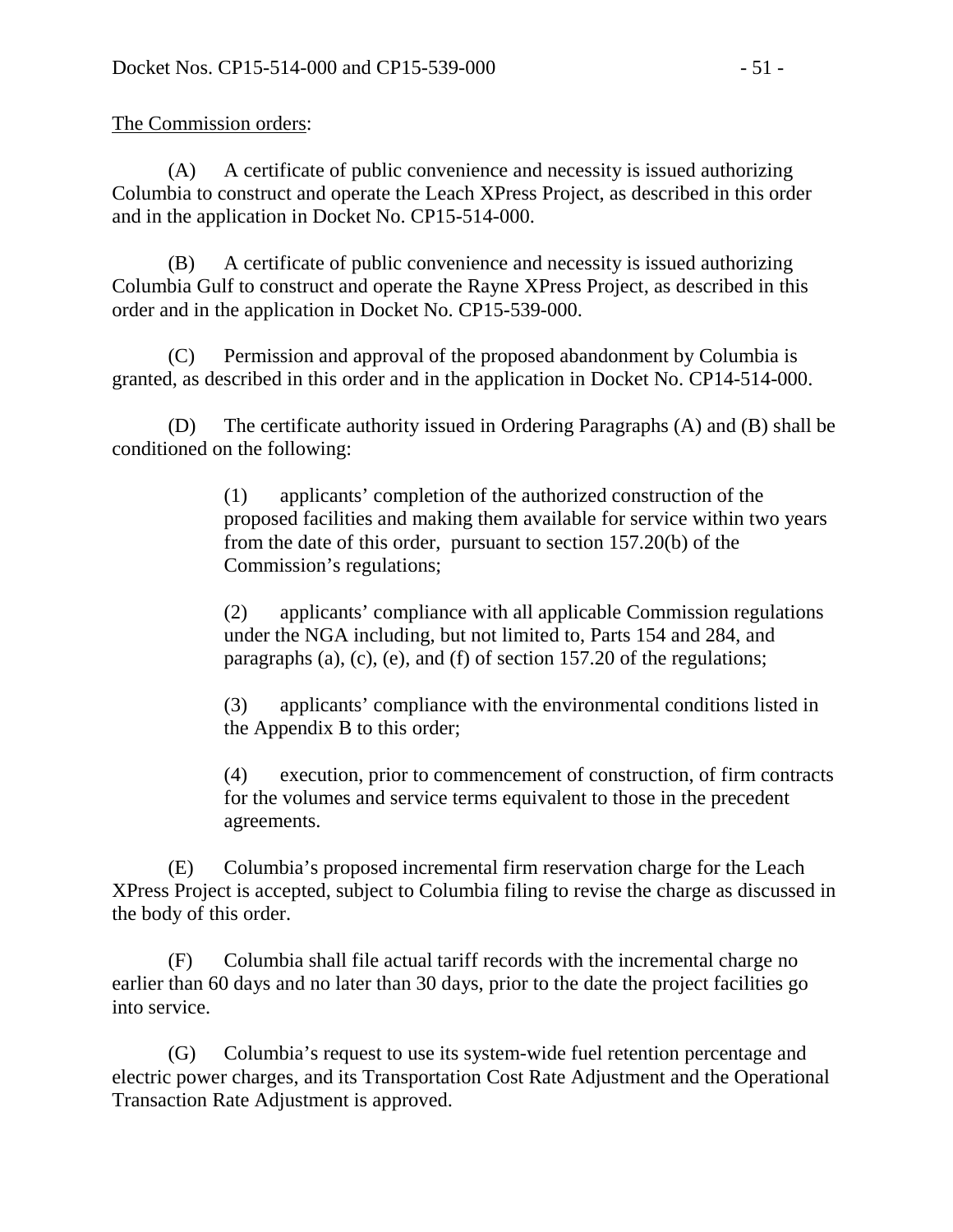The Commission orders:

(A) A certificate of public convenience and necessity is issued authorizing Columbia to construct and operate the Leach XPress Project, as described in this order and in the application in Docket No. CP15-514-000.

(B) A certificate of public convenience and necessity is issued authorizing Columbia Gulf to construct and operate the Rayne XPress Project, as described in this order and in the application in Docket No. CP15-539-000.

(C) Permission and approval of the proposed abandonment by Columbia is granted, as described in this order and in the application in Docket No. CP14-514-000.

(D) The certificate authority issued in Ordering Paragraphs (A) and (B) shall be conditioned on the following:

> (1) applicants' completion of the authorized construction of the proposed facilities and making them available for service within two years from the date of this order, pursuant to section 157.20(b) of the Commission's regulations;

> (2) applicants' compliance with all applicable Commission regulations under the NGA including, but not limited to, Parts 154 and 284, and paragraphs (a), (c), (e), and (f) of section 157.20 of the regulations;

> (3) applicants' compliance with the environmental conditions listed in the Appendix B to this order;

(4) execution, prior to commencement of construction, of firm contracts for the volumes and service terms equivalent to those in the precedent agreements.

(E) Columbia's proposed incremental firm reservation charge for the Leach XPress Project is accepted, subject to Columbia filing to revise the charge as discussed in the body of this order.

(F) Columbia shall file actual tariff records with the incremental charge no earlier than 60 days and no later than 30 days, prior to the date the project facilities go into service.

(G) Columbia's request to use its system-wide fuel retention percentage and electric power charges, and its Transportation Cost Rate Adjustment and the Operational Transaction Rate Adjustment is approved.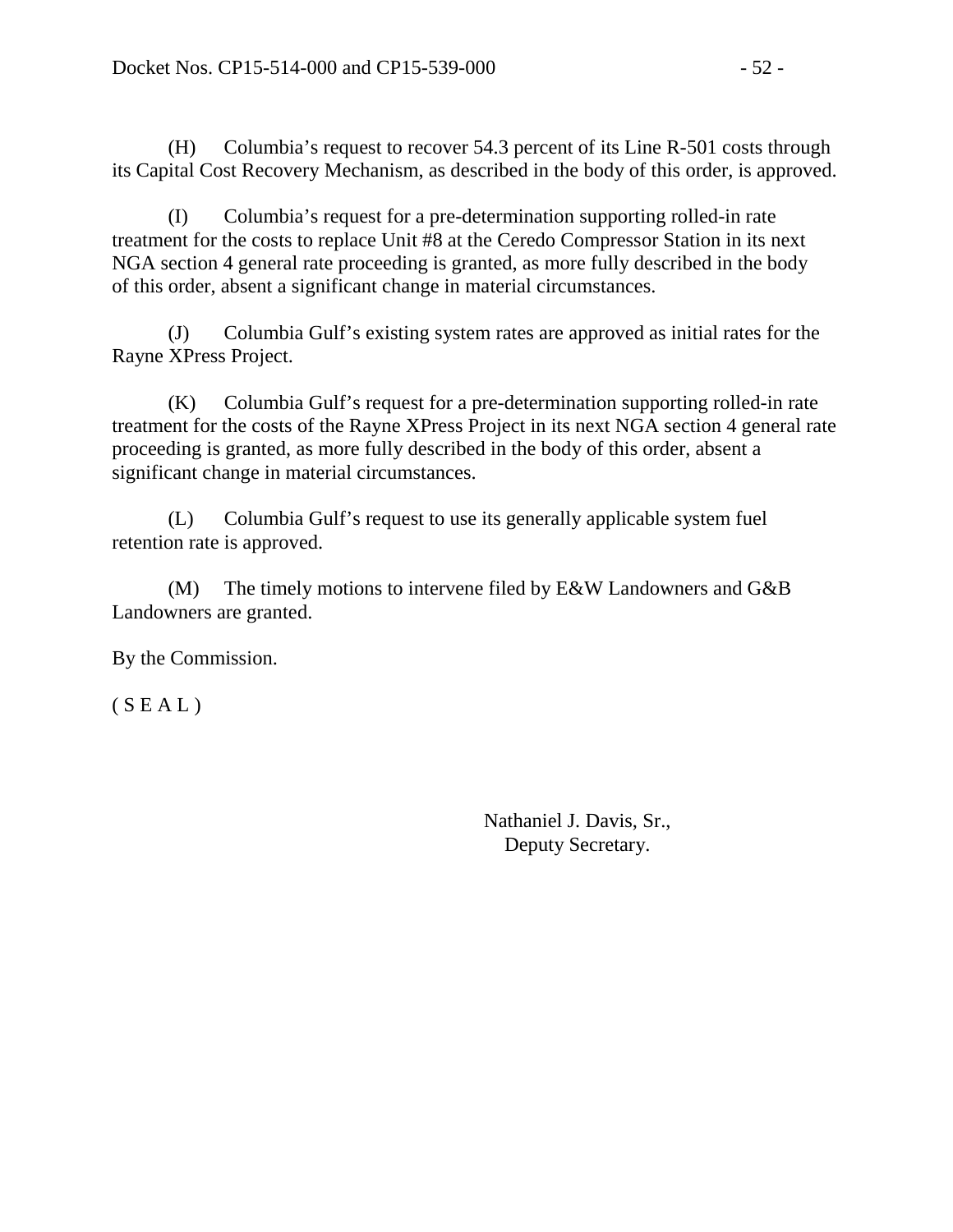(H) Columbia's request to recover 54.3 percent of its Line R-501 costs through its Capital Cost Recovery Mechanism, as described in the body of this order, is approved.

(I) Columbia's request for a pre-determination supporting rolled-in rate treatment for the costs to replace Unit #8 at the Ceredo Compressor Station in its next NGA section 4 general rate proceeding is granted, as more fully described in the body of this order, absent a significant change in material circumstances.

(J) Columbia Gulf's existing system rates are approved as initial rates for the Rayne XPress Project.

(K) Columbia Gulf's request for a pre-determination supporting rolled-in rate treatment for the costs of the Rayne XPress Project in its next NGA section 4 general rate proceeding is granted, as more fully described in the body of this order, absent a significant change in material circumstances.

(L) Columbia Gulf's request to use its generally applicable system fuel retention rate is approved.

(M) The timely motions to intervene filed by E&W Landowners and G&B Landowners are granted.

By the Commission.

 $(S E A L)$ 

Nathaniel J. Davis, Sr., Deputy Secretary.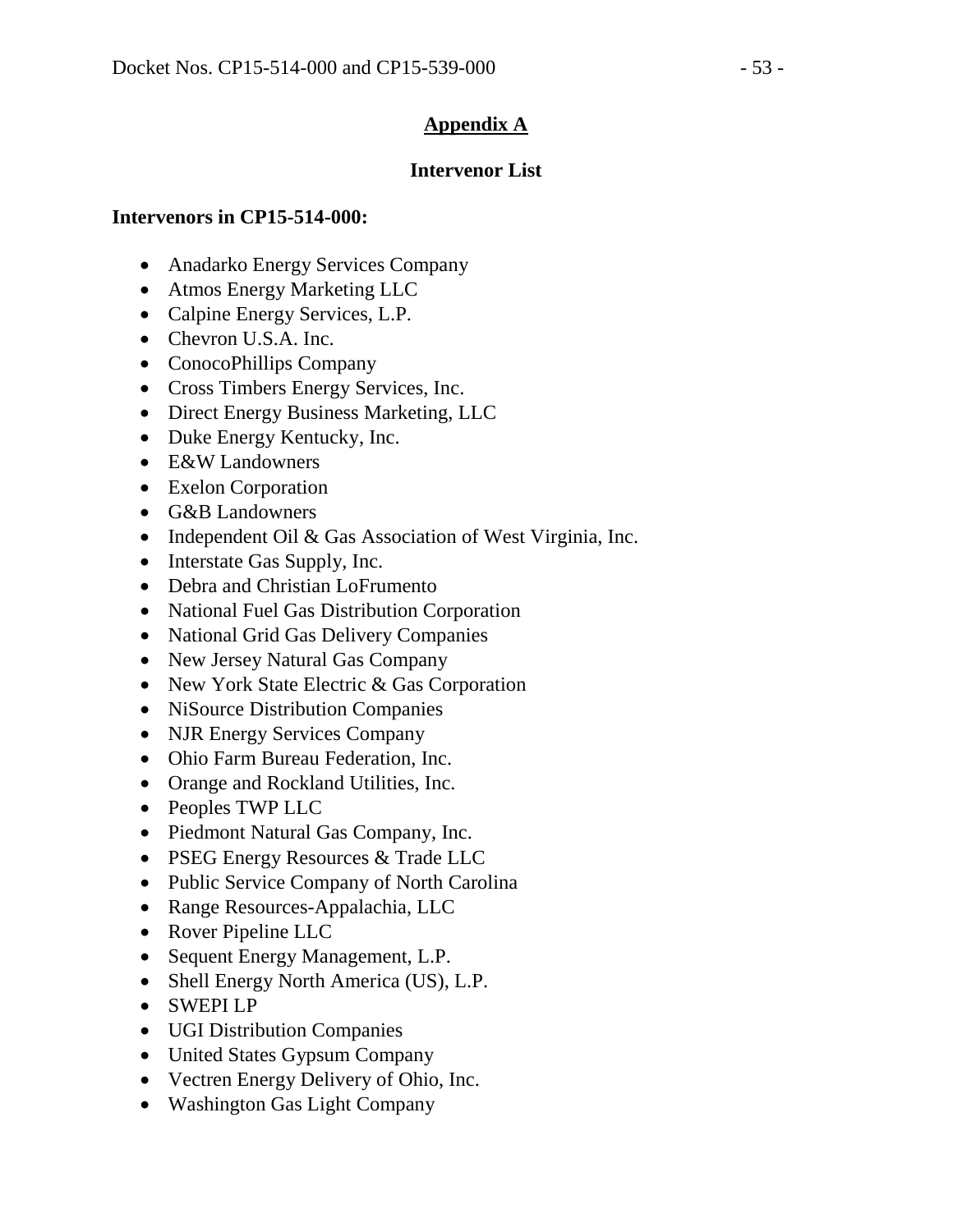## **Appendix A**

### **Intervenor List**

#### **Intervenors in CP15-514-000:**

- Anadarko Energy Services Company
- Atmos Energy Marketing LLC
- Calpine Energy Services, L.P.
- Chevron U.S.A. Inc.
- ConocoPhillips Company
- Cross Timbers Energy Services, Inc.
- Direct Energy Business Marketing, LLC
- Duke Energy Kentucky, Inc.
- E&W Landowners
- Exelon Corporation
- G&B Landowners
- Independent Oil & Gas Association of West Virginia, Inc.
- Interstate Gas Supply, Inc.
- Debra and Christian LoFrumento
- National Fuel Gas Distribution Corporation
- National Grid Gas Delivery Companies
- New Jersey Natural Gas Company
- New York State Electric & Gas Corporation
- NiSource Distribution Companies
- NJR Energy Services Company
- Ohio Farm Bureau Federation, Inc.
- Orange and Rockland Utilities, Inc.
- Peoples TWP LLC
- Piedmont Natural Gas Company, Inc.
- PSEG Energy Resources & Trade LLC
- Public Service Company of North Carolina
- Range Resources-Appalachia, LLC
- Rover Pipeline LLC
- Sequent Energy Management, L.P.
- Shell Energy North America (US), L.P.
- SWEPI LP
- UGI Distribution Companies
- United States Gypsum Company
- Vectren Energy Delivery of Ohio, Inc.
- Washington Gas Light Company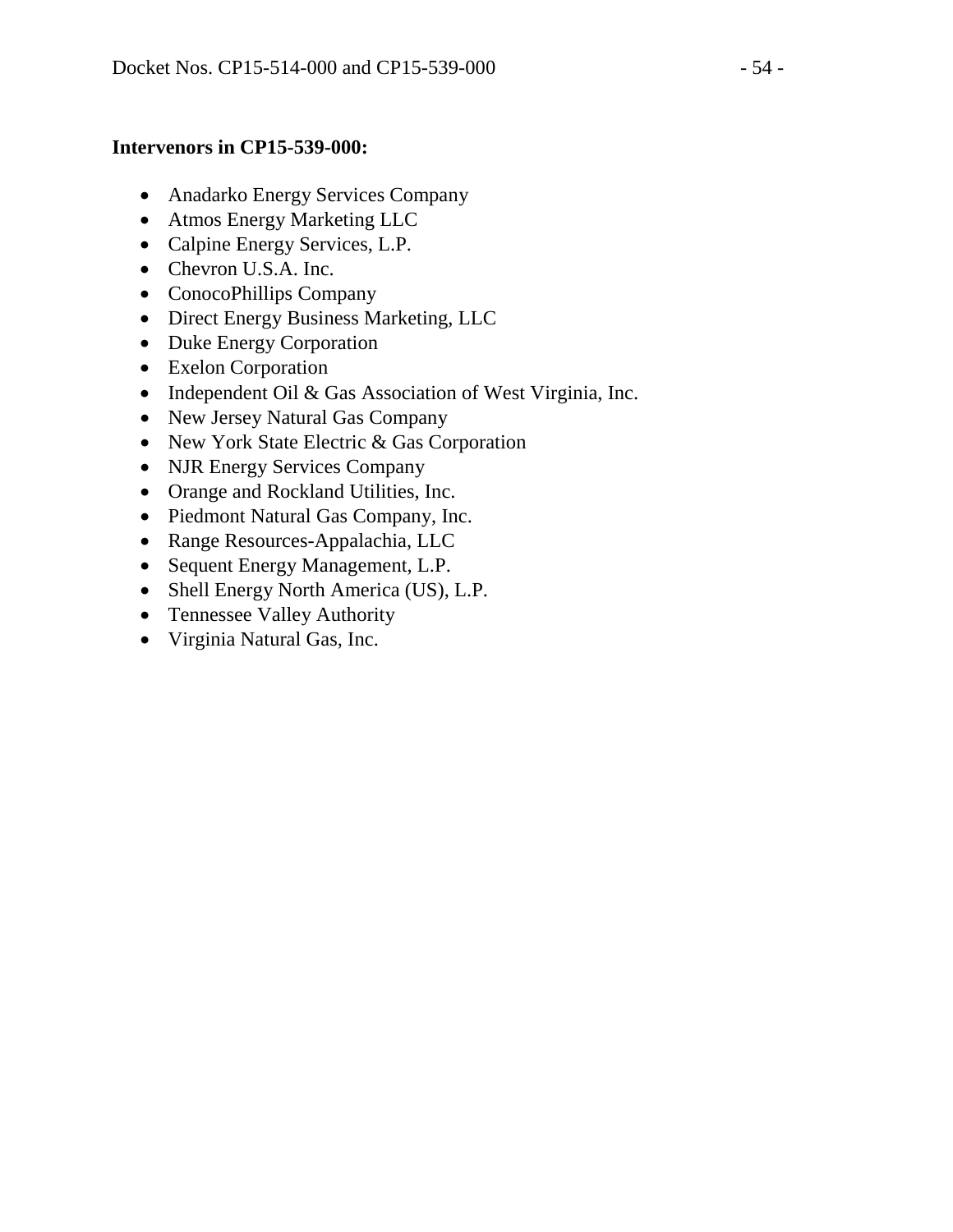### **Intervenors in CP15-539-000:**

- Anadarko Energy Services Company
- Atmos Energy Marketing LLC
- Calpine Energy Services, L.P.
- Chevron U.S.A. Inc.
- ConocoPhillips Company
- Direct Energy Business Marketing, LLC
- Duke Energy Corporation
- Exelon Corporation
- Independent Oil & Gas Association of West Virginia, Inc.
- New Jersey Natural Gas Company
- New York State Electric & Gas Corporation
- NJR Energy Services Company
- Orange and Rockland Utilities, Inc.
- Piedmont Natural Gas Company, Inc.
- Range Resources-Appalachia, LLC
- Sequent Energy Management, L.P.
- Shell Energy North America (US), L.P.
- Tennessee Valley Authority
- Virginia Natural Gas, Inc.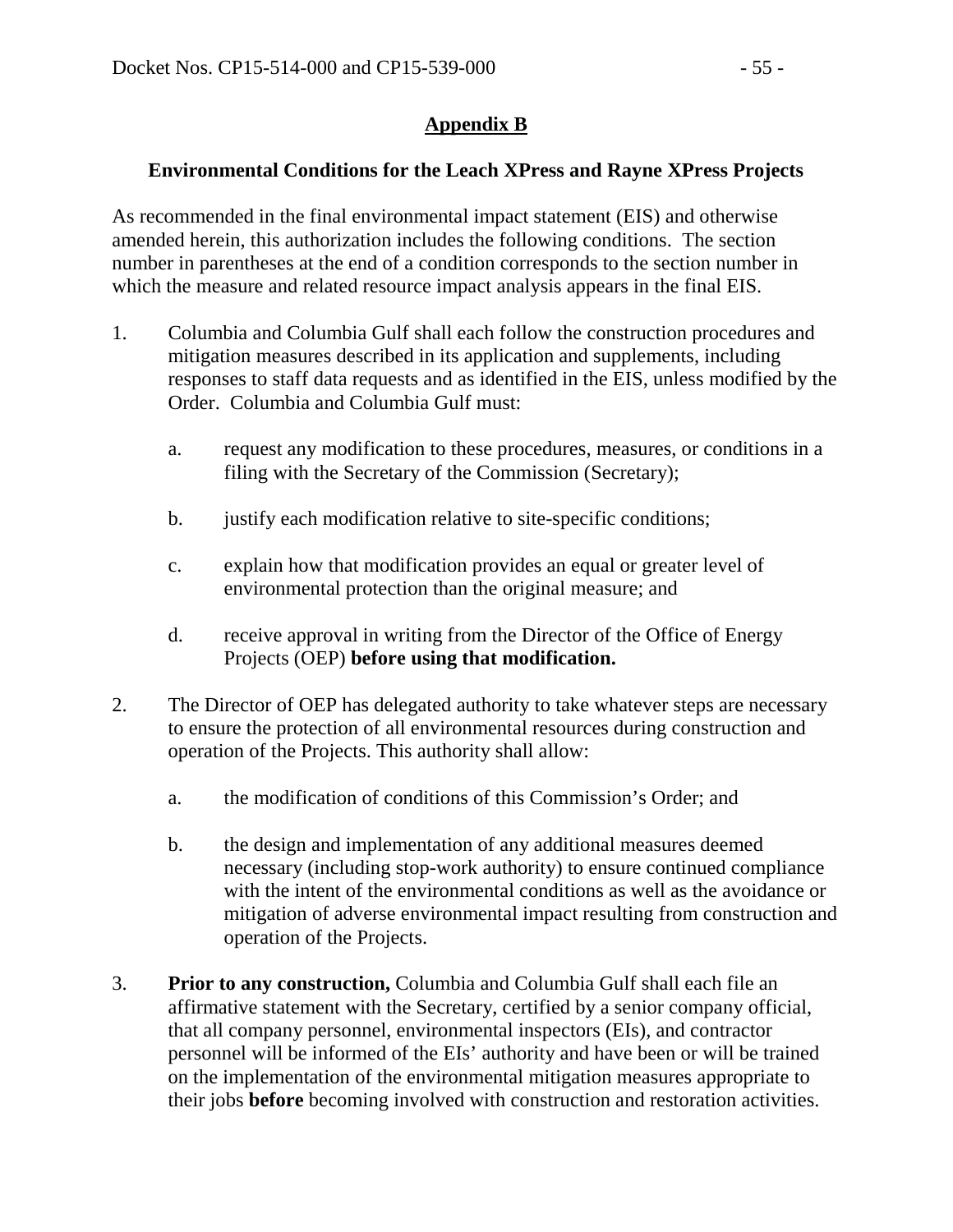## **Appendix B**

#### **Environmental Conditions for the Leach XPress and Rayne XPress Projects**

As recommended in the final environmental impact statement (EIS) and otherwise amended herein, this authorization includes the following conditions. The section number in parentheses at the end of a condition corresponds to the section number in which the measure and related resource impact analysis appears in the final EIS.

- 1. Columbia and Columbia Gulf shall each follow the construction procedures and mitigation measures described in its application and supplements, including responses to staff data requests and as identified in the EIS, unless modified by the Order. Columbia and Columbia Gulf must:
	- a. request any modification to these procedures, measures, or conditions in a filing with the Secretary of the Commission (Secretary);
	- b. justify each modification relative to site-specific conditions;
	- c. explain how that modification provides an equal or greater level of environmental protection than the original measure; and
	- d. receive approval in writing from the Director of the Office of Energy Projects (OEP) **before using that modification.**
- 2. The Director of OEP has delegated authority to take whatever steps are necessary to ensure the protection of all environmental resources during construction and operation of the Projects. This authority shall allow:
	- a. the modification of conditions of this Commission's Order; and
	- b. the design and implementation of any additional measures deemed necessary (including stop-work authority) to ensure continued compliance with the intent of the environmental conditions as well as the avoidance or mitigation of adverse environmental impact resulting from construction and operation of the Projects.
- 3. **Prior to any construction,** Columbia and Columbia Gulf shall each file an affirmative statement with the Secretary, certified by a senior company official, that all company personnel, environmental inspectors (EIs), and contractor personnel will be informed of the EIs' authority and have been or will be trained on the implementation of the environmental mitigation measures appropriate to their jobs **before** becoming involved with construction and restoration activities.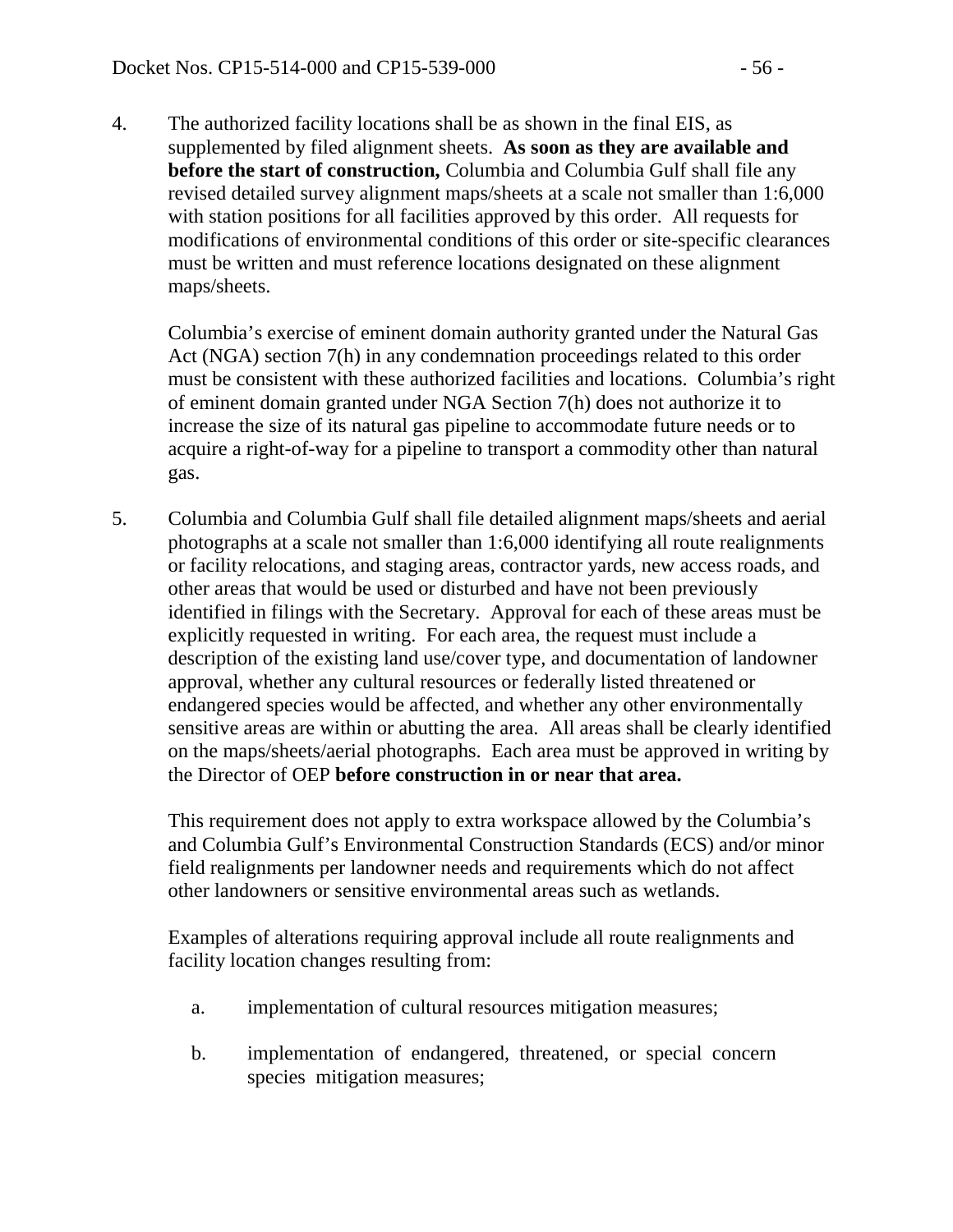4. The authorized facility locations shall be as shown in the final EIS, as supplemented by filed alignment sheets. **As soon as they are available and before the start of construction,** Columbia and Columbia Gulf shall file any revised detailed survey alignment maps/sheets at a scale not smaller than 1:6,000 with station positions for all facilities approved by this order. All requests for modifications of environmental conditions of this order or site-specific clearances must be written and must reference locations designated on these alignment maps/sheets.

Columbia's exercise of eminent domain authority granted under the Natural Gas Act (NGA) section 7(h) in any condemnation proceedings related to this order must be consistent with these authorized facilities and locations. Columbia's right of eminent domain granted under NGA Section 7(h) does not authorize it to increase the size of its natural gas pipeline to accommodate future needs or to acquire a right-of-way for a pipeline to transport a commodity other than natural gas.

5. Columbia and Columbia Gulf shall file detailed alignment maps/sheets and aerial photographs at a scale not smaller than 1:6,000 identifying all route realignments or facility relocations, and staging areas, contractor yards, new access roads, and other areas that would be used or disturbed and have not been previously identified in filings with the Secretary. Approval for each of these areas must be explicitly requested in writing. For each area, the request must include a description of the existing land use/cover type, and documentation of landowner approval, whether any cultural resources or federally listed threatened or endangered species would be affected, and whether any other environmentally sensitive areas are within or abutting the area. All areas shall be clearly identified on the maps/sheets/aerial photographs. Each area must be approved in writing by the Director of OEP **before construction in or near that area.**

This requirement does not apply to extra workspace allowed by the Columbia's and Columbia Gulf's Environmental Construction Standards (ECS) and/or minor field realignments per landowner needs and requirements which do not affect other landowners or sensitive environmental areas such as wetlands.

Examples of alterations requiring approval include all route realignments and facility location changes resulting from:

- a. implementation of cultural resources mitigation measures;
- b. implementation of endangered, threatened, or special concern species mitigation measures;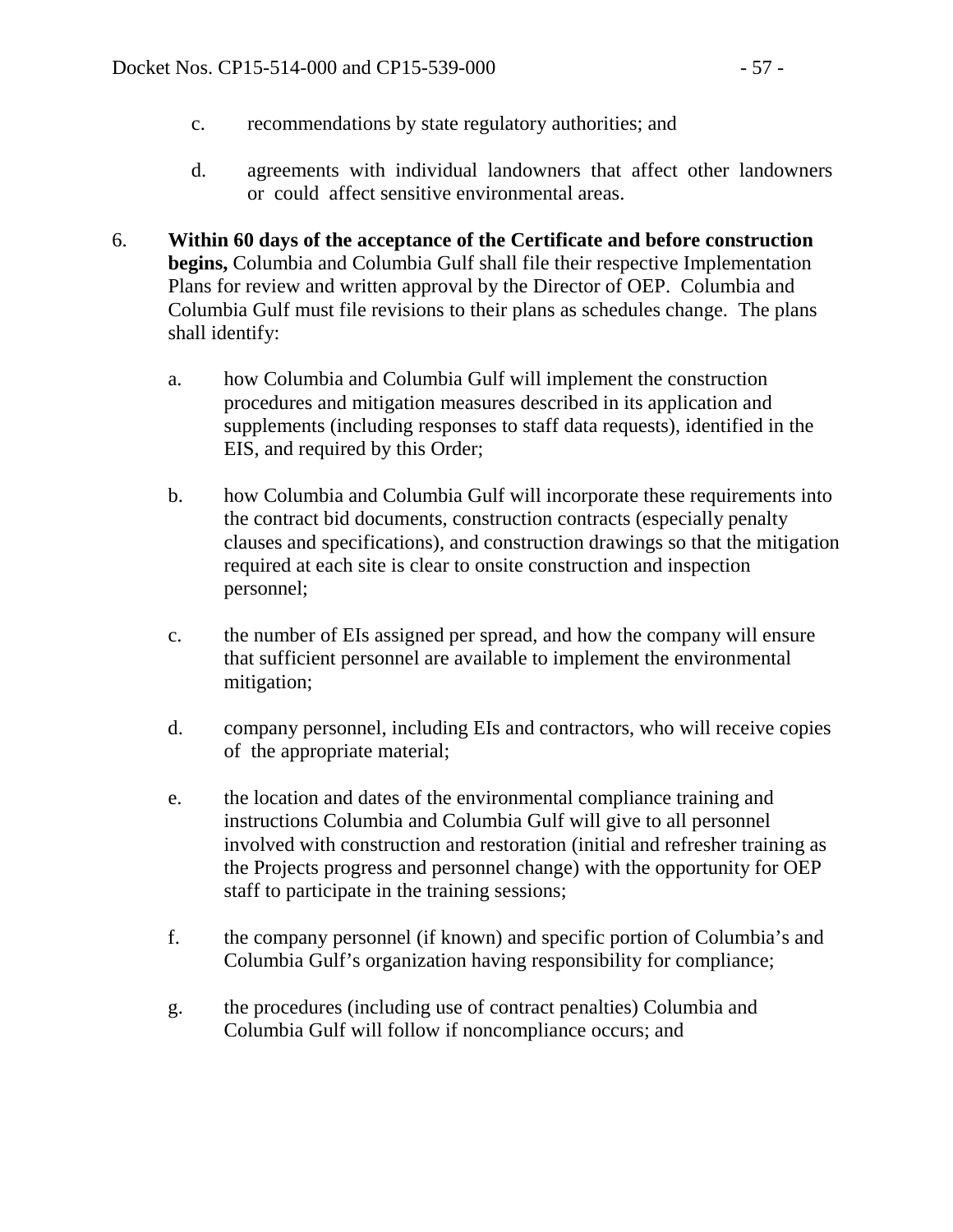- c. recommendations by state regulatory authorities; and
- d. agreements with individual landowners that affect other landowners or could affect sensitive environmental areas.
- 6. **Within 60 days of the acceptance of the Certificate and before construction begins,** Columbia and Columbia Gulf shall file their respective Implementation Plans for review and written approval by the Director of OEP. Columbia and Columbia Gulf must file revisions to their plans as schedules change. The plans shall identify:
	- a. how Columbia and Columbia Gulf will implement the construction procedures and mitigation measures described in its application and supplements (including responses to staff data requests), identified in the EIS, and required by this Order;
	- b. how Columbia and Columbia Gulf will incorporate these requirements into the contract bid documents, construction contracts (especially penalty clauses and specifications), and construction drawings so that the mitigation required at each site is clear to onsite construction and inspection personnel;
	- c. the number of EIs assigned per spread, and how the company will ensure that sufficient personnel are available to implement the environmental mitigation;
	- d. company personnel, including EIs and contractors, who will receive copies of the appropriate material;
	- e. the location and dates of the environmental compliance training and instructions Columbia and Columbia Gulf will give to all personnel involved with construction and restoration (initial and refresher training as the Projects progress and personnel change) with the opportunity for OEP staff to participate in the training sessions;
	- f. the company personnel (if known) and specific portion of Columbia's and Columbia Gulf's organization having responsibility for compliance;
	- g. the procedures (including use of contract penalties) Columbia and Columbia Gulf will follow if noncompliance occurs; and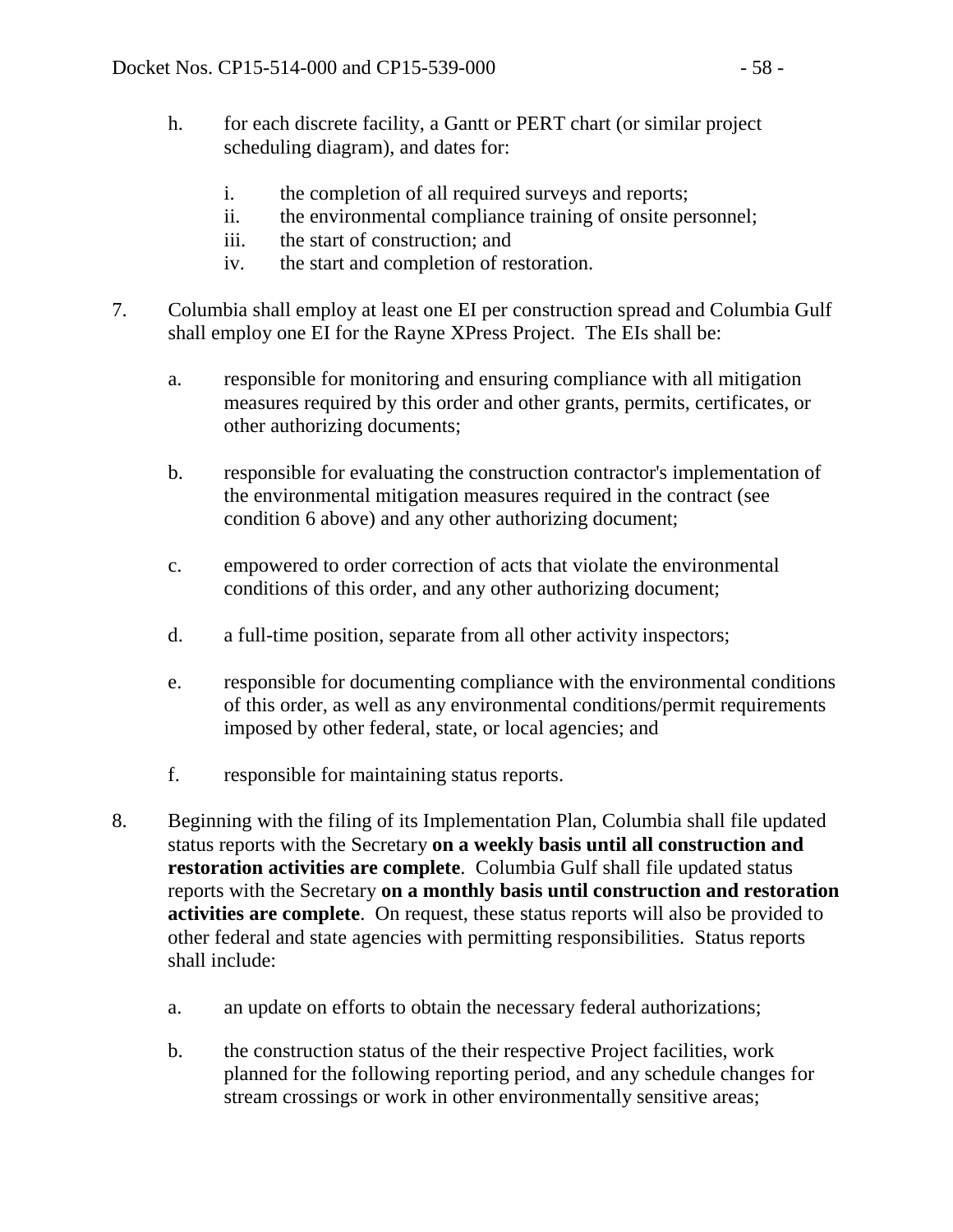- h. for each discrete facility, a Gantt or PERT chart (or similar project scheduling diagram), and dates for:
	- i. the completion of all required surveys and reports;
	- ii. the environmental compliance training of onsite personnel;
	- iii. the start of construction; and
	- iv. the start and completion of restoration.
- 7. Columbia shall employ at least one EI per construction spread and Columbia Gulf shall employ one EI for the Rayne XPress Project. The EIs shall be:
	- a. responsible for monitoring and ensuring compliance with all mitigation measures required by this order and other grants, permits, certificates, or other authorizing documents;
	- b. responsible for evaluating the construction contractor's implementation of the environmental mitigation measures required in the contract (see condition 6 above) and any other authorizing document;
	- c. empowered to order correction of acts that violate the environmental conditions of this order, and any other authorizing document;
	- d. a full-time position, separate from all other activity inspectors;
	- e. responsible for documenting compliance with the environmental conditions of this order, as well as any environmental conditions/permit requirements imposed by other federal, state, or local agencies; and
	- f. responsible for maintaining status reports.
- 8. Beginning with the filing of its Implementation Plan, Columbia shall file updated status reports with the Secretary **on a weekly basis until all construction and restoration activities are complete**. Columbia Gulf shall file updated status reports with the Secretary **on a monthly basis until construction and restoration activities are complete**. On request, these status reports will also be provided to other federal and state agencies with permitting responsibilities. Status reports shall include:
	- a. an update on efforts to obtain the necessary federal authorizations;
	- b. the construction status of the their respective Project facilities, work planned for the following reporting period, and any schedule changes for stream crossings or work in other environmentally sensitive areas;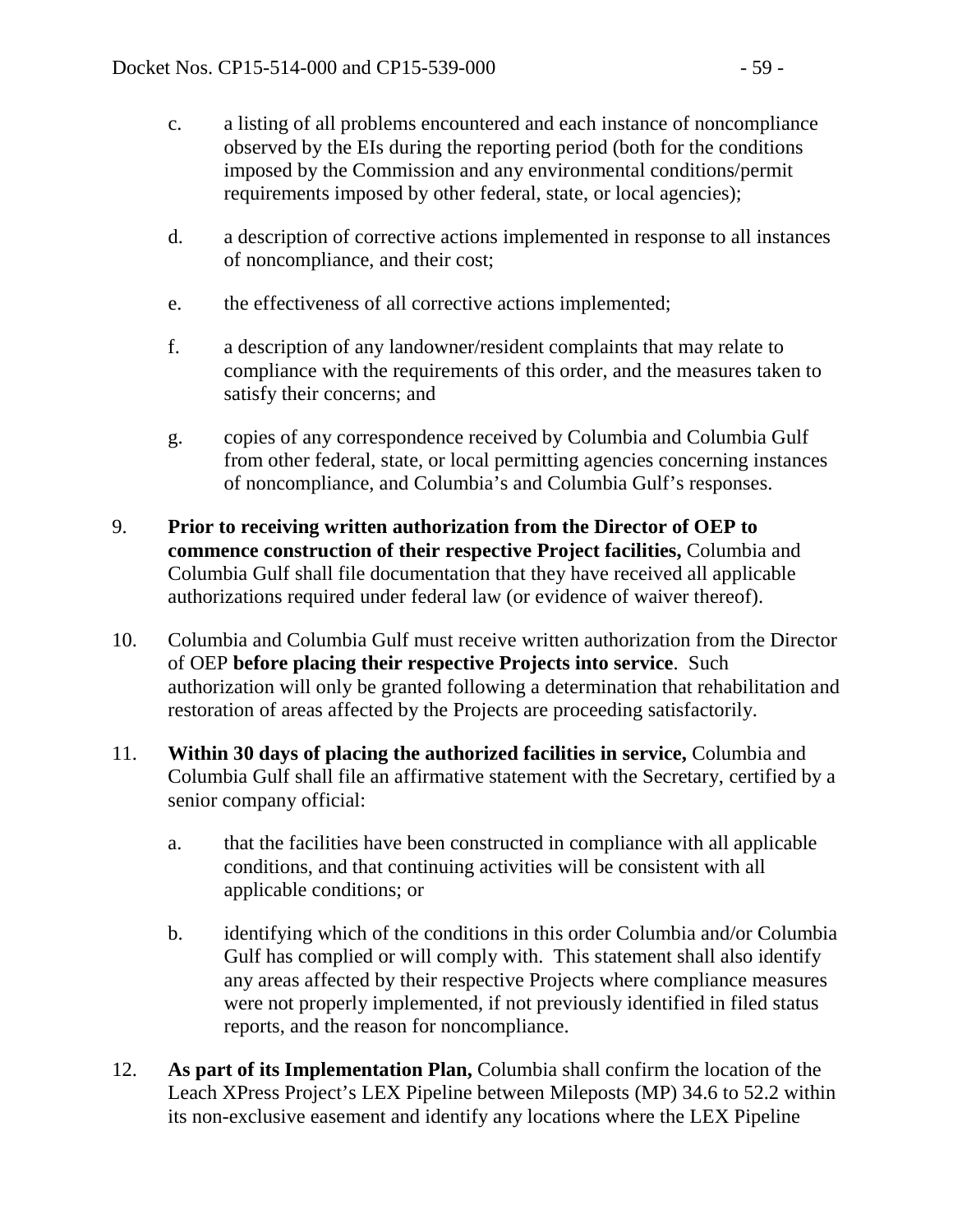- c. a listing of all problems encountered and each instance of noncompliance observed by the EIs during the reporting period (both for the conditions imposed by the Commission and any environmental conditions/permit requirements imposed by other federal, state, or local agencies);
- d. a description of corrective actions implemented in response to all instances of noncompliance, and their cost;
- e. the effectiveness of all corrective actions implemented;
- f. a description of any landowner/resident complaints that may relate to compliance with the requirements of this order, and the measures taken to satisfy their concerns; and
- g. copies of any correspondence received by Columbia and Columbia Gulf from other federal, state, or local permitting agencies concerning instances of noncompliance, and Columbia's and Columbia Gulf's responses.
- 9. **Prior to receiving written authorization from the Director of OEP to commence construction of their respective Project facilities,** Columbia and Columbia Gulf shall file documentation that they have received all applicable authorizations required under federal law (or evidence of waiver thereof).
- 10. Columbia and Columbia Gulf must receive written authorization from the Director of OEP **before placing their respective Projects into service**. Such authorization will only be granted following a determination that rehabilitation and restoration of areas affected by the Projects are proceeding satisfactorily.
- 11. **Within 30 days of placing the authorized facilities in service,** Columbia and Columbia Gulf shall file an affirmative statement with the Secretary, certified by a senior company official:
	- a. that the facilities have been constructed in compliance with all applicable conditions, and that continuing activities will be consistent with all applicable conditions; or
	- b. identifying which of the conditions in this order Columbia and/or Columbia Gulf has complied or will comply with. This statement shall also identify any areas affected by their respective Projects where compliance measures were not properly implemented, if not previously identified in filed status reports, and the reason for noncompliance.
- 12. **As part of its Implementation Plan,** Columbia shall confirm the location of the Leach XPress Project's LEX Pipeline between Mileposts (MP) 34.6 to 52.2 within its non-exclusive easement and identify any locations where the LEX Pipeline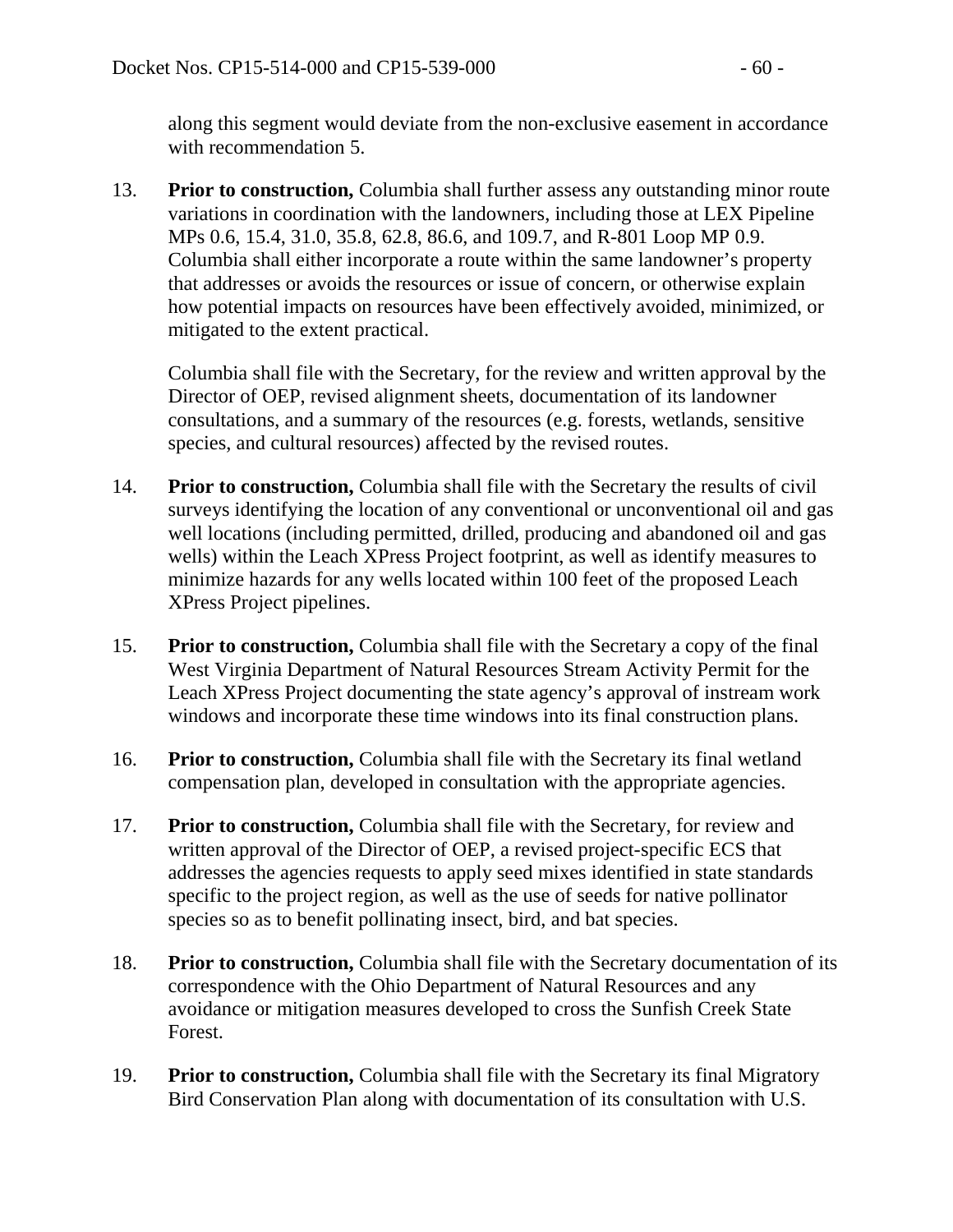along this segment would deviate from the non-exclusive easement in accordance with recommendation 5.

13. **Prior to construction,** Columbia shall further assess any outstanding minor route variations in coordination with the landowners, including those at LEX Pipeline MPs 0.6, 15.4, 31.0, 35.8, 62.8, 86.6, and 109.7, and R-801 Loop MP 0.9. Columbia shall either incorporate a route within the same landowner's property that addresses or avoids the resources or issue of concern, or otherwise explain how potential impacts on resources have been effectively avoided, minimized, or mitigated to the extent practical.

Columbia shall file with the Secretary, for the review and written approval by the Director of OEP, revised alignment sheets, documentation of its landowner consultations, and a summary of the resources (e.g. forests, wetlands, sensitive species, and cultural resources) affected by the revised routes.

- 14. **Prior to construction,** Columbia shall file with the Secretary the results of civil surveys identifying the location of any conventional or unconventional oil and gas well locations (including permitted, drilled, producing and abandoned oil and gas wells) within the Leach XPress Project footprint, as well as identify measures to minimize hazards for any wells located within 100 feet of the proposed Leach XPress Project pipelines.
- 15. **Prior to construction,** Columbia shall file with the Secretary a copy of the final West Virginia Department of Natural Resources Stream Activity Permit for the Leach XPress Project documenting the state agency's approval of instream work windows and incorporate these time windows into its final construction plans.
- 16. **Prior to construction,** Columbia shall file with the Secretary its final wetland compensation plan, developed in consultation with the appropriate agencies.
- 17. **Prior to construction,** Columbia shall file with the Secretary, for review and written approval of the Director of OEP, a revised project-specific ECS that addresses the agencies requests to apply seed mixes identified in state standards specific to the project region, as well as the use of seeds for native pollinator species so as to benefit pollinating insect, bird, and bat species.
- 18. **Prior to construction,** Columbia shall file with the Secretary documentation of its correspondence with the Ohio Department of Natural Resources and any avoidance or mitigation measures developed to cross the Sunfish Creek State Forest.
- 19. **Prior to construction,** Columbia shall file with the Secretary its final Migratory Bird Conservation Plan along with documentation of its consultation with U.S.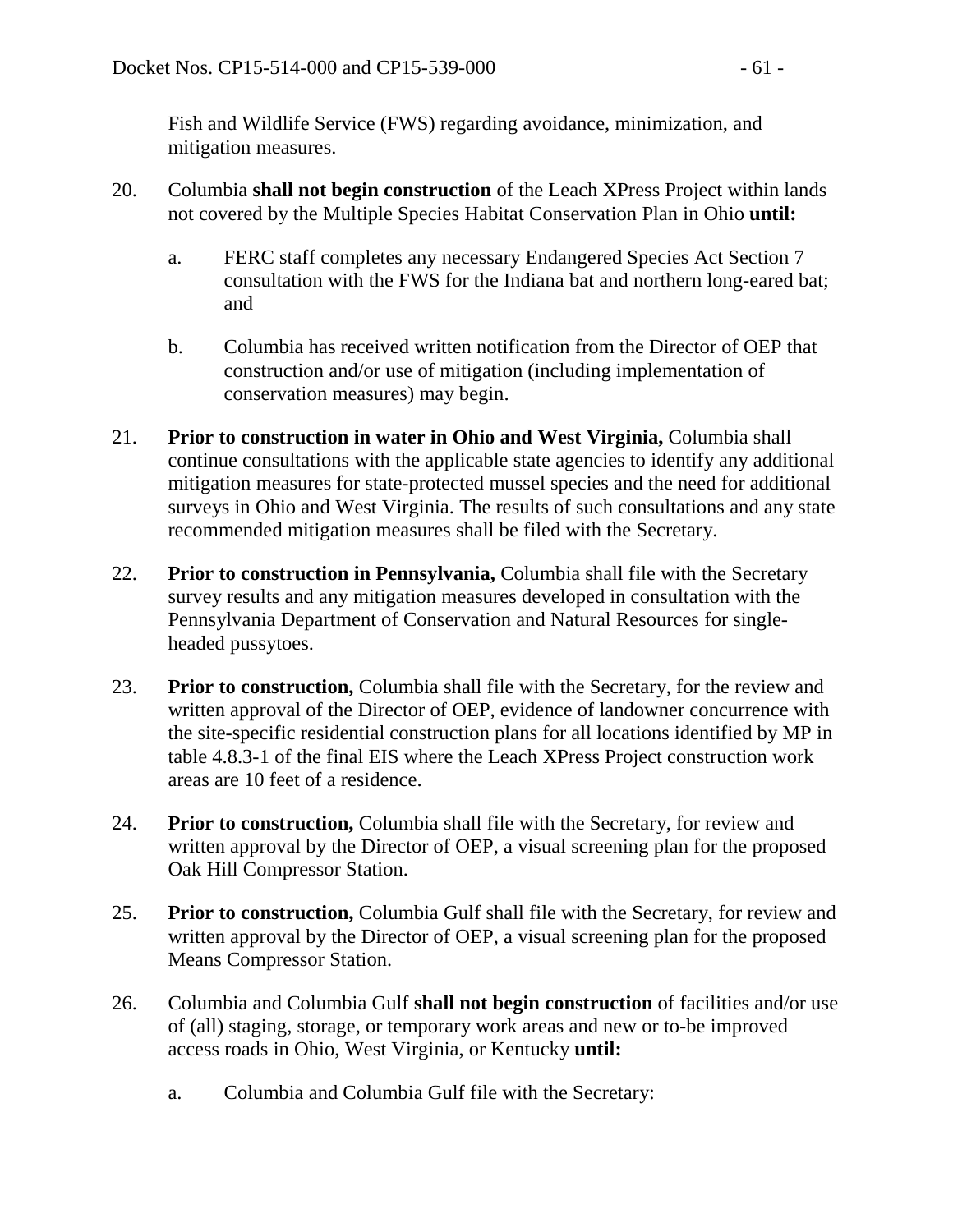Fish and Wildlife Service (FWS) regarding avoidance, minimization, and mitigation measures.

- 20. Columbia **shall not begin construction** of the Leach XPress Project within lands not covered by the Multiple Species Habitat Conservation Plan in Ohio **until:**
	- a. FERC staff completes any necessary Endangered Species Act Section 7 consultation with the FWS for the Indiana bat and northern long-eared bat; and
	- b. Columbia has received written notification from the Director of OEP that construction and/or use of mitigation (including implementation of conservation measures) may begin.
- 21. **Prior to construction in water in Ohio and West Virginia,** Columbia shall continue consultations with the applicable state agencies to identify any additional mitigation measures for state-protected mussel species and the need for additional surveys in Ohio and West Virginia. The results of such consultations and any state recommended mitigation measures shall be filed with the Secretary.
- 22. **Prior to construction in Pennsylvania,** Columbia shall file with the Secretary survey results and any mitigation measures developed in consultation with the Pennsylvania Department of Conservation and Natural Resources for singleheaded pussytoes.
- 23. **Prior to construction,** Columbia shall file with the Secretary, for the review and written approval of the Director of OEP, evidence of landowner concurrence with the site-specific residential construction plans for all locations identified by MP in table 4.8.3-1 of the final EIS where the Leach XPress Project construction work areas are 10 feet of a residence.
- 24. **Prior to construction,** Columbia shall file with the Secretary, for review and written approval by the Director of OEP, a visual screening plan for the proposed Oak Hill Compressor Station.
- 25. **Prior to construction,** Columbia Gulf shall file with the Secretary, for review and written approval by the Director of OEP, a visual screening plan for the proposed Means Compressor Station.
- 26. Columbia and Columbia Gulf **shall not begin construction** of facilities and/or use of (all) staging, storage, or temporary work areas and new or to-be improved access roads in Ohio, West Virginia, or Kentucky **until:**
	- a. Columbia and Columbia Gulf file with the Secretary: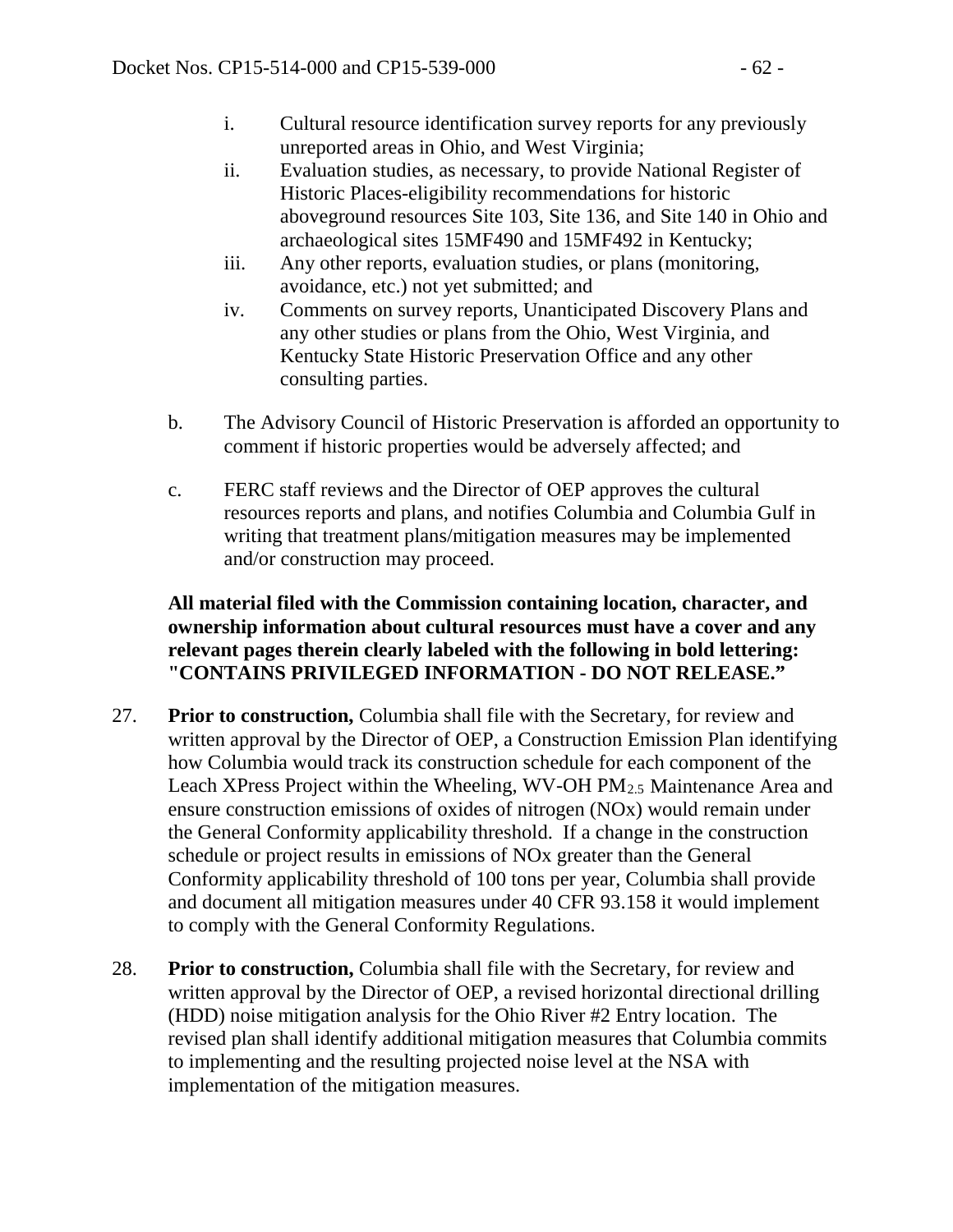- i. Cultural resource identification survey reports for any previously unreported areas in Ohio, and West Virginia;
- ii. Evaluation studies, as necessary, to provide National Register of Historic Places-eligibility recommendations for historic aboveground resources Site 103, Site 136, and Site 140 in Ohio and archaeological sites 15MF490 and 15MF492 in Kentucky;
- iii. Any other reports, evaluation studies, or plans (monitoring, avoidance, etc.) not yet submitted; and
- iv. Comments on survey reports, Unanticipated Discovery Plans and any other studies or plans from the Ohio, West Virginia, and Kentucky State Historic Preservation Office and any other consulting parties.
- b. The Advisory Council of Historic Preservation is afforded an opportunity to comment if historic properties would be adversely affected; and
- c. FERC staff reviews and the Director of OEP approves the cultural resources reports and plans, and notifies Columbia and Columbia Gulf in writing that treatment plans/mitigation measures may be implemented and/or construction may proceed.

#### **All material filed with the Commission containing location, character, and ownership information about cultural resources must have a cover and any relevant pages therein clearly labeled with the following in bold lettering: "CONTAINS PRIVILEGED INFORMATION - DO NOT RELEASE."**

- 27. **Prior to construction,** Columbia shall file with the Secretary, for review and written approval by the Director of OEP, a Construction Emission Plan identifying how Columbia would track its construction schedule for each component of the Leach XPress Project within the Wheeling, WV-OH PM2.5 Maintenance Area and ensure construction emissions of oxides of nitrogen (NOx) would remain under the General Conformity applicability threshold. If a change in the construction schedule or project results in emissions of NOx greater than the General Conformity applicability threshold of 100 tons per year, Columbia shall provide and document all mitigation measures under 40 CFR 93.158 it would implement to comply with the General Conformity Regulations.
- 28. **Prior to construction,** Columbia shall file with the Secretary, for review and written approval by the Director of OEP, a revised horizontal directional drilling (HDD) noise mitigation analysis for the Ohio River #2 Entry location. The revised plan shall identify additional mitigation measures that Columbia commits to implementing and the resulting projected noise level at the NSA with implementation of the mitigation measures.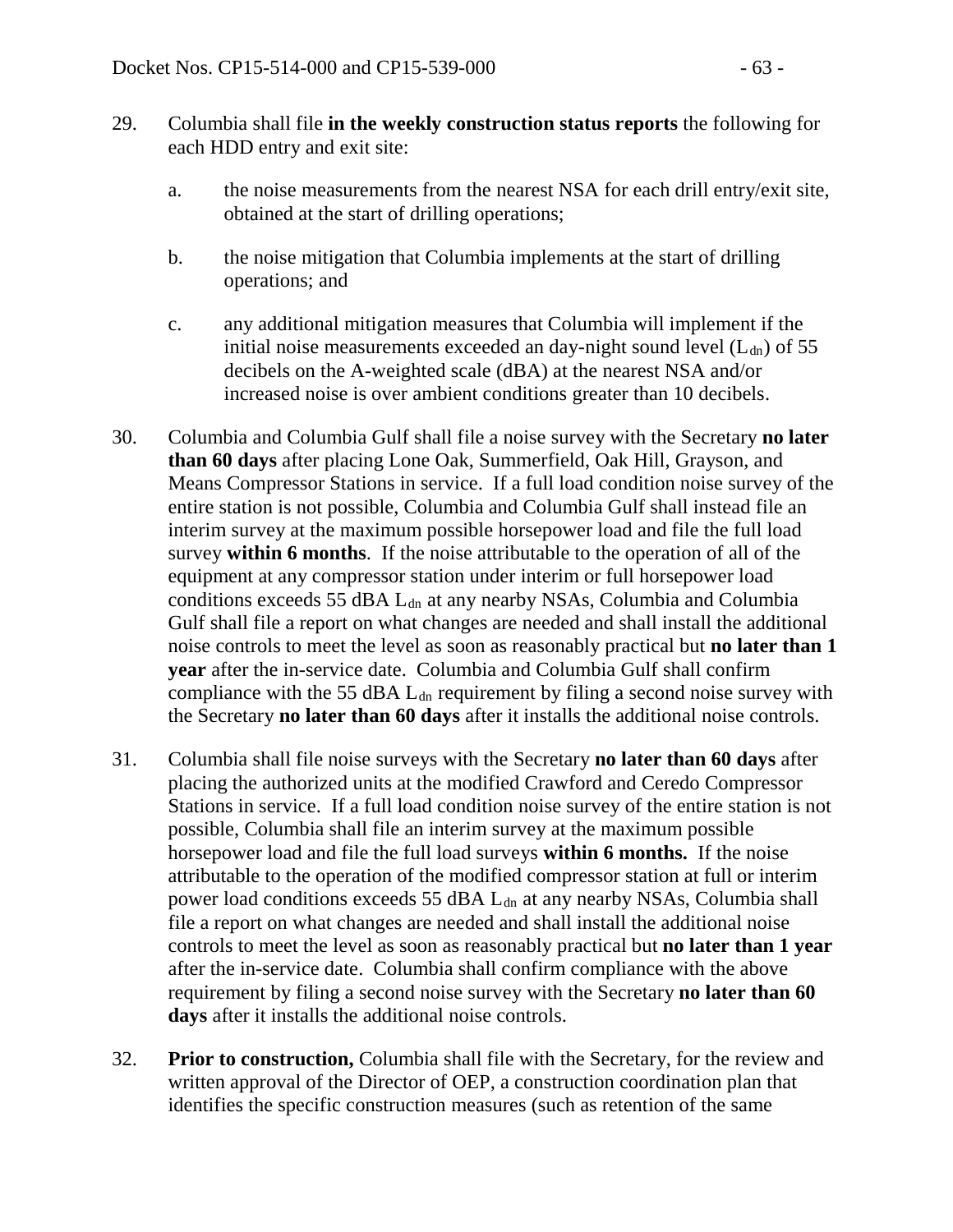- 29. Columbia shall file **in the weekly construction status reports** the following for each HDD entry and exit site:
	- a. the noise measurements from the nearest NSA for each drill entry/exit site, obtained at the start of drilling operations;
	- b. the noise mitigation that Columbia implements at the start of drilling operations; and
	- c. any additional mitigation measures that Columbia will implement if the initial noise measurements exceeded an day-night sound level  $(L<sub>dn</sub>)$  of 55 decibels on the A-weighted scale (dBA) at the nearest NSA and/or increased noise is over ambient conditions greater than 10 decibels.
- 30. Columbia and Columbia Gulf shall file a noise survey with the Secretary **no later than 60 days** after placing Lone Oak, Summerfield, Oak Hill, Grayson, and Means Compressor Stations in service. If a full load condition noise survey of the entire station is not possible, Columbia and Columbia Gulf shall instead file an interim survey at the maximum possible horsepower load and file the full load survey **within 6 months**. If the noise attributable to the operation of all of the equipment at any compressor station under interim or full horsepower load conditions exceeds 55 dBA  $L_{dn}$  at any nearby NSAs, Columbia and Columbia Gulf shall file a report on what changes are needed and shall install the additional noise controls to meet the level as soon as reasonably practical but **no later than 1 year** after the in-service date. Columbia and Columbia Gulf shall confirm compliance with the 55 dBA  $L_{dn}$  requirement by filing a second noise survey with the Secretary **no later than 60 days** after it installs the additional noise controls.
- 31. Columbia shall file noise surveys with the Secretary **no later than 60 days** after placing the authorized units at the modified Crawford and Ceredo Compressor Stations in service. If a full load condition noise survey of the entire station is not possible, Columbia shall file an interim survey at the maximum possible horsepower load and file the full load surveys **within 6 months.** If the noise attributable to the operation of the modified compressor station at full or interim power load conditions exceeds 55 dBA L<sub>dn</sub> at any nearby NSAs, Columbia shall file a report on what changes are needed and shall install the additional noise controls to meet the level as soon as reasonably practical but **no later than 1 year** after the in-service date. Columbia shall confirm compliance with the above requirement by filing a second noise survey with the Secretary **no later than 60 days** after it installs the additional noise controls.
- 32. **Prior to construction,** Columbia shall file with the Secretary, for the review and written approval of the Director of OEP, a construction coordination plan that identifies the specific construction measures (such as retention of the same